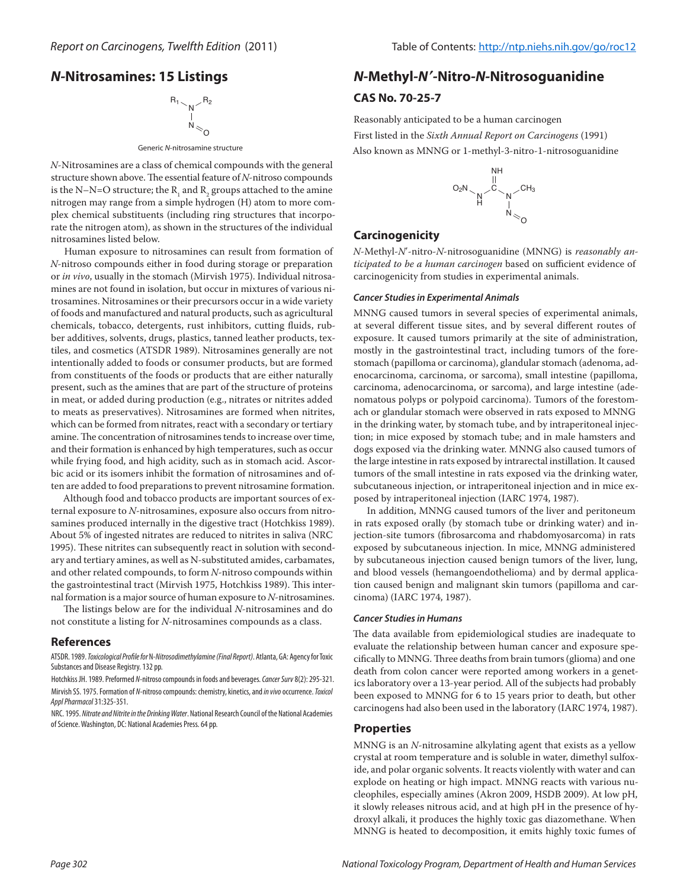# *N-***Nitrosamines: 15 Listings**



Generic *N*-nitrosamine structure

*N*-Nitrosamines are a class of chemical compounds with the general structure shown above. The essential feature of *N‑*nitroso compounds is the N–N=O structure; the  $\text{R}_{\text{1}}$  and  $\text{R}_{\text{2}}$  groups attached to the amine nitrogen may range from a simple hydrogen (H) atom to more complex chemical substituents (including ring structures that incorporate the nitrogen atom), as shown in the structures of the individual nitrosamines listed below.

Human exposure to nitrosamines can result from formation of *N‑*nitroso compounds either in food during storage or preparation or *in vivo*, usually in the stomach (Mirvish 1975). Individual nitrosamines are not found in isolation, but occur in mixtures of various nitrosamines. Nitrosamines or their precursors occur in a wide variety of foods and manufactured and natural products, such as agricultural chemicals, tobacco, detergents, rust inhibitors, cutting fluids, rubber additives, solvents, drugs, plastics, tanned leather products, textiles, and cosmetics (ATSDR 1989). Nitrosamines generally are not intentionally added to foods or consumer products, but are formed from constituents of the foods or products that are either naturally present, such as the amines that are part of the structure of proteins in meat, or added during production (e.g., nitrates or nitrites added to meats as preservatives). Nitrosamines are formed when nitrites, which can be formed from nitrates, react with a secondary or tertiary amine. The concentration of nitrosamines tends to increase over time, and their formation is enhanced by high temperatures, such as occur while frying food, and high acidity, such as in stomach acid. Ascorbic acid or its isomers inhibit the formation of nitrosamines and often are added to food preparations to prevent nitrosamine formation.

Although food and tobacco products are important sources of external exposure to *N‑*nitrosamines, exposure also occurs from nitrosamines produced internally in the digestive tract (Hotchkiss 1989). About 5% of ingested nitrates are reduced to nitrites in saliva (NRC 1995). These nitrites can subsequently react in solution with secondary and tertiary amines, as well as N-substituted amides, carbamates, and other related compounds, to form *N‑*nitroso compounds within the gastrointestinal tract (Mirvish 1975, Hotchkiss 1989). This internal formation is a major source of human exposure to *N‑*nitrosamines.

The listings below are for the individual *N‑*nitrosamines and do not constitute a listing for *N‑*nitrosamines compounds as a class.

### **References**

ATSDR. 1989. *Toxicological Profile for* N*-Nitrosodimethylamine (Final Report)*. Atlanta, GA: Agency for Toxic Substances and Disease Registry. 132 pp.

Hotchkiss JH. 1989. Preformed *N*-nitroso compounds in foods and beverages. *Cancer Surv* 8(2): 295-321. Mirvish SS. 1975. Formation of *N*-nitroso compounds: chemistry, kinetics, and *in vivo* occurrence. *Toxicol Appl Pharmacol* 31:325-351.

NRC. 1995. *Nitrate and Nitrite in the Drinking Water*. National Research Council of the National Academies of Science. Washington, DC: National Academies Press. 64 pp.

# *N-***Methyl***-N*′*-***Nitro***-N-***Nitrosoguanidine**

# **CAS No. 70-25-7**

Reasonably anticipated to be a human carcinogen First listed in the *Sixth Annual Report on Carcinogens* (1991) Also known as MNNG or 1-methyl-3-nitro-1-nitrosoguanidine



### **Carcinogenicity**

*N*-Methyl-*N*′-nitro-*N*-nitrosoguanidine (MNNG) is *reasonably an‑ ticipated to be a human carcinogen* based on sufficient evidence of carcinogenicity from studies in experimental animals.

#### *Cancer Studies in Experimental Animals*

MNNG caused tumors in several species of experimental animals, at several different tissue sites, and by several different routes of exposure. It caused tumors primarily at the site of administration, mostly in the gastrointestinal tract, including tumors of the forestomach (papilloma or carcinoma), glandular stomach (adenoma, adenocarcinoma, carcinoma, or sarcoma), small intestine (papilloma, carcinoma, adenocarcinoma, or sarcoma), and large intestine (adenomatous polyps or polypoid carcinoma). Tumors of the forestomach or glandular stomach were observed in rats exposed to MNNG in the drinking water, by stomach tube, and by intraperitoneal injection; in mice exposed by stomach tube; and in male hamsters and dogs exposed via the drinking water. MNNG also caused tumors of the large intestine in rats exposed by intrarectal instillation. It caused tumors of the small intestine in rats exposed via the drinking water, subcutaneous injection, or intraperitoneal injection and in mice exposed by intraperitoneal injection (IARC 1974, 1987).

In addition, MNNG caused tumors of the liver and peritoneum in rats exposed orally (by stomach tube or drinking water) and injection-site tumors (fibrosarcoma and rhabdomyosarcoma) in rats exposed by subcutaneous injection. In mice, MNNG administered by subcutaneous injection caused benign tumors of the liver, lung, and blood vessels (hemangoendothelioma) and by dermal application caused benign and malignant skin tumors (papilloma and carcinoma) (IARC 1974, 1987).

#### *Cancer Studies in Humans*

The data available from epidemiological studies are inadequate to evaluate the relationship between human cancer and exposure specifically to MNNG. Three deaths from brain tumors (glioma) and one death from colon cancer were reported among workers in a genetics laboratory over a 13-year period. All of the subjects had probably been exposed to MNNG for 6 to 15 years prior to death, but other carcinogens had also been used in the laboratory (IARC 1974, 1987).

### **Properties**

MNNG is an *N*-nitrosamine alkylating agent that exists as a yellow crystal at room temperature and is soluble in water, dimethyl sulfoxide, and polar organic solvents. It reacts violently with water and can explode on heating or high impact. MNNG reacts with various nucleophiles, especially amines (Akron 2009, HSDB 2009). At low pH, it slowly releases nitrous acid, and at high pH in the presence of hydroxyl alkali, it produces the highly toxic gas diazomethane. When MNNG is heated to decomposition, it emits highly toxic fumes of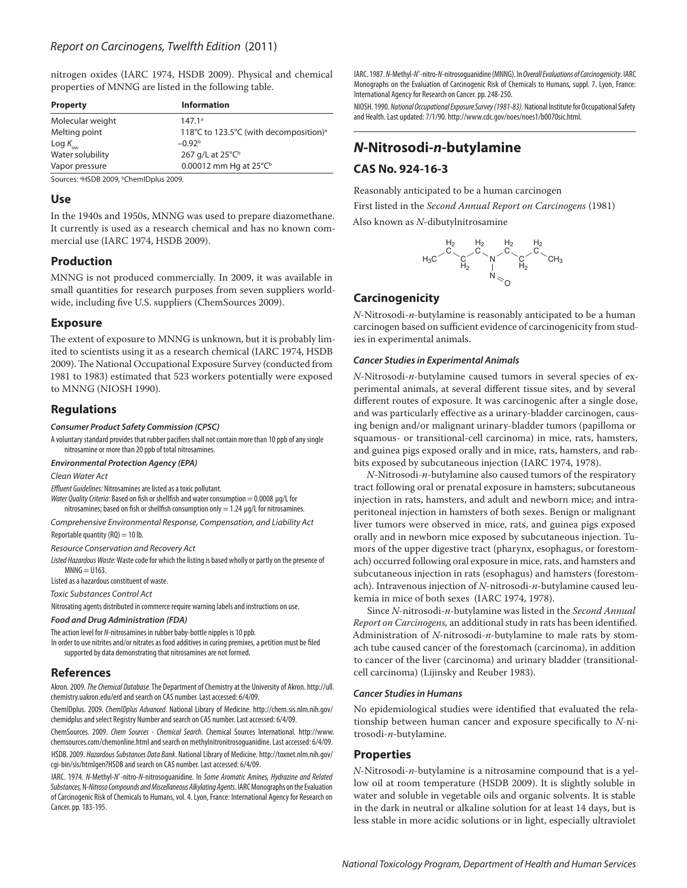nitrogen oxides (IARC 1974, HSDB 2009). Physical and chemical properties of MNNG are listed in the following table.

| <b>Property</b>     | <b>Information</b>                                 |
|---------------------|----------------------------------------------------|
| Molecular weight    | 147.1 <sup>a</sup>                                 |
| Melting point       | 118°C to 123.5°C (with decomposition) <sup>a</sup> |
| Log $K_{\text{ow}}$ | $-0.92b$                                           |
| Water solubility    | 267 g/L at 25°C <sup>b</sup>                       |
| Vapor pressure      | 0.00012 mm Hg at 25°C <sup>b</sup>                 |

Sources: <sup>a</sup>HSDB 2009, <sup>b</sup>ChemIDplus 2009.

#### **Use**

In the 1940s and 1950s, MNNG was used to prepare diazomethane. It currently is used as a research chemical and has no known commercial use (IARC 1974, HSDB 2009).

### **Production**

MNNG is not produced commercially. In 2009, it was available in small quantities for research purposes from seven suppliers worldwide, including five U.S. suppliers (ChemSources 2009).

#### **Exposure**

The extent of exposure to MNNG is unknown, but it is probably limited to scientists using it as a research chemical (IARC 1974, HSDB 2009). The National Occupational Exposure Survey (conducted from 1981 to 1983) estimated that 523 workers potentially were exposed to MNNG (NIOSH 1990).

#### **Regulations**

*Consumer Product Safety Commission (CPSC)*

A voluntary standard provides that rubber pacifiers shall not contain more than 10 ppb of any single nitrosamine or more than 20 ppb of total nitrosamines.

#### *Environmental Protection Agency (EPA)*

*Clean Water Act*

*Effluent Guidelines:* Nitrosamines are listed as a toxic pollutant.

*Water Quality Criteria*: Based on fish or shellfish and water consumption = 0.0008 μg/L for nitrosamines; based on fish or shellfish consumption only =  $1.24$  μg/L for nitrosamines.

*Comprehensive Environmental Response, Compensation, and Liability Act* Reportable quantity  $(RQ) = 10$  lb.

*Resource Conservation and Recovery Act*

*Listed Hazardous Waste:* Waste code for which the listing is based wholly or partly on the presence of  $MNS = U163$ .

Listed as a hazardous constituent of waste.

*Toxic Substances Control Act*

Nitrosating agents distributed in commerce require warning labels and instructions on use.

#### *Food and Drug Administration (FDA)*

The action level for *N*-nitrosamines in rubber baby-bottle nipples is 10 ppb.

In order to use nitrites and/or nitrates as food additives in curing premixes, a petition must be filed supported by data demonstrating that nitrosamines are not formed.

### **References**

Akron. 2009. *The Chemical Database.* The Department of Chemistry at the University of Akron. http://ull. chemistry.uakron.edu/erd and search on CAS number. Last accessed: 6/4/09.

ChemIDplus. 2009. *ChemIDplus Advanced*. National Library of Medicine. http://chem.sis.nlm.nih.gov/ chemidplus and select Registry Number and search on CAS number. Last accessed: 6/4/09.

ChemSources. 2009. *Chem Sources - Chemical Search.* Chemical Sources International. http://www. chemsources.com/chemonline.html and search on methylnitronitrosoguanidine. Last accessed: 6/4/09. HSDB. 2009. *Hazardous Substances Data Bank*. National Library of Medicine. http://toxnet.nlm.nih.gov/ cgi-bin/sis/htmlgen?HSDB and search on CAS number. Last accessed: 6/4/09.

IARC. 1974. *N*-Methyl-*N*′-nitro-*N*-nitrosoguanidine. In *Some Aromatic Amines, Hydrazine and Related Substances,* N*-Nitroso Compounds and Miscellaneous Alkylating Agents*. IARC Monographs on the Evaluation of Carcinogenic Risk of Chemicals to Humans, vol. 4. Lyon, France: International Agency for Research on Cancer. pp. 183-195.

IARC. 1987. *N*-Methyl-*N*′-nitro-*N*-nitrosoguanidine (MNNG). In *Overall Evaluations of Carcinogenicity*. IARC Monographs on the Evaluation of Carcinogenic Risk of Chemicals to Humans, suppl. 7. Lyon, France: International Agency for Research on Cancer. pp. 248-250.

NIOSH. 1990. *National Occupational Exposure Survey (1981-83).* National Institute for Occupational Safety and Health. Last updated: 7/1/90. http://www.cdc.gov/noes/noes1/b0070sic.html.

# *N-***Nitrosodi***-n-***butylamine**

### **CAS No. 924-16-3**

Reasonably anticipated to be a human carcinogen

First listed in the *Second Annual Report on Carcinogens* (1981) Also known as *N*-dibutylnitrosamine

$$
H_3C \begin{matrix} H_2 & H_2 & H_2 & H_2 \\ C & C & C & C & H_2 \\ H_2 & H_2 & H_2 & G \\ H_2 & H_2 & G & G \end{matrix}
$$

### **Carcinogenicity**

*N*-Nitrosodi-*n*-butylamine is reasonably anticipated to be a human carcinogen based on sufficient evidence of carcinogenicity from studies in experimental animals.

#### *Cancer Studies in Experimental Animals*

*N*-Nitrosodi-*n*-butylamine caused tumors in several species of experimental animals, at several different tissue sites, and by several different routes of exposure. It was carcinogenic after a single dose, and was particularly effective as a urinary-bladder carcinogen, causing benign and/or malignant urinary-bladder tumors (papilloma or squamous- or transitional-cell carcinoma) in mice, rats, hamsters, and guinea pigs exposed orally and in mice, rats, hamsters, and rabbits exposed by subcutaneous injection (IARC 1974, 1978).

*N*-Nitrosodi-*n*-butylamine also caused tumors of the respiratory tract following oral or prenatal exposure in hamsters; subcutaneous injection in rats, hamsters, and adult and newborn mice; and intraperitoneal injection in hamsters of both sexes. Benign or malignant liver tumors were observed in mice, rats, and guinea pigs exposed orally and in newborn mice exposed by subcutaneous injection. Tumors of the upper digestive tract (pharynx, esophagus, or forestomach) occurred following oral exposure in mice, rats, and hamsters and subcutaneous injection in rats (esophagus) and hamsters (forestomach). Intravenous injection of *N*-nitrosodi-*n*-butylamine caused leukemia in mice of both sexes (IARC 1974, 1978).

Since *N‑*nitrosodi-*n*-butylamine was listed in the *Second Annual Report on Carcinogens,* an additional study in rats has been identified. Administration of *N‑*nitrosodi-*n*-butylamine to male rats by stomach tube caused cancer of the forestomach (carcinoma), in addition to cancer of the liver (carcinoma) and urinary bladder (transitionalcell carcinoma) (Lijinsky and Reuber 1983).

#### *Cancer Studies in Humans*

No epidemiological studies were identified that evaluated the relationship between human cancer and exposure specifically to *N‑*nitrosodi-*n*-butylamine.

### **Properties**

*N*-Nitrosodi-*n*-butylamine is a nitrosamine compound that is a yellow oil at room temperature (HSDB 2009). It is slightly soluble in water and soluble in vegetable oils and organic solvents. It is stable in the dark in neutral or alkaline solution for at least 14 days, but is less stable in more acidic solutions or in light, especially ultraviolet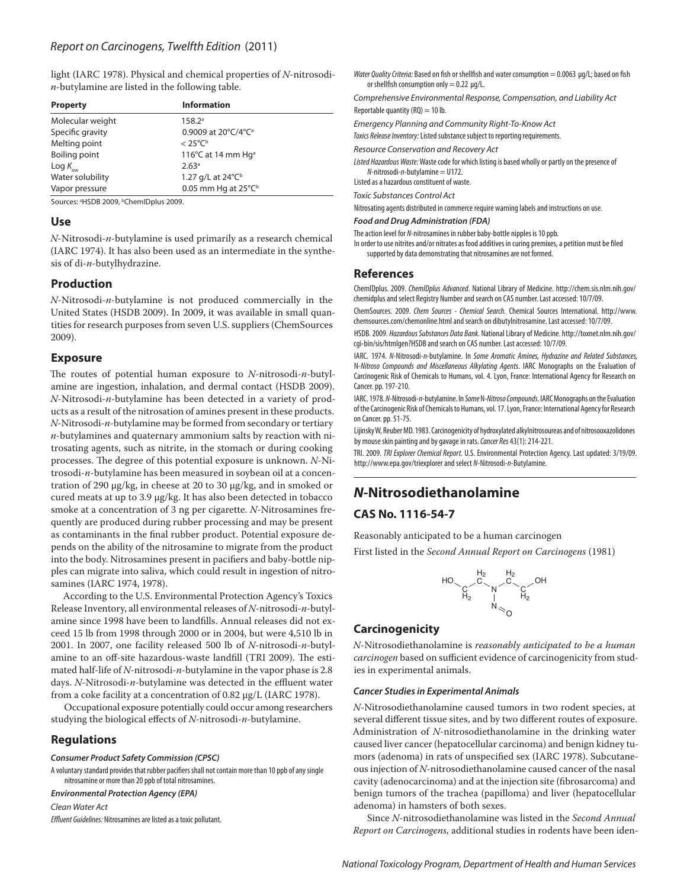light (IARC 1978). Physical and chemical properties of *N‑*nitrosodi*n*-butylamine are listed in the following table.

| <b>Property</b>      | <b>Information</b>                  |  |
|----------------------|-------------------------------------|--|
| Molecular weight     | 158.2a                              |  |
| Specific gravity     | 0.9009 at 20°C/4°C <sup>a</sup>     |  |
| Melting point        | $<$ 25°Cb                           |  |
| <b>Boiling point</b> | 116°C at 14 mm Hq <sup>a</sup>      |  |
| Log $K_{_{\rm{ow}}}$ | 2.63 <sup>a</sup>                   |  |
| Water solubility     | 1.27 g/L at 24°C <sup>b</sup>       |  |
| Vapor pressure       | 0.05 mm Hq at $25^{\circ}C^{\circ}$ |  |

Sources: <sup>a</sup>HSDB 2009, <sup>b</sup>ChemIDplus 2009.

### **Use**

*N*-Nitrosodi-*n*-butylamine is used primarily as a research chemical (IARC 1974). It has also been used as an intermediate in the synthesis of di-*n*-butylhydrazine.

### **Production**

*N*-Nitrosodi-*n*-butylamine is not produced commercially in the United States (HSDB 2009). In 2009, it was available in small quantities for research purposes from seven U.S. suppliers (ChemSources 2009).

### **Exposure**

The routes of potential human exposure to *N‑*nitrosodi-*n*-butylamine are ingestion, inhalation, and dermal contact (HSDB 2009). *N*-Nitrosodi-*n*-butylamine has been detected in a variety of products as a result of the nitrosation of amines present in these products. *N‑*Nitrosodi-*n*-butylamine may be formed from secondary or tertiary *n*-butylamines and quaternary ammonium salts by reaction with nitrosating agents, such as nitrite, in the stomach or during cooking processes. The degree of this potential exposure is unknown. *N‑*Nitrosodi-*n*-butylamine has been measured in soybean oil at a concentration of 290 μg/kg, in cheese at 20 to 30 μg/kg, and in smoked or cured meats at up to 3.9 μg/kg. It has also been detected in tobacco smoke at a concentration of 3 ng per cigarette. *N‑*Nitrosamines frequently are produced during rubber processing and may be present as contaminants in the final rubber product. Potential exposure depends on the ability of the nitrosamine to migrate from the product into the body. Nitrosamines present in pacifiers and baby-bottle nipples can migrate into saliva, which could result in ingestion of nitrosamines (IARC 1974, 1978).

According to the U.S. Environmental Protection Agency's Toxics Release Inventory, all environmental releases of *N‑*nitrosodi-*n*-butylamine since 1998 have been to landfills. Annual releases did not exceed 15 lb from 1998 through 2000 or in 2004, but were 4,510 lb in 2001. In 2007, one facility released 500 lb of *N‑*nitrosodi-*n*-butylamine to an off-site hazardous-waste landfill (TRI 2009). The estimated half-life of *N‑*nitrosodi-*n*-butylamine in the vapor phase is 2.8 days. *N‑*Nitrosodi-*n*-butylamine was detected in the effluent water from a coke facility at a concentration of 0.82 μg/L (IARC 1978).

Occupational exposure potentially could occur among researchers studying the biological effects of *N‑*nitrosodi-*n*-butylamine.

# **Regulations**

*Consumer Product Safety Commission (CPSC)*

A voluntary standard provides that rubber pacifiers shall not contain more than 10 ppb of any single nitrosamine or more than 20 ppb of total nitrosamines.

*Environmental Protection Agency (EPA)*

*Clean Water Act Effluent Guidelines:* Nitrosamines are listed as a toxic pollutant. *Water Quality Criteria:* Based on fish or shellfish and water consumption = 0.0063 μg/L; based on fish or shellfish consumption only =  $0.22 \mu g/L$ .

*Comprehensive Environmental Response, Compensation, and Liability Act* Reportable quantity  $(RQ) = 10$  lb.

*Emergency Planning and Community Right-To-Know Act*

*Toxics Release Inventory:* Listed substance subject to reporting requirements.

*Resource Conservation and Recovery Act*

*Listed Hazardous Waste:* Waste code for which listing is based wholly or partly on the presence of *N*-nitrosodi-*n*-butylamine = U172.

Listed as a hazardous constituent of waste. *Toxic Substances Control Act*

Nitrosating agents distributed in commerce require warning labels and instructions on use.

*Food and Drug Administration (FDA)*

The action level for *N-*nitrosamines in rubber baby-bottle nipples is 10 ppb.

In order to use nitrites and/or nitrates as food additives in curing premixes, a petition must be filed supported by data demonstrating that nitrosamines are not formed.

### **References**

ChemIDplus. 2009. *ChemIDplus Advanced*. National Library of Medicine. http://chem.sis.nlm.nih.gov/ chemidplus and select Registry Number and search on CAS number. Last accessed: 10/7/09.

ChemSources. 2009. *Chem Sources - Chemical Search.* Chemical Sources International. http://www. chemsources.com/chemonline.html and search on dibutylnitrosamine. Last accessed: 10/7/09.

HSDB. 2009. *Hazardous Substances Data Bank.* National Library of Medicine. http://toxnet.nlm.nih.gov/ cgi-bin/sis/htmlgen?HSDB and search on CAS number. Last accessed: 10/7/09.

IARC. 1974. *N*-Nitrosodi-*n*-butylamine. In *Some Aromatic Amines, Hydrazine and Related Substances,*  N*-Nitroso Compounds and Miscellaneous Alkylating Agents*. IARC Monographs on the Evaluation of Carcinogenic Risk of Chemicals to Humans, vol. 4. Lyon, France: International Agency for Research on Cancer.pp. 197-210.

IARC. 1978. *N*-Nitrosodi-*n*-butylamine. In *Some* N*-Nitroso Compounds*. IARC Monographs on the Evaluation of the Carcinogenic Risk of Chemicals to Humans, vol. 17. Lyon, France: International Agency for Research on Cancer.pp. 51-75.

Lijinsky W, Reuber MD. 1983. Carcinogenicity of hydroxylated alkylnitrosoureas and of nitrosooxazolidones by mouse skin painting and by gavage in rats. *Cancer Res* 43(1): 214-221.

TRI. 2009. *TRI Explorer Chemical Report.* U.S. Environmental Protection Agency. Last updated: 3/19/09. http://www.epa.gov/triexplorer and select *N*-Nitrosodi-*n*-Butylamine.

# *N-***Nitrosodiethanolamine**

# **CAS No. 1116-54-7**

Reasonably anticipated to be a human carcinogen

First listed in the *Second Annual Report on Carcinogens* (1981)



### **Carcinogenicity**

*N*-Nitrosodiethanolamine is *reasonably anticipated to be a human carcinogen* based on sufficient evidence of carcinogenicity from studies in experimental animals.

#### *Cancer Studies in Experimental Animals*

*N‑*Nitrosodiethanolamine caused tumors in two rodent species, at several different tissue sites, and by two different routes of exposure. Administration of *N‑*nitrosodiethanolamine in the drinking water caused liver cancer (hepatocellular carcinoma) and benign kidney tumors (adenoma) in rats of unspecified sex (IARC 1978). Subcutaneous injection of *N‑*nitrosodiethanolamine caused cancer of the nasal cavity (adenocarcinoma) and at the injection site (fibrosarcoma) and benign tumors of the trachea (papilloma) and liver (hepatocellular adenoma) in hamsters of both sexes.

Since *N‑*nitrosodiethanolamine was listed in the *Second Annual Report on Carcinogens,* additional studies in rodents have been iden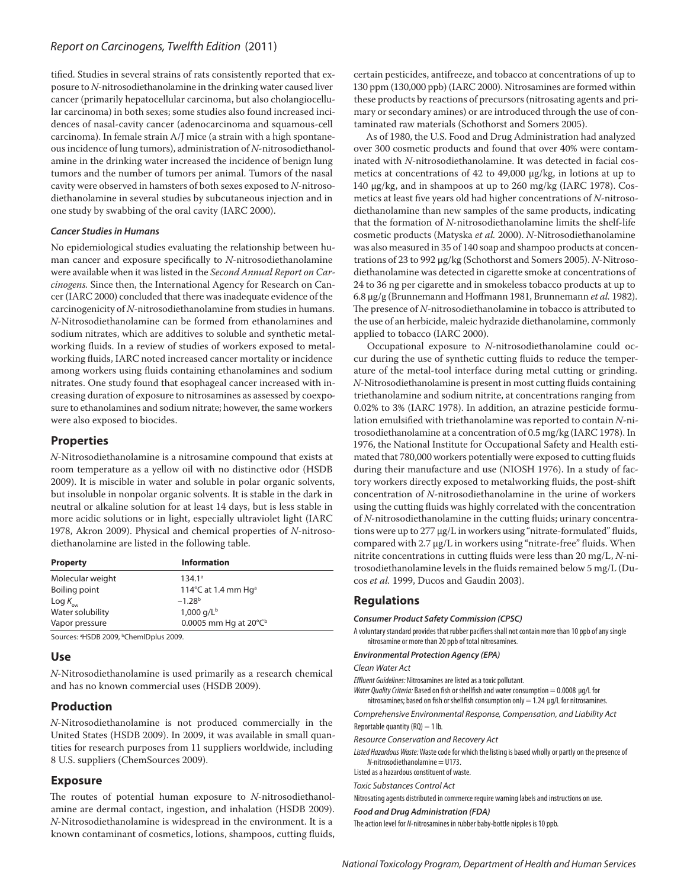tified. Studies in several strains of rats consistently reported that exposure to *N‑*nitrosodiethanolamine in the drinking water caused liver cancer (primarily hepatocellular carcinoma, but also cholangiocellular carcinoma) in both sexes; some studies also found increased incidences of nasal-cavity cancer (adenocarcinoma and squamous-cell carcinoma). In female strain A/J mice (a strain with a high spontaneous incidence of lung tumors), administration of *N‑*nitrosodiethanolamine in the drinking water increased the incidence of benign lung tumors and the number of tumors per animal. Tumors of the nasal cavity were observed in hamsters of both sexes exposed to *N‑*nitrosodiethanolamine in several studies by subcutaneous injection and in one study by swabbing of the oral cavity (IARC 2000).

#### *Cancer Studies in Humans*

No epidemiological studies evaluating the relationship between human cancer and exposure specifically to *N‑*nitrosodiethanolamine were available when it was listed in the *Second Annual Report on Car‑ cinogens.* Since then, the International Agency for Research on Cancer (IARC 2000) concluded that there was inadequate evidence of the carcinogenicity of *N‑*nitrosodiethanolamine from studies in humans. *N‑*Nitrosodiethanolamine can be formed from ethanolamines and sodium nitrates, which are additives to soluble and synthetic metalworking fluids. In a review of studies of workers exposed to metalworking fluids, IARC noted increased cancer mortality or incidence among workers using fluids containing ethanolamines and sodium nitrates. One study found that esophageal cancer increased with increasing duration of exposure to nitrosamines as assessed by coexposure to ethanolamines and sodium nitrate; however, the same workers were also exposed to biocides.

### **Properties**

*N‑*Nitrosodiethanolamine is a nitrosamine compound that exists at room temperature as a yellow oil with no distinctive odor (HSDB 2009). It is miscible in water and soluble in polar organic solvents, but insoluble in nonpolar organic solvents. It is stable in the dark in neutral or alkaline solution for at least 14 days, but is less stable in more acidic solutions or in light, especially ultraviolet light (IARC 1978, Akron 2009). Physical and chemical properties of *N‑*nitrosodiethanolamine are listed in the following table.

| <b>Property</b>     | <b>Information</b>                |
|---------------------|-----------------------------------|
| Molecular weight    | 134.1 <sup>a</sup>                |
| Boiling point       | 114°C at 1.4 mm Hg <sup>a</sup>   |
| Log $K_{\text{ow}}$ | $-1.28b$                          |
| Water solubility    | 1,000 $q/L^b$                     |
| Vapor pressure      | 0.0005 mm Hg at $20^{\circ}C^{b}$ |
|                     |                                   |

Sources: <sup>a</sup>HSDB 2009, <sup>b</sup>ChemIDplus 2009.

### **Use**

*N‑*Nitrosodiethanolamine is used primarily as a research chemical and has no known commercial uses (HSDB 2009).

### **Production**

*N-*Nitrosodiethanolamine is not produced commercially in the United States (HSDB 2009). In 2009, it was available in small quantities for research purposes from 11 suppliers worldwide, including 8 U.S. suppliers (ChemSources 2009).

### **Exposure**

The routes of potential human exposure to *N‑*nitrosodiethanolamine are dermal contact, ingestion, and inhalation (HSDB 2009). *N‑*Nitrosodiethanolamine is widespread in the environment. It is a known contaminant of cosmetics, lotions, shampoos, cutting fluids,

certain pesticides, antifreeze, and tobacco at concentrations of up to 130 ppm (130,000 ppb) (IARC 2000). Nitrosamines are formed within these products by reactions of precursors (nitrosating agents and primary or secondary amines) or are introduced through the use of contaminated raw materials (Schothorst and Somers 2005).

As of 1980, the U.S. Food and Drug Administration had analyzed over 300 cosmetic products and found that over 40% were contaminated with *N‑*nitrosodiethanolamine. It was detected in facial cosmetics at concentrations of 42 to 49,000 μg/kg, in lotions at up to 140 μg/kg, and in shampoos at up to 260 mg/kg (IARC 1978). Cosmetics at least five years old had higher concentrations of *N‑*nitrosodiethanolamine than new samples of the same products, indicating that the formation of *N‑*nitrosodiethanolamine limits the shelf-life cosmetic products (Matyska *et al.* 2000). *N‑*Nitrosodiethanolamine was also measured in 35 of 140 soap and shampoo products at concentrations of 23 to 992 μg/kg (Schothorst and Somers 2005). *N‑*Nitrosodiethanolamine was detected in cigarette smoke at concentrations of 24 to 36 ng per cigarette and in smokeless tobacco products at up to 6.8 μg/g (Brunnemann and Hoffmann 1981, Brunnemann *et al.* 1982). The presence of *N‑*nitrosodiethanolamine in tobacco is attributed to the use of an herbicide, maleic hydrazide diethanolamine, commonly applied to tobacco (IARC 2000).

Occupational exposure to *N‑*nitrosodiethanolamine could occur during the use of synthetic cutting fluids to reduce the temperature of the metal-tool interface during metal cutting or grinding. *N‑*Nitrosodiethanolamine is present in most cutting fluids containing triethanolamine and sodium nitrite, at concentrations ranging from 0.02% to 3% (IARC 1978). In addition, an atrazine pesticide formulation emulsified with triethanolamine was reported to contain *N‑*nitrosodiethanolamine at a concentration of 0.5 mg/kg (IARC 1978). In 1976, the National Institute for Occupational Safety and Health estimated that 780,000 workers potentially were exposed to cutting fluids during their manufacture and use (NIOSH 1976). In a study of factory workers directly exposed to metalworking fluids, the post-shift concentration of *N‑*nitrosodiethanolamine in the urine of workers using the cutting fluids was highly correlated with the concentration of *N‑*nitrosodiethanolamine in the cutting fluids; urinary concentrations were up to 277 μg/L in workers using "nitrate-formulated" fluids, compared with 2.7 μg/L in workers using "nitrate-free" fluids. When nitrite concentrations in cutting fluids were less than 20 mg/L, *N‑*nitrosodiethanolamine levels in the fluids remained below 5 mg/L (Ducos *et al.* 1999, Ducos and Gaudin 2003).

### **Regulations**

*Consumer Product Safety Commission (CPSC)*

A voluntary standard provides that rubber pacifiers shall not contain more than 10 ppb of any single nitrosamine or more than 20 ppb of total nitrosamines.

#### *Environmental Protection Agency (EPA)*

*Clean Water Act*

*Effluent Guidelines:* Nitrosamines are listed as a toxic pollutant.

*Water Quality Criteria:* Based on fish or shellfish and water consumption = 0.0008 μg/L for nitrosamines; based on fish or shellfish consumption only = 1.24 μg/L for nitrosamines.

*Comprehensive Environmental Response, Compensation, and Liability Act*

Reportable quantity  $(RQ) = 1$  lb.

*Resource Conservation and Recovery Act*

*Listed Hazardous Waste:* Waste code for which the listing is based wholly or partly on the presence of *N*-nitrosodiethanolamine = U173.

Listed as a hazardous constituent of waste.

*Toxic Substances Control Act*

Nitrosating agents distributed in commerce require warning labels and instructions on use.

#### *Food and Drug Administration (FDA)*

The action level for *N-*nitrosamines in rubber baby-bottle nipples is 10 ppb.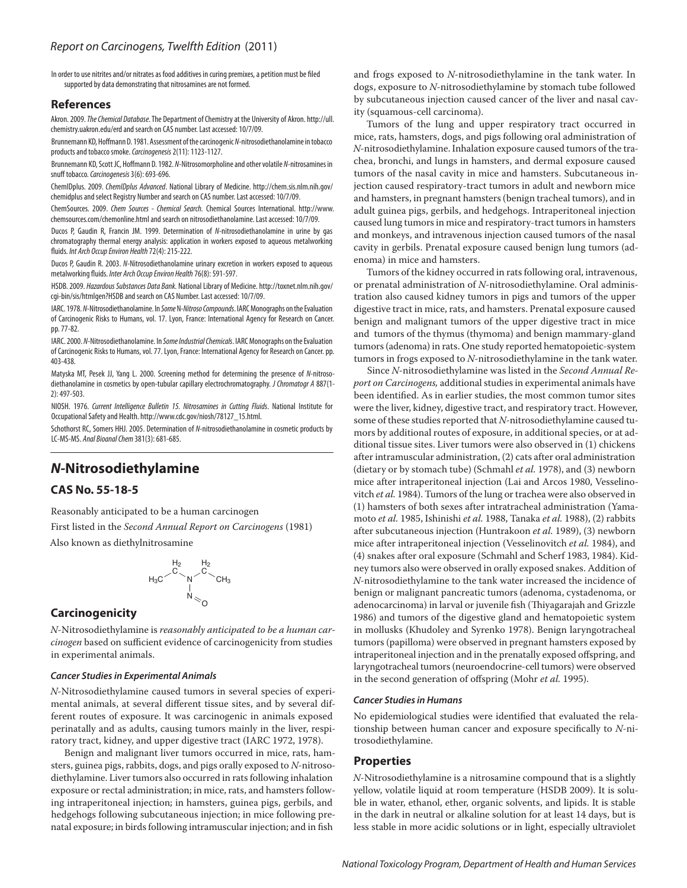In order to use nitrites and/or nitrates as food additives in curing premixes, a petition must be filed supported by data demonstrating that nitrosamines are not formed.

#### **References**

Akron. 2009. *The Chemical Database*. The Department of Chemistry at the University of Akron. http://ull. chemistry.uakron.edu/erd and search on CAS number. Last accessed: 10/7/09.

Brunnemann KD, Hoffmann D. 1981. Assessment of the carcinogenic *N*-nitrosodiethanolamine in tobacco products and tobacco smoke. *Carcinogenesis* 2(11): 1123-1127.

Brunnemann KD, Scott JC, Hoffmann D. 1982. *N*-Nitrosomorpholine and other volatile *N*-nitrosamines in snuff tobacco. *Carcinogenesis* 3(6): 693-696.

ChemIDplus. 2009. *ChemIDplus Advanced*. National Library of Medicine. http://chem.sis.nlm.nih.gov/ chemidplus and select Registry Number and search on CAS number. Last accessed: 10/7/09.

ChemSources. 2009. *Chem Sources - Chemical Search.* Chemical Sources International. http://www. chemsources.com/chemonline.html and search on nitrosodiethanolamine. Last accessed: 10/7/09.

Ducos P, Gaudin R, Francin JM. 1999. Determination of *N*-nitrosodiethanolamine in urine by gas chromatography thermal energy analysis: application in workers exposed to aqueous metalworking fluids. *Int Arch Occup Environ Health* 72(4): 215-222.

Ducos P, Gaudin R. 2003. *N*-Nitrosodiethanolamine urinary excretion in workers exposed to aqueous metalworking fluids. *Inter Arch Occup Environ Health* 76(8): 591-597.

HSDB. 2009. *Hazardous Substances Data Bank.* National Library of Medicine. http://toxnet.nlm.nih.gov/ cgi-bin/sis/htmlgen?HSDB and search on CAS Number. Last accessed: 10/7/09.

IARC. 1978. *N*-Nitrosodiethanolamine. In *Some* N*-Nitroso Compounds*. IARC Monographs on the Evaluation of Carcinogenic Risks to Humans, vol. 17. Lyon, France: International Agency for Research on Cancer. pp. 77-82.

IARC. 2000. *N*-Nitrosodiethanolamine. In *Some Industrial Chemicals*. IARC Monographs on the Evaluation of Carcinogenic Risks to Humans, vol. 77. Lyon, France: International Agency for Research on Cancer. pp. 403-438.

Matyska MT, Pesek JJ, Yang L. 2000. Screening method for determining the presence of *N*-nitrosodiethanolamine in cosmetics by open-tubular capillary electrochromatography. *J Chromatogr A* 887(1- 2): 497-503.

NIOSH. 1976. *Current Intelligence Bulletin 15. Nitrosamines in Cutting Fluids*. National Institute for Occupational Safety and Health. http://www.cdc.gov/niosh/78127\_15.html.

Schothorst RC, Somers HHJ. 2005. Determination of *N*-nitrosodiethanolamine in cosmetic products by LC-MS-MS. *Anal Bioanal Chem* 381(3): 681-685.

# *N-***Nitrosodiethylamine**

### **CAS No. 55-18-5**

Reasonably anticipated to be a human carcinogen

First listed in the *Second Annual Report on Carcinogens* (1981)

Also known as diethylnitrosamine



### **Carcinogenicity**

*N*-Nitrosodiethylamine is *reasonably anticipated to be a human car‑ cinogen* based on sufficient evidence of carcinogenicity from studies in experimental animals.

#### *Cancer Studies in Experimental Animals*

*N‑*Nitrosodiethylamine caused tumors in several species of experimental animals, at several different tissue sites, and by several different routes of exposure. It was carcinogenic in animals exposed perinatally and as adults, causing tumors mainly in the liver, respiratory tract, kidney, and upper digestive tract (IARC 1972, 1978).

Benign and malignant liver tumors occurred in mice, rats, hamsters, guinea pigs, rabbits, dogs, and pigs orally exposed to *N‑*nitrosodiethylamine. Liver tumors also occurred in rats following inhalation exposure or rectal administration; in mice, rats, and hamsters following intraperitoneal injection; in hamsters, guinea pigs, gerbils, and hedgehogs following subcutaneous injection; in mice following prenatal exposure; in birds following intramuscular injection; and in fish

and frogs exposed to *N‑*nitrosodiethylamine in the tank water. In dogs, exposure to *N‑*nitrosodiethylamine by stomach tube followed by subcutaneous injection caused cancer of the liver and nasal cavity (squamous-cell carcinoma).

Tumors of the lung and upper respiratory tract occurred in mice, rats, hamsters, dogs, and pigs following oral administration of *N‑*nitrosodiethylamine. Inhalation exposure caused tumors of the trachea, bronchi, and lungs in hamsters, and dermal exposure caused tumors of the nasal cavity in mice and hamsters. Subcutaneous injection caused respiratory-tract tumors in adult and newborn mice and hamsters, in pregnant hamsters (benign tracheal tumors), and in adult guinea pigs, gerbils, and hedgehogs. Intraperitoneal injection caused lung tumors in mice and respiratory-tract tumors in hamsters and monkeys, and intravenous injection caused tumors of the nasal cavity in gerbils. Prenatal exposure caused benign lung tumors (adenoma) in mice and hamsters.

Tumors of the kidney occurred in rats following oral, intravenous, or prenatal administration of *N‑*nitrosodiethylamine. Oral administration also caused kidney tumors in pigs and tumors of the upper digestive tract in mice, rats, and hamsters. Prenatal exposure caused benign and malignant tumors of the upper digestive tract in mice and tumors of the thymus (thymoma) and benign mammary-gland tumors (adenoma) in rats. One study reported hematopoietic-system tumors in frogs exposed to *N‑*nitrosodiethylamine in the tank water.

Since *N‑*nitrosodiethylamine was listed in the *Second Annual Re‑ port on Carcinogens,* additional studies in experimental animals have been identified. As in earlier studies, the most common tumor sites were the liver, kidney, digestive tract, and respiratory tract. However, some of these studies reported that *N‑*nitrosodiethylamine caused tumors by additional routes of exposure, in additional species, or at additional tissue sites. Liver tumors were also observed in (1) chickens after intramuscular administration, (2) cats after oral administration (dietary or by stomach tube) (Schmahl *et al.* 1978), and (3) newborn mice after intraperitoneal injection (Lai and Arcos 1980, Vesselinovitch *et al.* 1984). Tumors of the lung or trachea were also observed in (1) hamsters of both sexes after intratracheal administration (Yamamoto *et al.* 1985, Ishinishi *et al.* 1988, Tanaka *et al.* 1988), (2) rabbits after subcutaneous injection (Huntrakoon *et al.* 1989), (3) newborn mice after intraperitoneal injection (Vesselinovitch *et al.* 1984), and (4) snakes after oral exposure (Schmahl and Scherf 1983, 1984). Kidney tumors also were observed in orally exposed snakes. Addition of *N‑*nitrosodiethylamine to the tank water increased the incidence of benign or malignant pancreatic tumors (adenoma, cystadenoma, or adenocarcinoma) in larval or juvenile fish (Thiyagarajah and Grizzle 1986) and tumors of the digestive gland and hematopoietic system in mollusks (Khudoley and Syrenko 1978). Benign laryngotracheal tumors (papilloma) were observed in pregnant hamsters exposed by intraperitoneal injection and in the prenatally exposed offspring, and laryngotracheal tumors (neuroendocrine-cell tumors) were observed in the second generation of offspring (Mohr *et al.* 1995).

#### *Cancer Studies in Humans*

No epidemiological studies were identified that evaluated the relationship between human cancer and exposure specifically to *N‑*nitrosodiethylamine.

#### **Properties**

*N‑*Nitrosodiethylamine is a nitrosamine compound that is a slightly yellow, volatile liquid at room temperature (HSDB 2009). It is soluble in water, ethanol, ether, organic solvents, and lipids. It is stable in the dark in neutral or alkaline solution for at least 14 days, but is less stable in more acidic solutions or in light, especially ultraviolet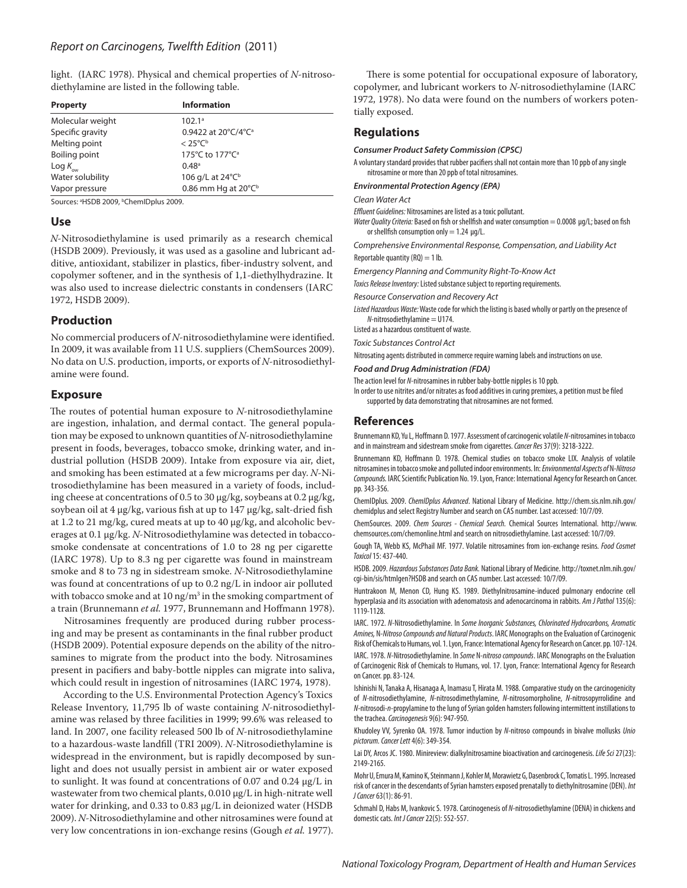light. (IARC 1978). Physical and chemical properties of *N‑*nitrosodiethylamine are listed in the following table.

| <b>Property</b>      | <b>Information</b>                  |  |
|----------------------|-------------------------------------|--|
| Molecular weight     | 102.1a                              |  |
| Specific gravity     | 0.9422 at 20°C/4°C <sup>a</sup>     |  |
| Melting point        | $<$ 25°Cb                           |  |
| <b>Boiling point</b> | 175°C to 177°C <sup>a</sup>         |  |
| Log $K_{_{\rm{ow}}}$ | 0.48 <sup>a</sup>                   |  |
| Water solubility     | 106 g/L at 24°C <sup>b</sup>        |  |
| Vapor pressure       | 0.86 mm Hg at $20^{\circ}C^{\circ}$ |  |

Sources: <sup>a</sup>HSDB 2009, <sup>b</sup>ChemIDplus 2009.

#### **Use**

*N‑*Nitrosodiethylamine is used primarily as a research chemical (HSDB 2009). Previously, it was used as a gasoline and lubricant additive, antioxidant, stabilizer in plastics, fiber-industry solvent, and copolymer softener, and in the synthesis of 1,1-diethylhydrazine. It was also used to increase dielectric constants in condensers (IARC 1972, HSDB 2009).

### **Production**

No commercial producers of *N‑*nitrosodiethylamine were identified. In 2009, it was available from 11 U.S. suppliers (ChemSources 2009). No data on U.S. production, imports, or exports of *N‑*nitrosodiethylamine were found.

### **Exposure**

The routes of potential human exposure to *N‑*nitrosodiethylamine are ingestion, inhalation, and dermal contact. The general population may be exposed to unknown quantities of *N‑*nitrosodiethylamine present in foods, beverages, tobacco smoke, drinking water, and industrial pollution (HSDB 2009). Intake from exposure via air, diet, and smoking has been estimated at a few micrograms per day. *N‑*Nitrosodiethylamine has been measured in a variety of foods, including cheese at concentrations of 0.5 to 30 μg/kg, soybeans at 0.2 μg/kg, soybean oil at 4 μg/kg, various fish at up to 147 μg/kg, salt-dried fish at 1.2 to 21 mg/kg, cured meats at up to 40 μg/kg, and alcoholic beverages at 0.1 μg/kg. *N‑*Nitrosodiethylamine was detected in tobaccosmoke condensate at concentrations of 1.0 to 28 ng per cigarette (IARC 1978). Up to 8.3 ng per cigarette was found in mainstream smoke and 8 to 73 ng in sidestream smoke. *N‑*Nitrosodiethylamine was found at concentrations of up to 0.2 ng/L in indoor air polluted with tobacco smoke and at  $10 \text{ ng/m}^3$  in the smoking compartment of a train (Brunnemann *et al.* 1977, Brunnemann and Hoffmann 1978).

Nitrosamines frequently are produced during rubber processing and may be present as contaminants in the final rubber product (HSDB 2009). Potential exposure depends on the ability of the nitrosamines to migrate from the product into the body. Nitrosamines present in pacifiers and baby-bottle nipples can migrate into saliva, which could result in ingestion of nitrosamines (IARC 1974, 1978).

According to the U.S. Environmental Protection Agency's Toxics Release Inventory, 11,795 lb of waste containing *N‑*nitrosodiethylamine was relased by three facilities in 1999; 99.6% was released to land. In 2007, one facility released 500 lb of *N‑*nitrosodiethylamine to a hazardous-waste landfill (TRI 2009). *N‑*Nitrosodiethylamine is widespread in the environment, but is rapidly decomposed by sunlight and does not usually persist in ambient air or water exposed to sunlight. It was found at concentrations of 0.07 and 0.24 μg/L in wastewater from two chemical plants, 0.010 μg/L in high-nitrate well water for drinking, and 0.33 to 0.83 μg/L in deionized water (HSDB 2009). *N‑*Nitrosodiethylamine and other nitrosamines were found at very low concentrations in ion-exchange resins (Gough *et al.* 1977).

There is some potential for occupational exposure of laboratory, copolymer, and lubricant workers to *N‑*nitrosodiethylamine (IARC 1972, 1978). No data were found on the numbers of workers potentially exposed.

#### **Regulations**

*Consumer Product Safety Commission (CPSC)*

A voluntary standard provides that rubber pacifiers shall not contain more than 10 ppb of any single nitrosamine or more than 20 ppb of total nitrosamines.

*Environmental Protection Agency (EPA)*

#### *Clean Water Act*

*Effluent Guidelines:* Nitrosamines are listed as a toxic pollutant.

*Water Quality Criteria:* Based on fish or shellfish and water consumption = 0.0008 μg/L; based on fish or shellfish consumption only =  $1.24 \mu g/L$ .

*Comprehensive Environmental Response, Compensation, and Liability Act* Reportable quantity  $(RQ) = 1$  lb.

*Emergency Planning and Community Right-To-Know Act*

*Toxics Release Inventory:* Listed substance subject to reporting requirements.

*Resource Conservation and Recovery Act*

*Listed Hazardous Waste:* Waste code for which the listing is based wholly or partly on the presence of *N-*nitrosodiethylamine = U174.

Listed as a hazardous constituent of waste.

*Toxic Substances Control Act*

Nitrosating agents distributed in commerce require warning labels and instructions on use.

*Food and Drug Administration (FDA)*

The action level for *N-*nitrosamines in rubber baby-bottle nipples is 10 ppb.

In order to use nitrites and/or nitrates as food additives in curing premixes, a petition must be filed supported by data demonstrating that nitrosamines are not formed.

#### **References**

Brunnemann KD, Yu L, Hoffmann D. 1977. Assessment of carcinogenic volatile *N*-nitrosamines in tobacco and in mainstream and sidestream smoke from cigarettes. *Cancer Res* 37(9): 3218-3222.

Brunnemann KD, Hoffmann D. 1978. Chemical studies on tobacco smoke LIX. Analysis of volatile nitrosamines in tobacco smoke and polluted indoor environments. In: *Environmental Aspects of* N-*Nitroso Compounds.* IARC Scientific Publication No. 19. Lyon, France: International Agency for Research on Cancer. pp. 343-356.

ChemIDplus. 2009. *ChemIDplus Advanced*. National Library of Medicine. http://chem.sis.nlm.nih.gov/ chemidplus and select Registry Number and search on CAS number. Last accessed: 10/7/09.

ChemSources. 2009. *Chem Sources - Chemical Search.* Chemical Sources International. http://www. chemsources.com/chemonline.html and search on nitrosodiethylamine. Last accessed: 10/7/09.

Gough TA, Webb KS, McPhail MF. 1977. Volatile nitrosamines from ion-exchange resins. *Food Cosmet Toxicol* 15: 437-440.

HSDB. 2009. *Hazardous Substances Data Bank.* National Library of Medicine. http://toxnet.nlm.nih.gov/ cgi-bin/sis/htmlgen?HSDB and search on CAS number. Last accessed: 10/7/09.

Huntrakoon M, Menon CD, Hung KS. 1989. Diethylnitrosamine-induced pulmonary endocrine cell hyperplasia and its association with adenomatosis and adenocarcinoma in rabbits. *Am J Pathol* 135(6): 1119-1128.

IARC. 1972. *N*-Nitrosodiethylamine. In *Some Inorganic Substances, Chlorinated Hydrocarbons, Aromatic Amines,* N*-Nitroso Compounds and Natural Products*. IARC Monographs on the Evaluation of Carcinogenic Risk of Chemicals to Humans, vol. 1. Lyon, France: International Agency for Research on Cancer.pp. 107-124. IARC. 1978. *N*-Nitrosodiethylamine. In *Some* N*-nitroso compounds*. IARC Monographs on the Evaluation of Carcinogenic Risk of Chemicals to Humans, vol. 17. Lyon, France: International Agency for Research on Cancer.pp. 83-124.

Ishinishi N, Tanaka A, Hisanaga A, Inamasu T, Hirata M. 1988. Comparative study on the carcinogenicity of *N*-nitrosodiethylamine, *N*-nitrosodimethylamine, *N*-nitrosomorpholine, *N*-nitrosopyrrolidine and *N*-nitrosodi-*n*-propylamine to the lung of Syrian golden hamsters following intermittent instillations to the trachea. *Carcinogenesis* 9(6): 947-950.

Khudoley VV, Syrenko OA. 1978. Tumor induction by *N*-nitroso compounds in bivalve mollusks *Unio pictorum.Cancer Lett* 4(6): 349-354.

Lai DY, Arcos JC. 1980. Minireview: dialkylnitrosamine bioactivation and carcinogenesis. *Life Sci* 27(23): 2149-2165.

Mohr U, Emura M, Kamino K, Steinmann J, Kohler M, Morawietz G, Dasenbrock C, Tomatis L. 1995. Increased risk of cancer in the descendants of Syrian hamsters exposed prenatally to diethylnitrosamine (DEN). *Int J Cancer* 63(1): 86-91.

Schmahl D, Habs M, Ivankovic S. 1978. Carcinogenesis of *N*-nitrosodiethylamine (DENA) in chickens and domestic cats. *Int J Cancer* 22(5): 552-557.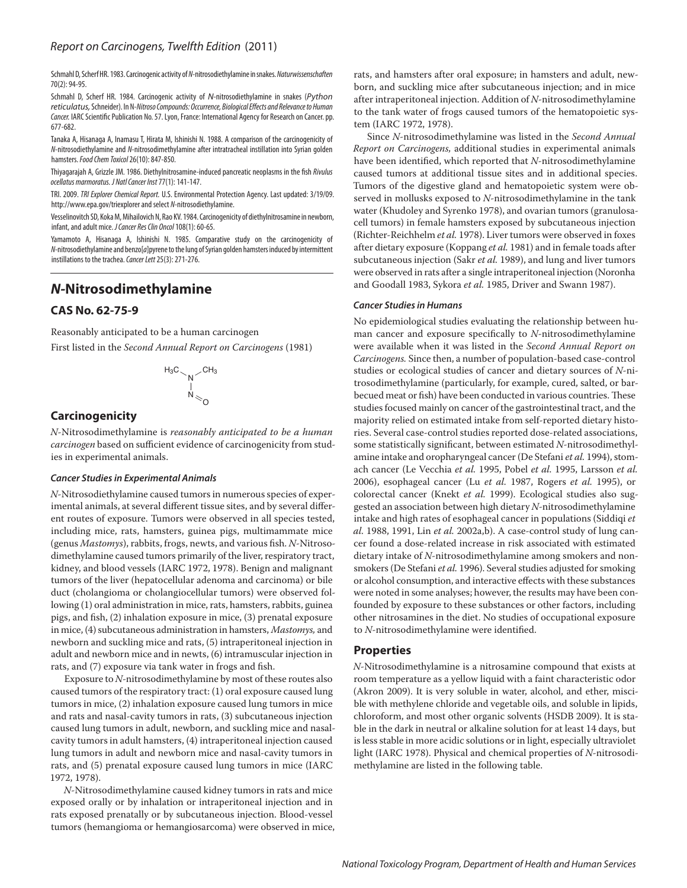Schmahl D, Scherf HR. 1983. Carcinogenic activity of *N*-nitrosodiethylamine in snakes. *Naturwissenschaften* 70(2): 94-95.

Schmahl D, Scherf HR. 1984. Carcinogenic activity of *N*-nitrosodiethylamine in snakes (*Python reticulatus,* Schneider). In N-*Nitroso Compounds: Occurrence, Biological Effects and Relevance to Human Cancer.* IARC Scientific Publication No. 57. Lyon, France: International Agency for Research on Cancer. pp. 677-682.

Tanaka A, Hisanaga A, Inamasu T, Hirata M, Ishinishi N. 1988. A comparison of the carcinogenicity of *N*-nitrosodiethylamine and *N*-nitrosodimethylamine after intratracheal instillation into Syrian golden hamsters. *Food Chem Toxicol* 26(10): 847-850.

Thiyagarajah A, Grizzle JM. 1986. Diethylnitrosamine-induced pancreatic neoplasms in the fish *Rivulus ocellatus marmoratus. J Natl Cancer Inst* 77(1): 141-147.

TRI. 2009. *TRI Explorer Chemical Report.* U.S. Environmental Protection Agency. Last updated: 3/19/09. http://www.epa.gov/triexplorer and select *N-*nitrosodiethylamine.

Vesselinovitch SD, Koka M, Mihailovich N, Rao KV. 1984. Carcinogenicity of diethylnitrosamine in newborn, infant, and adult mice. *J Cancer Res Clin Oncol* 108(1): 60-65.

Yamamoto A, Hisanaga A, Ishinishi N. 1985. Comparative study on the carcinogenicity of *N*-nitrosodiethylamine and benzo[*a*]pyrene to the lung of Syrian golden hamsters induced by intermittent instillations to the trachea. *Cancer Lett* 25(3): 271-276.

# *N-***Nitrosodimethylamine**

# **CAS No. 62-75-9**

Reasonably anticipated to be a human carcinogen First listed in the *Second Annual Report on Carcinogens* (1981)



# **Carcinogenicity**

*N*-Nitrosodimethylamine is *reasonably anticipated to be a human carcinogen* based on sufficient evidence of carcinogenicity from studies in experimental animals.

### *Cancer Studies in Experimental Animals*

*N‑*Nitrosodiethylamine caused tumors in numerous species of experimental animals, at several different tissue sites, and by several different routes of exposure. Tumors were observed in all species tested, including mice, rats, hamsters, guinea pigs, multimammate mice (genus *Mastomys*), rabbits, frogs, newts, and various fish. *N‑*Nitrosodimethylamine caused tumors primarily of the liver, respiratory tract, kidney, and blood vessels (IARC 1972, 1978). Benign and malignant tumors of the liver (hepatocellular adenoma and carcinoma) or bile duct (cholangioma or cholangiocellular tumors) were observed following (1) oral administration in mice, rats, hamsters, rabbits, guinea pigs, and fish, (2) inhalation exposure in mice, (3) prenatal exposure in mice, (4) subcutaneous administration in hamsters, *Mastomys,* and newborn and suckling mice and rats, (5) intraperitoneal injection in adult and newborn mice and in newts, (6) intramuscular injection in rats, and (7) exposure via tank water in frogs and fish.

Exposure to *N‑*nitrosodimethylamine by most of these routes also caused tumors of the respiratory tract: (1) oral exposure caused lung tumors in mice, (2) inhalation exposure caused lung tumors in mice and rats and nasal-cavity tumors in rats, (3) subcutaneous injection caused lung tumors in adult, newborn, and suckling mice and nasalcavity tumors in adult hamsters, (4) intraperitoneal injection caused lung tumors in adult and newborn mice and nasal-cavity tumors in rats, and (5) prenatal exposure caused lung tumors in mice (IARC 1972, 1978).

*N‑*Nitrosodimethylamine caused kidney tumors in rats and mice exposed orally or by inhalation or intraperitoneal injection and in rats exposed prenatally or by subcutaneous injection. Blood-vessel tumors (hemangioma or hemangiosarcoma) were observed in mice, rats, and hamsters after oral exposure; in hamsters and adult, newborn, and suckling mice after subcutaneous injection; and in mice after intraperitoneal injection. Addition of *N‑*nitrosodimethylamine to the tank water of frogs caused tumors of the hematopoietic system (IARC 1972, 1978).

Since *N‑*nitrosodimethylamine was listed in the *Second Annual Report on Carcinogens,* additional studies in experimental animals have been identified, which reported that *N‑*nitrosodimethylamine caused tumors at additional tissue sites and in additional species. Tumors of the digestive gland and hematopoietic system were observed in mollusks exposed to *N‑*nitrosodimethylamine in the tank water (Khudoley and Syrenko 1978), and ovarian tumors (granulosacell tumors) in female hamsters exposed by subcutaneous injection (Richter-Reichhelm *et al.* 1978). Liver tumors were observed in foxes after dietary exposure (Koppang *et al.* 1981) and in female toads after subcutaneous injection (Sakr *et al.* 1989), and lung and liver tumors were observed in rats after a single intraperitoneal injection (Noronha and Goodall 1983, Sykora *et al.* 1985, Driver and Swann 1987).

#### *Cancer Studies in Humans*

No epidemiological studies evaluating the relationship between human cancer and exposure specifically to *N‑*nitrosodimethylamine were available when it was listed in the *Second Annual Report on Carcinogens.* Since then, a number of population-based case-control studies or ecological studies of cancer and dietary sources of *N‑*nitrosodimethylamine (particularly, for example, cured, salted, or barbecued meat or fish) have been conducted in various countries. These studies focused mainly on cancer of the gastrointestinal tract, and the majority relied on estimated intake from self-reported dietary histories. Several case-control studies reported dose-related associations, some statistically significant, between estimated *N‑*nitrosodimethylamine intake and oropharyngeal cancer (De Stefani *et al.* 1994), stomach cancer (Le Vecchia *et al.* 1995, Pobel *et al.* 1995, Larsson *et al.* 2006), esophageal cancer (Lu *et al.* 1987, Rogers *et al.* 1995), or colorectal cancer (Knekt *et al.* 1999). Ecological studies also suggested an association between high dietary *N‑*nitrosodimethylamine intake and high rates of esophageal cancer in populations (Siddiqi *et al.* 1988, 1991, Lin *et al.* 2002a,b). A case-control study of lung cancer found a dose-related increase in risk associated with estimated dietary intake of *N‑*nitrosodimethylamine among smokers and nonsmokers (De Stefani *et al.* 1996). Several studies adjusted for smoking or alcohol consumption, and interactive effects with these substances were noted in some analyses; however, the results may have been confounded by exposure to these substances or other factors, including other nitrosamines in the diet. No studies of occupational exposure to *N‑*nitrosodimethylamine were identified.

### **Properties**

*N-*Nitrosodimethylamine is a nitrosamine compound that exists at room temperature as a yellow liquid with a faint characteristic odor (Akron 2009). It is very soluble in water, alcohol, and ether, miscible with methylene chloride and vegetable oils, and soluble in lipids, chloroform, and most other organic solvents (HSDB 2009). It is stable in the dark in neutral or alkaline solution for at least 14 days, but is less stable in more acidic solutions or in light, especially ultraviolet light (IARC 1978). Physical and chemical properties of *N‑*nitrosodimethylamine are listed in the following table.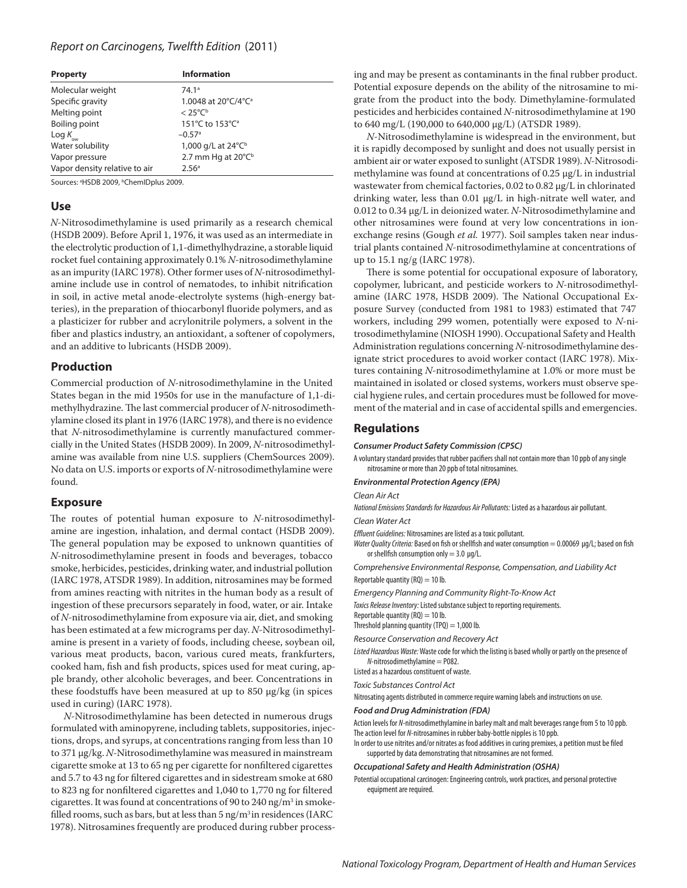| <b>Property</b>               | <b>Information</b>                 |
|-------------------------------|------------------------------------|
| Molecular weight              | 74.1a                              |
| Specific gravity              | 1.0048 at 20°C/4°C <sup>a</sup>    |
| Melting point                 | $<$ 25°Cb                          |
| Boiling point                 | 151°C to 153°Cª                    |
| Log $K_{_{\rm{ow}}}$          | $-0.57$ <sup>a</sup>               |
| Water solubility              | 1,000 g/L at $24^{\circ}C^{\circ}$ |
| Vapor pressure                | 2.7 mm Hq at 20°C <sup>b</sup>     |
| Vapor density relative to air | 2.56 <sup>a</sup>                  |

Sources: <sup>a</sup>HSDB 2009, <sup>b</sup>ChemIDplus 2009.

#### **Use**

*N-*Nitrosodimethylamine is used primarily as a research chemical (HSDB 2009). Before April 1, 1976, it was used as an intermediate in the electrolytic production of 1,1-dimethylhydrazine, a storable liquid rocket fuel containing approximately 0.1% *N‑*nitrosodimethylamine as an impurity (IARC 1978). Other former uses of *N‑*nitrosodimethylamine include use in control of nematodes, to inhibit nitrification in soil, in active metal anode-electrolyte systems (high-energy batteries), in the preparation of thiocarbonyl fluoride polymers, and as a plasticizer for rubber and acrylonitrile polymers, a solvent in the fiber and plastics industry, an antioxidant, a softener of copolymers, and an additive to lubricants (HSDB 2009).

#### **Production**

Commercial production of *N‑*nitrosodimethylamine in the United States began in the mid 1950s for use in the manufacture of 1,1-dimethylhydrazine. The last commercial producer of *N‑*nitrosodimethylamine closed its plant in 1976 (IARC 1978), and there is no evidence that *N‑*nitrosodimethylamine is currently manufactured commercially in the United States (HSDB 2009). In 2009, *N‑*nitrosodimethylamine was available from nine U.S. suppliers (ChemSources 2009). No data on U.S. imports or exports of *N‑*nitrosodimethylamine were found.

#### **Exposure**

The routes of potential human exposure to *N‑*nitrosodimethylamine are ingestion, inhalation, and dermal contact (HSDB 2009). The general population may be exposed to unknown quantities of *N‑*nitrosodimethylamine present in foods and beverages, tobacco smoke, herbicides, pesticides, drinking water, and industrial pollution (IARC 1978, ATSDR 1989). In addition, nitrosamines may be formed from amines reacting with nitrites in the human body as a result of ingestion of these precursors separately in food, water, or air. Intake of *N‑*nitrosodimethylamine from exposure via air, diet, and smoking has been estimated at a few micrograms per day. *N‑*Nitrosodimethylamine is present in a variety of foods, including cheese, soybean oil, various meat products, bacon, various cured meats, frankfurters, cooked ham, fish and fish products, spices used for meat curing, apple brandy, other alcoholic beverages, and beer. Concentrations in these foodstuffs have been measured at up to 850 μg/kg (in spices used in curing) (IARC 1978).

*N‑*Nitrosodimethylamine has been detected in numerous drugs formulated with aminopyrene, including tablets, suppositories, injections, drops, and syrups, at concentrations ranging from less than 10 to 371 μg/kg. *N‑*Nitrosodimethylamine was measured in mainstream cigarette smoke at 13 to 65 ng per cigarette for nonfiltered cigarettes and 5.7 to 43 ng for filtered cigarettes and in sidestream smoke at 680 to 823 ng for nonfiltered cigarettes and 1,040 to 1,770 ng for filtered cigarettes. It was found at concentrations of 90 to 240 ng/m<sup>3</sup> in smokefilled rooms, such as bars, but at less than  $5$  ng/ $m<sup>3</sup>$  in residences (IARC 1978). Nitrosamines frequently are produced during rubber process-

ing and may be present as contaminants in the final rubber product. Potential exposure depends on the ability of the nitrosamine to migrate from the product into the body. Dimethylamine-formulated pesticides and herbicides contained *N‑*nitrosodimethylamine at 190 to 640 mg/L (190,000 to 640,000 μg/L) (ATSDR 1989).

*N‑*Nitrosodimethylamine is widespread in the environment, but it is rapidly decomposed by sunlight and does not usually persist in ambient air or water exposed to sunlight (ATSDR 1989). *N‑*Nitrosodimethylamine was found at concentrations of 0.25 μg/L in industrial wastewater from chemical factories, 0.02 to 0.82 μg/L in chlorinated drinking water, less than 0.01 μg/L in high-nitrate well water, and 0.012 to 0.34 μg/L in deionized water. *N‑*Nitrosodimethylamine and other nitrosamines were found at very low concentrations in ionexchange resins (Gough *et al.* 1977). Soil samples taken near industrial plants contained *N‑*nitrosodimethylamine at concentrations of up to 15.1 ng/g (IARC 1978).

There is some potential for occupational exposure of laboratory, copolymer, lubricant, and pesticide workers to *N‑*nitrosodimethylamine (IARC 1978, HSDB 2009). The National Occupational Exposure Survey (conducted from 1981 to 1983) estimated that 747 workers, including 299 women, potentially were exposed to *N‑*nitrosodimethylamine (NIOSH 1990). Occupational Safety and Health Administration regulations concerning *N‑*nitrosodimethylamine designate strict procedures to avoid worker contact (IARC 1978). Mixtures containing *N‑*nitrosodimethylamine at 1.0% or more must be maintained in isolated or closed systems, workers must observe special hygiene rules, and certain procedures must be followed for movement of the material and in case of accidental spills and emergencies.

#### **Regulations**

*Consumer Product Safety Commission (CPSC)*

A voluntary standard provides that rubber pacifiers shall not contain more than 10 ppb of any single nitrosamine or more than 20 ppb of total nitrosamines.

#### *Environmental Protection Agency (EPA)*

#### *Clean Air Act*

*National Emissions Standards for Hazardous Air Pollutants:* Listed as a hazardous air pollutant. *Clean Water Act*

- *Effluent Guidelines:* Nitrosamines are listed as a toxic pollutant.
- *Water Quality Criteria:* Based on fish or shellfish and water consumption = 0.00069 μg/L; based on fish or shellfish consumption only = 3.0 μg/L.

*Comprehensive Environmental Response, Compensation, and Liability Act* Reportable quantity ( $RQ$ ) = 10 lb.

- *Emergency Planning and Community Right-To-Know Act*
- *Toxics Release Inventory:* Listed substance subject to reporting requirements.

Reportable quantity  $(RQ) = 10$  lb. Threshold planning quantity (TPQ)  $=$  1,000 lb.

*Resource Conservation and Recovery Act*

*Listed Hazardous Waste:* Waste code for which the listing is based wholly or partly on the presence of

*N-*nitrosodimethylamine = P082. Listed as a hazardous constituent of waste.

*Toxic Substances Control Act* 

Nitrosating agents distributed in commerce require warning labels and instructions on use.

#### *Food and Drug Administration (FDA)*

Action levels for *N-*nitrosodimethylamine in barley malt and malt beverages range from 5 to 10 ppb. The action level for *N-*nitrosamines in rubber baby-bottle nipples is 10 ppb.

In order to use nitrites and/or nitrates as food additives in curing premixes, a petition must be filed supported by data demonstrating that nitrosamines are not formed.

#### *Occupational Safety and Health Administration (OSHA)*

Potential occupational carcinogen: Engineering controls, work practices, and personal protective equipment are required.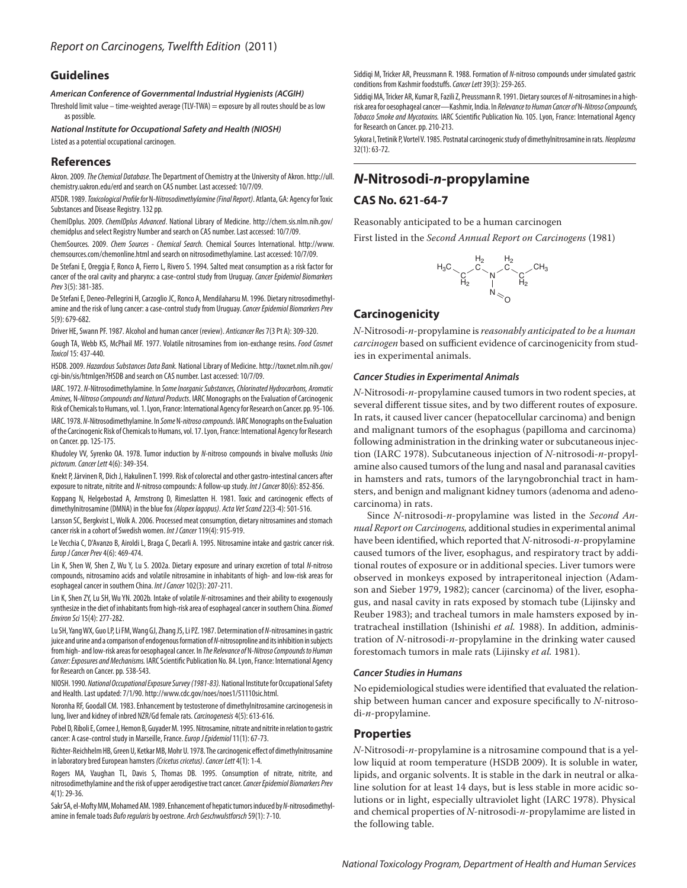# **Guidelines**

*American Conference of Governmental Industrial Hygienists (ACGIH)*

Threshold limit value – time-weighted average (TLV-TWA) = exposure by all routes should be as low as possible.

*National Institute for Occupational Safety and Health (NIOSH)*

Listed as a potential occupational carcinogen.

### **References**

Akron. 2009. *The Chemical Database*. The Department of Chemistry at the University of Akron. http://ull. chemistry.uakron.edu/erd and search on CAS number. Last accessed: 10/7/09.

ATSDR. 1989. *Toxicological Profile for* N*-Nitrosodimethylamine (Final Report)*. Atlanta, GA: Agency for Toxic Substances and Disease Registry. 132 pp.

ChemIDplus. 2009. *ChemIDplus Advanced*. National Library of Medicine. http://chem.sis.nlm.nih.gov/ chemidplus and select Registry Number and search on CAS number. Last accessed: 10/7/09.

ChemSources. 2009. *Chem Sources - Chemical Search.* Chemical Sources International. http://www. chemsources.com/chemonline.html and search on nitrosodimethylamine. Last accessed: 10/7/09.

De Stefani E, Oreggia F, Ronco A, Fierro L, Rivero S. 1994. Salted meat consumption as a risk factor for cancer of the oral cavity and pharynx: a case-control study from Uruguay. *Cancer Epidemiol Biomarkers Prev* 3(5): 381-385.

De Stefani E, Deneo-Pellegrini H, Carzoglio JC, Ronco A, Mendilaharsu M. 1996. Dietary nitrosodimethylamine and the risk of lung cancer: a case-control study from Uruguay. *Cancer Epidemiol Biomarkers Prev* 5(9): 679-682.

Driver HE, Swann PF. 1987. Alcohol and human cancer (review). *Anticancer Res* 7(3 Pt A): 309-320.

Gough TA, Webb KS, McPhail MF. 1977. Volatile nitrosamines from ion-exchange resins. *Food Cosmet Toxicol* 15: 437-440.

HSDB. 2009. *Hazardous Substances Data Bank.* National Library of Medicine. http://toxnet.nlm.nih.gov/ cgi-bin/sis/htmlgen?HSDB and search on CAS number. Last accessed: 10/7/09.

IARC. 1972. *N*-Nitrosodimethylamine. In *Some Inorganic Substances, Chlorinated Hydrocarbons, Aromatic Amines,* N*-Nitroso Compounds and Natural Products*. IARC Monographs on the Evaluation of Carcinogenic Risk of Chemicals to Humans, vol. 1. Lyon, France: International Agency for Research on Cancer.pp. 95-106. IARC. 1978. *N*-Nitrosodimethylamine. In *Some* N*-nitroso compounds*. IARC Monographs on the Evaluation of the Carcinogenic Risk of Chemicals to Humans, vol. 17. Lyon, France: International Agency for Research on Cancer.pp. 125-175.

Khudoley VV, Syrenko OA. 1978. Tumor induction by *N*-nitroso compounds in bivalve mollusks *Unio pictorum.Cancer Lett* 4(6): 349-354.

Knekt P, Järvinen R, Dich J, Hakulinen T. 1999. Risk of colorectal and other gastro-intestinal cancers after exposure to nitrate, nitrite and *N*-nitroso compounds: A follow-up study. *Int J Cancer* 80(6): 852-856.

Koppang N, Helgebostad A, Armstrong D, Rimeslatten H. 1981. Toxic and carcinogenic effects of dimethylnitrosamine (DMNA) in the blue fox *(Alopex lagopus)*. *Acta Vet Scand* 22(3-4): 501-516.

Larsson SC, Bergkvist L, Wolk A. 2006. Processed meat consumption, dietary nitrosamines and stomach cancer risk in a cohort of Swedish women. *Int J Cancer* 119(4): 915-919.

Le Vecchia C, D'Avanzo B, Airoldi L, Braga C, Decarli A. 1995. Nitrosamine intake and gastric cancer risk. *Europ J Cancer Prev* 4(6): 469-474.

Lin K, Shen W, Shen Z, Wu Y, Lu S. 2002a. Dietary exposure and urinary excretion of total *N*-nitroso compounds, nitrosamino acids and volatile nitrosamine in inhabitants of high- and low-risk areas for esophageal cancer in southern China. *Int J Cancer* 102(3): 207-211.

Lin K, Shen ZY, Lu SH, Wu YN. 2002b. Intake of volatile *N*-nitrosamines and their ability to exogenously synthesize in the diet of inhabitants from high-risk area of esophageal cancer in southern China. *Biomed Environ Sci* 15(4): 277-282.

Lu SH, Yang WX, Guo LP, Li FM, Wang GJ, Zhang JS, Li PZ. 1987. Determination of *N*-nitrosamines in gastric juice and urine and a comparison of endogenous formation of *N*-nitrosoproline and its inhibition in subjects from high- and low-risk areas for oesophageal cancer. In *The Relevance of* N-*Nitroso Compounds to Human Cancer: Exposures and Mechanisms.* IARC Scientific Publication No. 84. Lyon, France: International Agency for Research on Cancer. pp. 538-543.

NIOSH. 1990. *National Occupational Exposure Survey (1981-83).* National Institute for Occupational Safety and Health. Last updated: 7/1/90. http://www.cdc.gov/noes/noes1/51110sic.html.

Noronha RF, Goodall CM. 1983. Enhancement by testosterone of dimethylnitrosamine carcinogenesis in lung, liver and kidney of inbred NZR/Gd female rats. *Carcinogenesis* 4(5): 613-616.

Pobel D, Riboli E, Cornee J, Hemon B, Guyader M. 1995. Nitrosamine, nitrate and nitrite in relation to gastric cancer: A case-control study in Marseille, France. *Europ J Epidemiol* 11(1): 67-73.

Richter-Reichhelm HB, Green U, Ketkar MB, Mohr U. 1978. The carcinogenic effect of dimethylnitrosamine in laboratory bred European hamsters *(Cricetus cricetus)*. *Cancer Lett* 4(1): 1-4.

Rogers MA, Vaughan TL, Davis S, Thomas DB. 1995. Consumption of nitrate, nitrite, and nitrosodimethylamine and the risk of upper aerodigestive tract cancer. *Cancer Epidemiol Biomarkers Prev* 4(1): 29-36.

Sakr SA, el-Mofty MM, Mohamed AM. 1989. Enhancement of hepatic tumors induced by *N*-nitrosodimethylamine in female toads *Bufo regularis* by oestrone. *Arch Geschwulstforsch* 59(1): 7-10.

Siddiqi M, Tricker AR, Preussmann R. 1988. Formation of *N*-nitroso compounds under simulated gastric conditions from Kashmir foodstuffs. *Cancer Lett* 39(3): 259-265.

Siddiqi MA, Tricker AR, Kumar R, Fazili Z, Preussmann R. 1991. Dietary sources of *N*-nitrosamines in a highrisk area for oesophageal cancer—Kashmir, India. In *Relevance to Human Cancer of* N-*Nitroso Compounds, Tobacco Smoke and Mycotoxins.* IARC Scientific Publication No. 105. Lyon, France: International Agency for Research on Cancer. pp. 210-213.

Sykora I, Tretinik P, Vortel V. 1985. Postnatal carcinogenic study of dimethylnitrosamine in rats. *Neoplasma* 32(1): 63-72.

# *N-***Nitrosodi***-n-***propylamine**

# **CAS No. 621-64-7**

Reasonably anticipated to be a human carcinogen

First listed in the *Second Annual Report on Carcinogens* (1981)



# **Carcinogenicity**

*N*-Nitrosodi-*n*-propylamine is *reasonably anticipated to be a human carcinogen* based on sufficient evidence of carcinogenicity from studies in experimental animals.

#### *Cancer Studies in Experimental Animals*

*N‑*Nitrosodi-*n*-propylamine caused tumors in two rodent species, at several different tissue sites, and by two different routes of exposure. In rats, it caused liver cancer (hepatocellular carcinoma) and benign and malignant tumors of the esophagus (papilloma and carcinoma) following administration in the drinking water or subcutaneous injection (IARC 1978). Subcutaneous injection of *N‑*nitrosodi-*n*-propylamine also caused tumors of the lung and nasal and paranasal cavities in hamsters and rats, tumors of the laryngobronchial tract in hamsters, and benign and malignant kidney tumors (adenoma and adenocarcinoma) in rats.

Since *N‑*nitrosodi-*n*-propylamine was listed in the *Second An‑ nual Report on Carcinogens,* additional studies in experimental animal have been identified, which reported that *N‑*nitrosodi-*n*-propylamine caused tumors of the liver, esophagus, and respiratory tract by additional routes of exposure or in additional species. Liver tumors were observed in monkeys exposed by intraperitoneal injection (Adamson and Sieber 1979, 1982); cancer (carcinoma) of the liver, esophagus, and nasal cavity in rats exposed by stomach tube (Lijinsky and Reuber 1983); and tracheal tumors in male hamsters exposed by intratracheal instillation (Ishinishi *et al.* 1988). In addition, administration of *N‑*nitrosodi-*n*-propylamine in the drinking water caused forestomach tumors in male rats (Lijinsky *et al.* 1981).

#### *Cancer Studies in Humans*

No epidemiological studies were identified that evaluated the relationship between human cancer and exposure specifically to *N‑*nitrosodi-*n*-propylamine.

### **Properties**

*N‑*Nitrosodi-*n*-propylamine is a nitrosamine compound that is a yellow liquid at room temperature (HSDB 2009). It is soluble in water, lipids, and organic solvents. It is stable in the dark in neutral or alkaline solution for at least 14 days, but is less stable in more acidic solutions or in light, especially ultraviolet light (IARC 1978). Physical and chemical properties of *N‑*nitrosodi-*n*-propylamime are listed in the following table.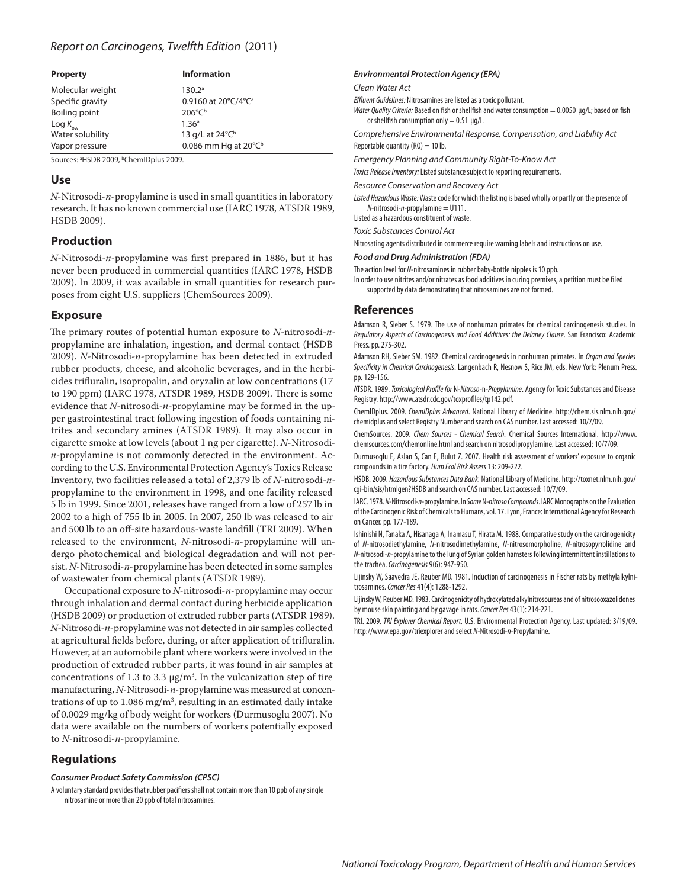| <b>Property</b>      | <b>Information</b>                   |
|----------------------|--------------------------------------|
| Molecular weight     | 130.2 <sup>a</sup>                   |
| Specific gravity     | 0.9160 at 20°C/4°C <sup>a</sup>      |
| <b>Boiling point</b> | $206^{\circ}C^{\circ}$               |
| Log $K_{\text{ow}}$  | 1.36 <sup>a</sup>                    |
| Water solubility     | 13 g/L at 24°C <sup>b</sup>          |
| Vapor pressure       | 0.086 mm Hg at $20^{\circ}C^{\circ}$ |
|                      |                                      |

Sources: <sup>a</sup>HSDB 2009, <sup>b</sup>ChemIDplus 2009.

#### **Use**

*N‑*Nitrosodi-*n*-propylamine is used in small quantities in laboratory research. It has no known commercial use (IARC 1978, ATSDR 1989, HSDB 2009).

### **Production**

*N‑*Nitrosodi-*n*-propylamine was first prepared in 1886, but it has never been produced in commercial quantities (IARC 1978, HSDB 2009). In 2009, it was available in small quantities for research purposes from eight U.S. suppliers (ChemSources 2009).

### **Exposure**

The primary routes of potential human exposure to *N‑*nitrosodi-*n*propylamine are inhalation, ingestion, and dermal contact (HSDB 2009). *N‑*Nitrosodi-*n*-propylamine has been detected in extruded rubber products, cheese, and alcoholic beverages, and in the herbicides trifluralin, isopropalin, and oryzalin at low concentrations (17 to 190 ppm) (IARC 1978, ATSDR 1989, HSDB 2009). There is some evidence that *N‑*nitrosodi-*n*-propylamine may be formed in the upper gastrointestinal tract following ingestion of foods containing nitrites and secondary amines (ATSDR 1989). It may also occur in cigarette smoke at low levels (about 1 ng per cigarette). *N‑*Nitrosodi*n*-propylamine is not commonly detected in the environment. According to the U.S. Environmental Protection Agency's Toxics Release Inventory, two facilities released a total of 2,379 lb of *N‑*nitrosodi-*n*propylamine to the environment in 1998, and one facility released 5 lb in 1999. Since 2001, releases have ranged from a low of 257 lb in 2002 to a high of 755 lb in 2005. In 2007, 250 lb was released to air and 500 lb to an off-site hazardous-waste landfill (TRI 2009). When released to the environment, *N‑*nitrosodi-*n*-propylamine will undergo photochemical and biological degradation and will not persist. *N‑*Nitrosodi-*n*-propylamine has been detected in some samples of wastewater from chemical plants (ATSDR 1989).

Occupational exposure to *N‑*nitrosodi-*n*-propylamine may occur through inhalation and dermal contact during herbicide application (HSDB 2009) or production of extruded rubber parts (ATSDR 1989). *N‑*Nitrosodi-*n*-propylamine was not detected in air samples collected at agricultural fields before, during, or after application of trifluralin. However, at an automobile plant where workers were involved in the production of extruded rubber parts, it was found in air samples at concentrations of 1.3 to 3.3  $\mu$ g/m<sup>3</sup>. In the vulcanization step of tire manufacturing, *N‑*Nitrosodi-*n*-propylamine was measured at concentrations of up to 1.086 mg/m<sup>3</sup>, resulting in an estimated daily intake of 0.0029 mg/kg of body weight for workers (Durmusoglu 2007). No data were available on the numbers of workers potentially exposed to *N‑*nitrosodi-*n*-propylamine.

### **Regulations**

*Consumer Product Safety Commission (CPSC)*

A voluntary standard provides that rubber pacifiers shall not contain more than 10 ppb of any single nitrosamine or more than 20 ppb of total nitrosamines.

#### *Environmental Protection Agency (EPA)*

#### *Clean Water Act*

*Effluent Guidelines:* Nitrosamines are listed as a toxic pollutant.

*Water Quality Criteria:* Based on fish or shellfish and water consumption = 0.0050 μg/L; based on fish or shellfish consumption only =  $0.51 \mu g/L$ .

*Comprehensive Environmental Response, Compensation, and Liability Act* Reportable quantity  $(RQ) = 10$  lb.

*Emergency Planning and Community Right-To-Know Act*

*Toxics Release Inventory:* Listed substance subject to reporting requirements.

*Resource Conservation and Recovery Act*

*Listed Hazardous Waste:* Waste code for which the listing is based wholly or partly on the presence of *N-*nitrosodi-*n*-propylamine = U111.

Listed as a hazardous constituent of waste.

*Toxic Substances Control Act* 

Nitrosating agents distributed in commerce require warning labels and instructions on use.

#### *Food and Drug Administration (FDA)*

The action level for *N-*nitrosamines in rubber baby-bottle nipples is 10 ppb.

In order to use nitrites and/or nitrates as food additives in curing premixes, a petition must be filed supported by data demonstrating that nitrosamines are not formed.

#### **References**

Adamson R, Sieber S. 1979. The use of nonhuman primates for chemical carcinogenesis studies. In *Regulatory Aspects of Carcinogenesis and Food Additives: the Delaney Clause*. San Francisco: Academic Press.pp. 275-302.

Adamson RH, Sieber SM. 1982. Chemical carcinogenesis in nonhuman primates. In *Organ and Species Specificity in Chemical Carcinogenesis*. Langenbach R, Nesnow S, Rice JM, eds. New York: Plenum Press. pp. 129-156.

ATSDR. 1989. *Toxicological Profile for* N*-Nitroso-*n*-Propylamine*. Agency for Toxic Substances and Disease Registry. http://www.atsdr.cdc.gov/toxprofiles/tp142.pdf.

ChemIDplus. 2009. *ChemIDplus Advanced*. National Library of Medicine. http://chem.sis.nlm.nih.gov/ chemidplus and select Registry Number and search on CAS number. Last accessed: 10/7/09.

ChemSources. 2009. *Chem Sources - Chemical Search.* Chemical Sources International. http://www. chemsources.com/chemonline.html and search on nitrosodipropylamine. Last accessed: 10/7/09.

Durmusoglu E, Aslan S, Can E, Bulut Z. 2007. Health risk assessment of workers' exposure to organic compounds in a tire factory. *Hum Ecol Risk Assess* 13: 209-222.

HSDB. 2009. *Hazardous Substances Data Bank.* National Library of Medicine. http://toxnet.nlm.nih.gov/ cgi-bin/sis/htmlgen?HSDB and search on CAS number. Last accessed: 10/7/09.

IARC. 1978. *N*-Nitrosodi-*n*-propylamine. In *Some* N*-nitroso Compounds*. IARC Monographs on the Evaluation of the Carcinogenic Risk of Chemicals to Humans, vol. 17. Lyon, France: International Agency for Research on Cancer.pp. 177-189.

Ishinishi N, Tanaka A, Hisanaga A, Inamasu T, Hirata M. 1988. Comparative study on the carcinogenicity of *N*-nitrosodiethylamine, *N*-nitrosodimethylamine, *N*-nitrosomorpholine, *N*-nitrosopyrrolidine and *N*-nitrosodi-*n*-propylamine to the lung of Syrian golden hamsters following intermittent instillations to the trachea. *Carcinogenesis* 9(6): 947-950.

Lijinsky W, Saavedra JE, Reuber MD. 1981. Induction of carcinogenesis in Fischer rats by methylalkylnitrosamines. *Cancer Res* 41(4): 1288-1292.

Lijinsky W, Reuber MD. 1983. Carcinogenicity of hydroxylated alkylnitrosoureas and of nitrosooxazolidones by mouse skin painting and by gavage in rats. *Cancer Res* 43(1): 214-221.

TRI. 2009. *TRI Explorer Chemical Report.* U.S. Environmental Protection Agency. Last updated: 3/19/09. http://www.epa.gov/triexplorer and select *N-*Nitrosodi-*n*-Propylamine.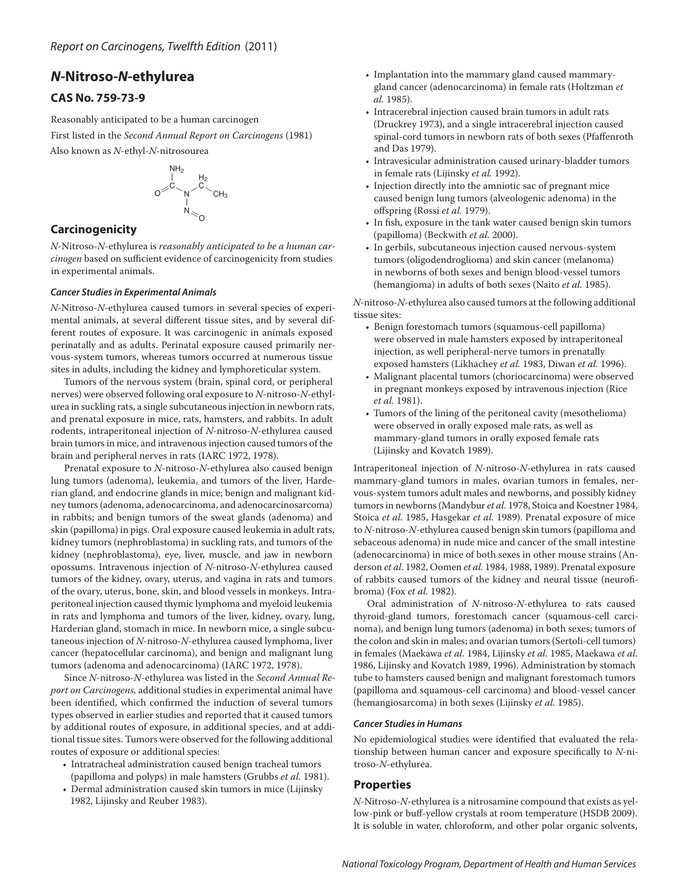# *N-***Nitroso***-N-***ethylurea**

# **CAS No. 759-73-9**

Reasonably anticipated to be a human carcinogen First listed in the *Second Annual Report on Carcinogens* (1981) Also known as *N*-ethyl-*N*-nitrosourea

$$
\begin{matrix}NH_2\\ \downarrow\\ O\leq C\searrow\\ N\searrow\\ N\searrow\\ O\end{matrix}\xrightarrow{\begin{matrix}H_2\\ \vdots\\ C\\ C\end{matrix}}\xrightarrow{C_1}
$$

# **Carcinogenicity**

*N*-Nitroso-*N*-ethylurea is *reasonably anticipated to be a human car‑ cinogen* based on sufficient evidence of carcinogenicity from studies in experimental animals.

#### *Cancer Studies in Experimental Animals*

*N‑*Nitroso-*N-*ethylurea caused tumors in several species of experimental animals, at several different tissue sites, and by several different routes of exposure. It was carcinogenic in animals exposed perinatally and as adults. Perinatal exposure caused primarily nervous-system tumors, whereas tumors occurred at numerous tissue sites in adults, including the kidney and lymphoreticular system.

Tumors of the nervous system (brain, spinal cord, or peripheral nerves) were observed following oral exposure to *N‑*nitroso-*N*-ethylurea in suckling rats, a single subcutaneous injection in newborn rats, and prenatal exposure in mice, rats, hamsters, and rabbits. In adult rodents, intraperitoneal injection of *N‑*nitroso-*N*-ethylurea caused brain tumors in mice, and intravenous injection caused tumors of the brain and peripheral nerves in rats (IARC 1972, 1978).

Prenatal exposure to *N‑*nitroso-*N*-ethylurea also caused benign lung tumors (adenoma), leukemia, and tumors of the liver, Harderian gland, and endocrine glands in mice; benign and malignant kidney tumors (adenoma, adenocarcinoma, and adenocarcinosarcoma) in rabbits; and benign tumors of the sweat glands (adenoma) and skin (papilloma) in pigs. Oral exposure caused leukemia in adult rats, kidney tumors (nephroblastoma) in suckling rats, and tumors of the kidney (nephroblastoma), eye, liver, muscle, and jaw in newborn opossums. Intravenous injection of *N‑*nitroso-*N*-ethylurea caused tumors of the kidney, ovary, uterus, and vagina in rats and tumors of the ovary, uterus, bone, skin, and blood vessels in monkeys. Intraperitoneal injection caused thymic lymphoma and myeloid leukemia in rats and lymphoma and tumors of the liver, kidney, ovary, lung, Harderian gland, stomach in mice. In newborn mice, a single subcutaneous injection of *N‑*nitroso-*N*-ethylurea caused lymphoma, liver cancer (hepatocellular carcinoma), and benign and malignant lung tumors (adenoma and adenocarcinoma) (IARC 1972, 1978).

Since *N‑*nitroso-*N*-ethylurea was listed in the *Second Annual Re‑ port on Carcinogens,* additional studies in experimental animal have been identified, which confirmed the induction of several tumors types observed in earlier studies and reported that it caused tumors by additional routes of exposure, in additional species, and at additional tissue sites. Tumors were observed for the following additional routes of exposure or additional species:

- Intratracheal administration caused benign tracheal tumors (papilloma and polyps) in male hamsters (Grubbs *et al.* 1981).
- Dermal administration caused skin tumors in mice (Lijinsky 1982, Lijinsky and Reuber 1983).
- Implantation into the mammary gland caused mammarygland cancer (adenocarcinoma) in female rats (Holtzman *et al.* 1985).
- Intracerebral injection caused brain tumors in adult rats (Druckrey 1973), and a single intracerebral injection caused spinal-cord tumors in newborn rats of both sexes (Pfaffenroth and Das 1979).
- Intravesicular administration caused urinary-bladder tumors in female rats (Lijinsky *et al.* 1992).
- Injection directly into the amniotic sac of pregnant mice caused benign lung tumors (alveologenic adenoma) in the offspring (Rossi *et al.* 1979).
- In fish, exposure in the tank water caused benign skin tumors (papilloma) (Beckwith *et al.* 2000).
- In gerbils, subcutaneous injection caused nervous-system tumors (oligodendroglioma) and skin cancer (melanoma) in newborns of both sexes and benign blood-vessel tumors (hemangioma) in adults of both sexes (Naito *et al.* 1985).

*N‑*nitroso-*N*-ethylurea also caused tumors at the following additional tissue sites:

- Benign forestomach tumors (squamous-cell papilloma) were observed in male hamsters exposed by intraperitoneal injection, as well peripheral-nerve tumors in prenatally exposed hamsters (Likhachey *et al.* 1983, Diwan *et al.* 1996).
- Malignant placental tumors (choriocarcinoma) were observed in pregnant monkeys exposed by intravenous injection (Rice *et al.* 1981).
- Tumors of the lining of the peritoneal cavity (mesothelioma) were observed in orally exposed male rats, as well as mammary-gland tumors in orally exposed female rats (Lijinsky and Kovatch 1989).

Intraperitoneal injection of *N‑*nitroso-*N*-ethylurea in rats caused mammary-gland tumors in males, ovarian tumors in females, nervous-system tumors adult males and newborns, and possibly kidney tumors in newborns (Mandybur *et al.* 1978, Stoica and Koestner 1984, Stoica *et al.* 1985, Hasgekar *et al.* 1989). Prenatal exposure of mice to *N‑*nitroso-*N*-ethylurea caused benign skin tumors (papilloma and sebaceous adenoma) in nude mice and cancer of the small intestine (adenocarcinoma) in mice of both sexes in other mouse strains (Anderson *et al.* 1982, Oomen *et al.* 1984, 1988, 1989). Prenatal exposure of rabbits caused tumors of the kidney and neural tissue (neurofibroma) (Fox *et al.* 1982).

Oral administration of *N‑*nitroso-*N*-ethylurea to rats caused thyroid-gland tumors, forestomach cancer (squamous-cell carcinoma), and benign lung tumors (adenoma) in both sexes; tumors of the colon and skin in males; and ovarian tumors (Sertoli-cell tumors) in females (Maekawa *et al.* 1984, Lijinsky *et al.* 1985, Maekawa *et al.* 1986, Lijinsky and Kovatch 1989, 1996). Administration by stomach tube to hamsters caused benign and malignant forestomach tumors (papilloma and squamous-cell carcinoma) and blood-vessel cancer (hemangiosarcoma) in both sexes (Lijinsky *et al.* 1985).

#### *Cancer Studies in Humans*

No epidemiological studies were identified that evaluated the relationship between human cancer and exposure specifically to *N‑*nitroso-*N*-ethylurea.

### **Properties**

*N‑*Nitroso-*N*-ethylurea is a nitrosamine compound that exists as yellow-pink or buff-yellow crystals at room temperature (HSDB 2009). It is soluble in water, chloroform, and other polar organic solvents,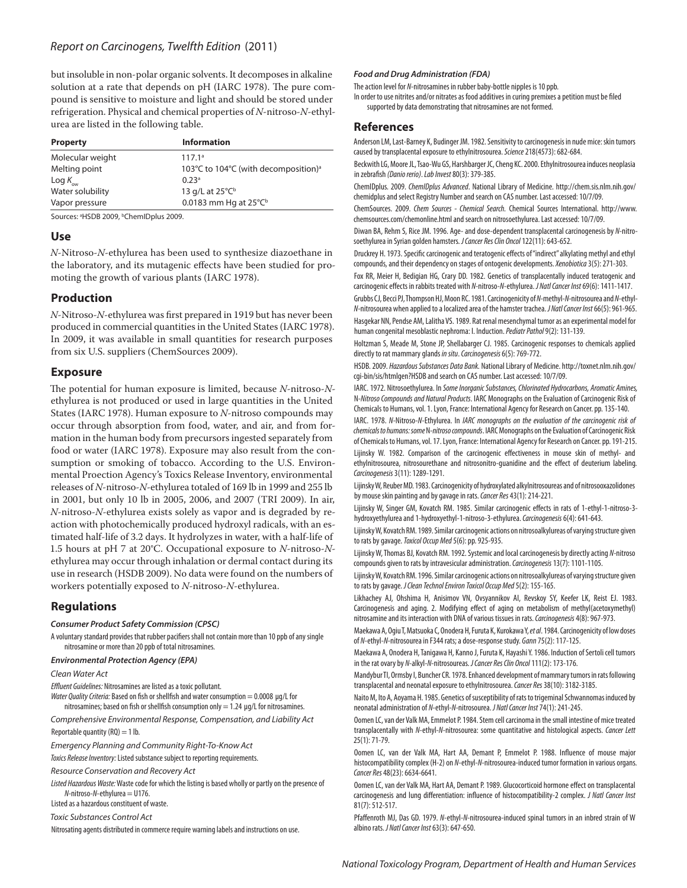but insoluble in non-polar organic solvents. It decomposes in alkaline solution at a rate that depends on pH (IARC 1978). The pure compound is sensitive to moisture and light and should be stored under refrigeration. Physical and chemical properties of *N‑*nitroso-*N*-ethylurea are listed in the following table.

| <b>Property</b>                                                                                                 | <b>Information</b>                               |
|-----------------------------------------------------------------------------------------------------------------|--------------------------------------------------|
| Molecular weight                                                                                                | 117.1 <sup>a</sup>                               |
| Melting point                                                                                                   | 103°C to 104°C (with decomposition) <sup>a</sup> |
| Log $K_{\text{ow}}$                                                                                             | 0.23a                                            |
| Water solubility                                                                                                | 13 g/L at 25°C <sup>b</sup>                      |
| Vapor pressure                                                                                                  | 0.0183 mm Hq at $25^{\circ}C^{\circ}$            |
| the contract of the contract of the contract of the contract of the contract of the contract of the contract of |                                                  |

Sources: <sup>a</sup>HSDB 2009, <sup>b</sup>ChemIDplus 2009.

#### **Use**

*N*-Nitroso-*N*-ethylurea has been used to synthesize diazoethane in the laboratory, and its mutagenic effects have been studied for promoting the growth of various plants (IARC 1978).

### **Production**

*N*-Nitroso-*N*-ethylurea was first prepared in 1919 but has never been produced in commercial quantities in the United States (IARC 1978). In 2009, it was available in small quantities for research purposes from six U.S. suppliers (ChemSources 2009).

#### **Exposure**

The potential for human exposure is limited, because *N‑*nitroso-*N*ethylurea is not produced or used in large quantities in the United States (IARC 1978). Human exposure to *N‑*nitroso compounds may occur through absorption from food, water, and air, and from formation in the human body from precursors ingested separately from food or water (IARC 1978). Exposure may also result from the consumption or smoking of tobacco. According to the U.S. Environmental Proection Agency's Toxics Release Inventory, environmental releases of *N*-nitroso-*N*-ethylurea totaled of 169 lb in 1999 and 255 lb in 2001, but only 10 lb in 2005, 2006, and 2007 (TRI 2009). In air, *N*-nitroso-*N*-ethylurea exists solely as vapor and is degraded by reaction with photochemically produced hydroxyl radicals, with an estimated half-life of 3.2 days. It hydrolyzes in water, with a half-life of 1.5 hours at pH 7 at 20°C. Occupational exposure to *N*-nitroso-*N*ethylurea may occur through inhalation or dermal contact during its use in research (HSDB 2009). No data were found on the numbers of workers potentially exposed to *N‑*nitroso-*N*-ethylurea.

### **Regulations**

#### *Consumer Product Safety Commission (CPSC)*

A voluntary standard provides that rubber pacifiers shall not contain more than 10 ppb of any single nitrosamine or more than 20 ppb of total nitrosamines.

#### *Environmental Protection Agency (EPA)*

#### *Clean Water Act*

*Effluent Guidelines:* Nitrosamines are listed as a toxic pollutant.

*Water Quality Criteria:* Based on fish or shellfish and water consumption = 0.0008 μg/L for

nitrosamines; based on fish or shellfish consumption only =  $1.24 \mu$ g/L for nitrosamines.

*Comprehensive Environmental Response, Compensation, and Liability Act* Reportable quantity  $(RQ) = 1$  lb.

*Emergency Planning and Community Right-To-Know Act*

*Toxics Release Inventory:* Listed substance subject to reporting requirements.

*Resource Conservation and Recovery Act*

*Listed Hazardous Waste:* Waste code for which the listing is based wholly or partly on the presence of *N-*nitroso-*N*-ethylurea = U176.

Listed as a hazardous constituent of waste.

*Toxic Substances Control Act*

Nitrosating agents distributed in commerce require warning labels and instructions on use.

#### *Food and Drug Administration (FDA)*

The action level for *N-*nitrosamines in rubber baby-bottle nipples is 10 ppb.

In order to use nitrites and/or nitrates as food additives in curing premixes a petition must be filed supported by data demonstrating that nitrosamines are not formed.

#### **References**

Anderson LM, Last-Barney K, Budinger JM. 1982. Sensitivity to carcinogenesis in nude mice: skin tumors caused by transplacental exposure to ethylnitrosourea. *Science* 218(4573): 682-684.

Beckwith LG, Moore JL, Tsao-Wu GS, Harshbarger JC, Cheng KC. 2000. Ethylnitrosourea induces neoplasia in zebrafish *(Danio rerio)*. *Lab Invest* 80(3): 379-385.

ChemIDplus. 2009. *ChemIDplus Advanced*. National Library of Medicine. http://chem.sis.nlm.nih.gov/ chemidplus and select Registry Number and search on CAS number. Last accessed: 10/7/09.

ChemSources. 2009. *Chem Sources - Chemical Search.* Chemical Sources International. http://www. chemsources.com/chemonline.html and search on nitrosoethylurea. Last accessed: 10/7/09.

Diwan BA, Rehm S, Rice JM. 1996. Age- and dose-dependent transplacental carcinogenesis by *N*-nitrosoethylurea in Syrian golden hamsters. *J Cancer Res Clin Oncol* 122(11): 643-652.

Druckrey H. 1973. Specific carcinogenic and teratogenic effects of "indirect" alkylating methyl and ethyl compounds, and their dependency on stages of ontogenic developments. *Xenobiotica* 3(5): 271-303.

Fox RR, Meier H, Bedigian HG, Crary DD. 1982. Genetics of transplacentally induced teratogenic and carcinogenic effects in rabbits treated with *N*-nitroso-*N*-ethylurea. *J Natl Cancer Inst* 69(6): 1411-1417.

Grubbs CJ, Becci PJ, Thompson HJ, Moon RC. 1981. Carcinogenicity of *N*-methyl-*N*-nitrosourea and *N*-ethyl-*N*-nitrosourea when applied to a localized area of the hamster trachea. *J Natl Cancer Inst* 66(5): 961-965. Hasgekar NN, Pendse AM, Lalitha VS. 1989. Rat renal mesenchymal tumor as an experimental model for human congenital mesoblastic nephroma: I. Induction. *Pediatr Pathol* 9(2): 131-139.

Holtzman S, Meade M, Stone JP, Shellabarger CJ. 1985. Carcinogenic responses to chemicals applied directly to rat mammary glands *in situ*. *Carcinogenesis* 6(5): 769-772.

HSDB. 2009. *Hazardous Substances Data Bank.* National Library of Medicine. http://toxnet.nlm.nih.gov/ cgi-bin/sis/htmlgen?HSDB and search on CAS number. Last accessed: 10/7/09.

IARC. 1972. Nitrosoethylurea. In *Some Inorganic Substances, Chlorinated Hydrocarbons, Aromatic Amines,*  N*-Nitroso Compounds and Natural Products*. IARC Monographs on the Evaluation of Carcinogenic Risk of Chemicals to Humans, vol. 1. Lyon, France: International Agency for Research on Cancer. pp. 135-140.

IARC. 1978. *N*-Nitroso-*N*-Ethylurea. In *IARC monographs on the evaluation of the carcinogenic risk of chemicals to humans: some* N*-nitroso compounds*. IARC Monographs on the Evaluation of Carcinogenic Risk of Chemicals to Humans, vol. 17. Lyon, France: International Agency for Research on Cancer.pp. 191-215.

Lijinsky W. 1982. Comparison of the carcinogenic effectiveness in mouse skin of methyl- and ethylnitrosourea, nitrosourethane and nitrosonitro-guanidine and the effect of deuterium labeling. *Carcinogenesis* 3(11): 1289-1291.

Lijinsky W, Reuber MD. 1983. Carcinogenicity of hydroxylated alkylnitrosoureas and of nitrosooxazolidones by mouse skin painting and by gavage in rats. *Cancer Res* 43(1): 214-221.

Lijinsky W, Singer GM, Kovatch RM. 1985. Similar carcinogenic effects in rats of 1-ethyl-1-nitroso-3 hydroxyethylurea and 1-hydroxyethyl-1-nitroso-3-ethylurea. *Carcinogenesis* 6(4): 641-643.

Lijinsky W, Kovatch RM. 1989. Similar carcinogenic actions on nitrosoalkylureas of varying structure given to rats by gavage. *Toxicol Occup Med* 5(6): pp. 925-935.

Lijinsky W, Thomas BJ, Kovatch RM. 1992. Systemic and local carcinogenesis by directly acting *N*-nitroso compounds given to rats by intravesicular administration. *Carcinogenesis* 13(7): 1101-1105.

Lijinsky W, Kovatch RM. 1996. Similar carcinogenic actions on nitrosoalkylureas of varying structure given to rats by gavage. *J Clean Technol Environ Toxicol Occup Med* 5(2): 155-165.

Likhachey AJ, Ohshima H, Anisimov VN, Ovsyannikov AI, Revskoy SY, Keefer LK, Reist EJ. 1983. Carcinogenesis and aging. 2. Modifying effect of aging on metabolism of methyl(acetoxymethyl) nitrosamine and its interaction with DNA of various tissues in rats. *Carcinogenesis* 4(8): 967-973.

Maekawa A, Ogiu T, Matsuoka C, Onodera H, Furuta K, Kurokawa Y, *et al*. 1984. Carcinogenicity of low doses of *N*-ethyl-*N*-nitrosourea in F344 rats; a dose-response study. *Gann* 75(2): 117-125.

Maekawa A, Onodera H, Tanigawa H, Kanno J, Furuta K, Hayashi Y. 1986. Induction of Sertoli cell tumors in the rat ovary by *N*-alkyl-*N*-nitrosoureas. *J Cancer Res Clin Oncol* 111(2): 173-176.

Mandybur TI, Ormsby I, Buncher CR. 1978. Enhanced development of mammary tumors in rats following transplacental and neonatal exposure to ethylnitrosourea. *Cancer Res* 38(10): 3182-3185.

Naito M, Ito A, Aoyama H. 1985. Genetics of susceptibility of rats to trigeminal Schwannomas induced by neonatal administration of *N*-ethyl-*N*-nitrosourea. *J Natl Cancer Inst* 74(1): 241-245.

Oomen LC, van der Valk MA, Emmelot P. 1984. Stem cell carcinoma in the small intestine of mice treated transplacentally with *N*-ethyl-*N*-nitrosourea: some quantitative and histological aspects. *Cancer Lett* 25(1): 71-79.

Oomen LC, van der Valk MA, Hart AA, Demant P, Emmelot P. 1988. Influence of mouse major histocompatibility complex (H-2) on *N*-ethyl-*N*-nitrosourea-induced tumor formation in various organs. *Cancer Res* 48(23): 6634-6641.

Oomen LC, van der Valk MA, Hart AA, Demant P. 1989. Glucocorticoid hormone effect on transplacental carcinogenesis and lung differentiation: influence of histocompatibility-2 complex. *J Natl Cancer Inst* 81(7): 512-517.

Pfaffenroth MJ, Das GD. 1979. *N*-ethyl-*N*-nitrosourea-induced spinal tumors in an inbred strain of W albino rats. *J Natl Cancer Inst* 63(3): 647-650.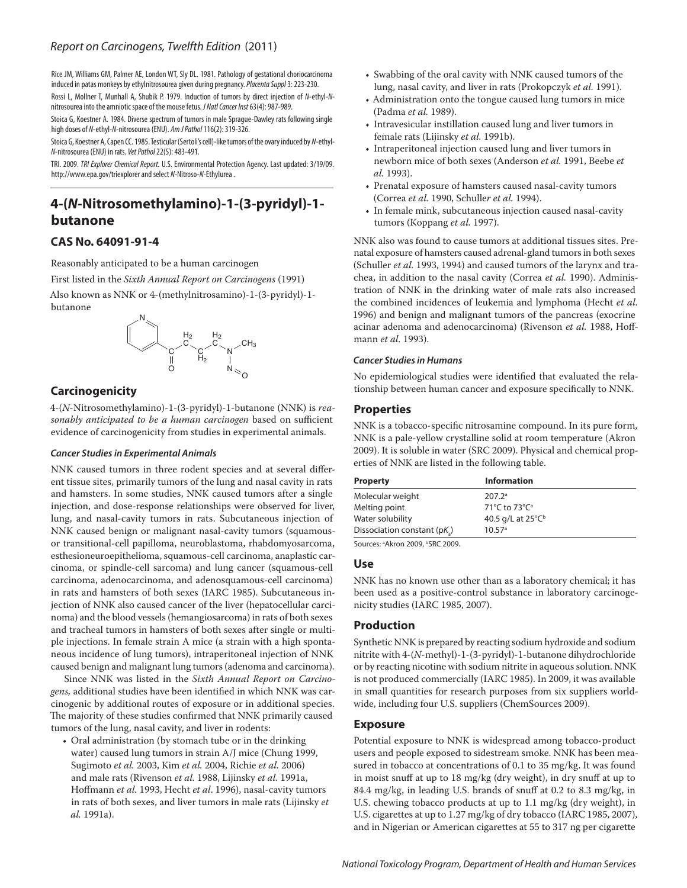Rice JM, Williams GM, Palmer AE, London WT, Sly DL. 1981. Pathology of gestational choriocarcinoma induced in patas monkeys by ethylnitrosourea given during pregnancy. *Placenta Suppl* 3: 223-230.

Rossi L, Mollner T, Munhall A, Shubik P. 1979. Induction of tumors by direct injection of *N*-ethyl-*N*nitrosourea into the amniotic space of the mouse fetus. *J Natl Cancer Inst* 63(4): 987-989.

Stoica G, Koestner A. 1984. Diverse spectrum of tumors in male Sprague-Dawley rats following single high doses of *N*-ethyl-*N*-nitrosourea (ENU). *Am J Pathol* 116(2): 319-326.

Stoica G, Koestner A, Capen CC. 1985. Testicular (Sertoli's cell)-like tumors of the ovary induced by *N*-ethyl-*N*-nitrosourea (ENU) in rats. *Vet Pathol* 22(5): 483-491.

TRI. 2009. *TRI Explorer Chemical Report.* U.S. Environmental Protection Agency. Last updated: 3/19/09. http://www.epa.gov/triexplorer and select *N*-Nitroso-*N*-Ethylurea .

# **4-(***N-***Nitrosomethylamino)-1-(3-pyridyl)-1 butanone**

### **CAS No. 64091-91-4**

Reasonably anticipated to be a human carcinogen

First listed in the *Sixth Annual Report on Carcinogens* (1991)

Also known as NNK or 4-(methylnitrosamino)-1-(3-pyridyl)-1 butanone



# **Carcinogenicity**

4-(*N*-Nitrosomethylamino)-1-(3-pyridyl)-1-butanone (NNK) is *rea‑ sonably anticipated to be a human carcinogen* based on sufficient evidence of carcinogenicity from studies in experimental animals.

#### *Cancer Studies in Experimental Animals*

NNK caused tumors in three rodent species and at several different tissue sites, primarily tumors of the lung and nasal cavity in rats and hamsters. In some studies, NNK caused tumors after a single injection, and dose-response relationships were observed for liver, lung, and nasal-cavity tumors in rats. Subcutaneous injection of NNK caused benign or malignant nasal-cavity tumors (squamousor transitional-cell papilloma, neuroblastoma, rhabdomyosarcoma, esthesioneuroepithelioma, squamous-cell carcinoma, anaplastic carcinoma, or spindle-cell sarcoma) and lung cancer (squamous-cell carcinoma, adenocarcinoma, and adenosquamous-cell carcinoma) in rats and hamsters of both sexes (IARC 1985). Subcutaneous injection of NNK also caused cancer of the liver (hepatocellular carcinoma) and the blood vessels (hemangiosarcoma) in rats of both sexes and tracheal tumors in hamsters of both sexes after single or multiple injections. In female strain A mice (a strain with a high spontaneous incidence of lung tumors), intraperitoneal injection of NNK caused benign and malignant lung tumors (adenoma and carcinoma).

Since NNK was listed in the *Sixth Annual Report on Carcino‑ gens,* additional studies have been identified in which NNK was carcinogenic by additional routes of exposure or in additional species. The majority of these studies confirmed that NNK primarily caused tumors of the lung, nasal cavity, and liver in rodents:

• Oral administration (by stomach tube or in the drinking water) caused lung tumors in strain A/J mice (Chung 1999, Sugimoto *et al.* 2003, Kim *et al.* 2004, Richie *et al.* 2006) and male rats (Rivenson *et al.* 1988, Lijinsky *et al.* 1991a, Hoffmann *et al.* 1993, Hecht *et al*. 1996), nasal-cavity tumors in rats of both sexes, and liver tumors in male rats (Lijinsky *et al.* 1991a).

- Swabbing of the oral cavity with NNK caused tumors of the lung, nasal cavity, and liver in rats (Prokopczyk *et al.* 1991).
- Administration onto the tongue caused lung tumors in mice (Padma *et al.* 1989).
- Intravesicular instillation caused lung and liver tumors in female rats (Lijinsky *et al.* 1991b).
- Intraperitoneal injection caused lung and liver tumors in newborn mice of both sexes (Anderson *et al.* 1991, Beebe *et al.* 1993).
- Prenatal exposure of hamsters caused nasal-cavity tumors (Correa *et al.* 1990, Schulle*r et al.* 1994).
- In female mink, subcutaneous injection caused nasal-cavity tumors (Koppang *et al.* 1997).

NNK also was found to cause tumors at additional tissues sites. Prenatal exposure of hamsters caused adrenal-gland tumors in both sexes (Schuller *et al.* 1993, 1994) and caused tumors of the larynx and trachea, in addition to the nasal cavity (Correa *et al.* 1990). Administration of NNK in the drinking water of male rats also increased the combined incidences of leukemia and lymphoma (Hecht *et al.* 1996) and benign and malignant tumors of the pancreas (exocrine acinar adenoma and adenocarcinoma) (Rivenson *et al.* 1988, Hoffmann *et al.* 1993).

#### *Cancer Studies in Humans*

No epidemiological studies were identified that evaluated the relationship between human cancer and exposure specifically to NNK.

### **Properties**

NNK is a tobacco-specific nitrosamine compound. In its pure form, NNK is a pale-yellow crystalline solid at room temperature (Akron 2009). It is soluble in water (SRC 2009). Physical and chemical properties of NNK are listed in the following table.

| <b>Property</b>                                                                                                                                                                                                                                                                                                                                                                                             | <b>Information</b>            |  |
|-------------------------------------------------------------------------------------------------------------------------------------------------------------------------------------------------------------------------------------------------------------------------------------------------------------------------------------------------------------------------------------------------------------|-------------------------------|--|
| Molecular weight                                                                                                                                                                                                                                                                                                                                                                                            | 207.2 <sup>a</sup>            |  |
| Melting point                                                                                                                                                                                                                                                                                                                                                                                               | 71°C to 73°C <sup>a</sup>     |  |
| Water solubility                                                                                                                                                                                                                                                                                                                                                                                            | 40.5 g/L at 25°C <sup>b</sup> |  |
| Dissociation constant $(pK)$                                                                                                                                                                                                                                                                                                                                                                                | 10.57 <sup>a</sup>            |  |
| $\epsilon$ $\sim$ $\epsilon$ $\sim$ $\epsilon$ $\sim$ $\epsilon$ $\sim$ $\epsilon$ $\sim$ $\epsilon$ $\sim$ $\epsilon$ $\sim$ $\epsilon$ $\sim$ $\epsilon$ $\sim$ $\epsilon$ $\sim$ $\epsilon$ $\sim$ $\epsilon$ $\sim$ $\epsilon$ $\sim$ $\epsilon$ $\sim$ $\epsilon$ $\sim$ $\epsilon$ $\sim$ $\epsilon$ $\sim$ $\epsilon$ $\sim$ $\epsilon$ $\sim$ $\epsilon$ $\sim$ $\epsilon$ $\sim$ $\epsilon$ $\sim$ |                               |  |

Sources: ªAkron 2009, <sup>b</sup>SRC 2009.

### **Use**

NNK has no known use other than as a laboratory chemical; it has been used as a positive-control substance in laboratory carcinogenicity studies (IARC 1985, 2007).

### **Production**

Synthetic NNK is prepared by reacting sodium hydroxide and sodium nitrite with 4-(*N*-methyl)-1-(3-pyridyl)-1-butanone dihydrochloride or by reacting nicotine with sodium nitrite in aqueous solution. NNK is not produced commercially (IARC 1985). In 2009, it was available in small quantities for research purposes from six suppliers worldwide, including four U.S. suppliers (ChemSources 2009).

### **Exposure**

Potential exposure to NNK is widespread among tobacco-product users and people exposed to sidestream smoke. NNK has been measured in tobacco at concentrations of 0.1 to 35 mg/kg. It was found in moist snuff at up to 18 mg/kg (dry weight), in dry snuff at up to 84.4 mg/kg, in leading U.S. brands of snuff at 0.2 to 8.3 mg/kg, in U.S. chewing tobacco products at up to 1.1 mg/kg (dry weight), in U.S. cigarettes at up to 1.27 mg/kg of dry tobacco (IARC 1985, 2007), and in Nigerian or American cigarettes at 55 to 317 ng per cigarette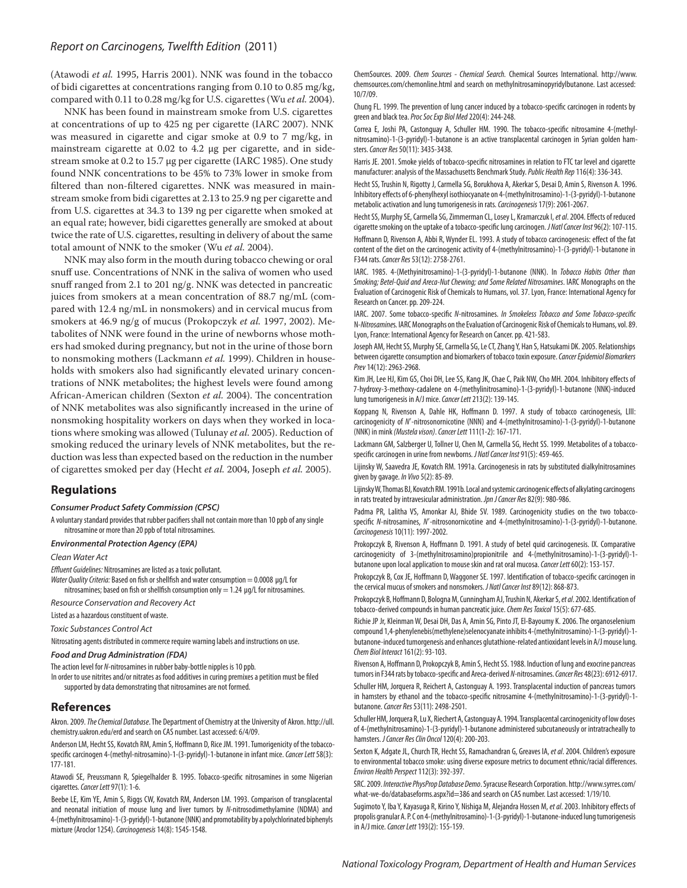(Atawodi *et al.* 1995, Harris 2001). NNK was found in the tobacco of bidi cigarettes at concentrations ranging from 0.10 to 0.85 mg/kg, compared with 0.11 to 0.28 mg/kg for U.S. cigarettes (Wu *et al.* 2004).

NNK has been found in mainstream smoke from U.S. cigarettes at concentrations of up to 425 ng per cigarette (IARC 2007). NNK was measured in cigarette and cigar smoke at 0.9 to 7 mg/kg, in mainstream cigarette at 0.02 to 4.2 μg per cigarette, and in sidestream smoke at 0.2 to 15.7 μg per cigarette (IARC 1985). One study found NNK concentrations to be 45% to 73% lower in smoke from filtered than non-filtered cigarettes. NNK was measured in mainstream smoke from bidi cigarettes at 2.13 to 25.9 ng per cigarette and from U.S. cigarettes at 34.3 to 139 ng per cigarette when smoked at an equal rate; however, bidi cigarettes generally are smoked at about twice the rate of U.S. cigarettes, resulting in delivery of about the same total amount of NNK to the smoker (Wu *et al.* 2004).

NNK may also form in the mouth during tobacco chewing or oral snuff use. Concentrations of NNK in the saliva of women who used snuff ranged from 2.1 to 201 ng/g. NNK was detected in pancreatic juices from smokers at a mean concentration of 88.7 ng/mL (compared with 12.4 ng/mL in nonsmokers) and in cervical mucus from smokers at 46.9 ng/g of mucus (Prokopczyk *et al.* 1997, 2002). Metabolites of NNK were found in the urine of newborns whose mothers had smoked during pregnancy, but not in the urine of those born to nonsmoking mothers (Lackmann *et al.* 1999). Children in households with smokers also had significantly elevated urinary concentrations of NNK metabolites; the highest levels were found among African-American children (Sexton *et al.* 2004). The concentration of NNK metabolites was also significantly increased in the urine of nonsmoking hospitality workers on days when they worked in locations where smoking was allowed (Tulunay *et al.* 2005). Reduction of smoking reduced the urinary levels of NNK metabolites, but the reduction was less than expected based on the reduction in the number of cigarettes smoked per day (Hecht *et al.* 2004, Joseph *et al.* 2005).

### **Regulations**

*Consumer Product Safety Commission (CPSC)*

A voluntary standard provides that rubber pacifiers shall not contain more than 10 ppb of any single nitrosamine or more than 20 ppb of total nitrosamines.

#### *Environmental Protection Agency (EPA)*

*Clean Water Act*

*Effluent Guidelines:* Nitrosamines are listed as a toxic pollutant.

*Water Quality Criteria:* Based on fish or shellfish and water consumption = 0.0008 μg/L for nitrosamines; based on fish or shellfish consumption only = 1.24 μg/L for nitrosamines.

*Resource Conservation and Recovery Act*

Listed as a hazardous constituent of waste.

*Toxic Substances Control Act*

Nitrosating agents distributed in commerce require warning labels and instructions on use.

#### *Food and Drug Administration (FDA)*

The action level for *N*-nitrosamines in rubber baby-bottle nipples is 10 ppb.

In order to use nitrites and/or nitrates as food additives in curing premixes a petition must be filed supported by data demonstrating that nitrosamines are not formed.

#### **References**

Akron. 2009. *The Chemical Database*. The Department of Chemistry at the University of Akron. http://ull. chemistry.uakron.edu/erd and search on CAS number. Last accessed: 6/4/09.

Anderson LM, Hecht SS, Kovatch RM, Amin S, Hoffmann D, Rice JM. 1991. Tumorigenicity of the tobaccospecific carcinogen 4-(methyl-nitrosamino)-1-(3-pyridyl)-1-butanone in infant mice. *Cancer Lett* 58(3): 177-181.

Atawodi SE, Preussmann R, Spiegelhalder B. 1995. Tobacco-specific nitrosamines in some Nigerian cigarettes. *Cancer Lett* 97(1): 1-6.

Beebe LE, Kim YE, Amin S, Riggs CW, Kovatch RM, Anderson LM. 1993. Comparison of transplacental and neonatal initiation of mouse lung and liver tumors by *N*-nitrosodimethylamine (NDMA) and 4-(methylnitrosamino)-1-(3-pyridyl)-1-butanone (NNK) and promotability by a polychlorinated biphenyls mixture (Aroclor 1254). *Carcinogenesis* 14(8): 1545-1548.

ChemSources. 2009. *Chem Sources - Chemical Search.* Chemical Sources International. http://www. chemsources.com/chemonline.html and search on methylnitrosaminopyridylbutanone. Last accessed: 10/7/09.

Chung FL. 1999. The prevention of lung cancer induced by a tobacco-specific carcinogen in rodents by green and black tea. *Proc Soc Exp Biol Med* 220(4): 244-248.

Correa E, Joshi PA, Castonguay A, Schuller HM. 1990. The tobacco-specific nitrosamine 4-(methylnitrosamino)-1-(3-pyridyl)-1-butanone is an active transplacental carcinogen in Syrian golden hamsters. *Cancer Res* 50(11): 3435-3438.

Harris JE. 2001. Smoke yields of tobacco-specific nitrosamines in relation to FTC tar level and cigarette manufacturer: analysis of the Massachusetts Benchmark Study. *Public Health Rep* 116(4): 336-343.

Hecht SS, Trushin N, Rigotty J, Carmella SG, Borukhova A, Akerkar S, Desai D, Amin S, Rivenson A. 1996. Inhibitory effects of 6-phenylhexyl isothiocyanate on 4-(methylnitrosamino)-1-(3-pyridyl)-1-butanone metabolic activation and lung tumorigenesis in rats. *Carcinogenesis* 17(9): 2061-2067.

Hecht SS, Murphy SE, Carmella SG, Zimmerman CL, Losey L, Kramarczuk I, *et al*. 2004. Effects of reduced cigarette smoking on the uptake of a tobacco-specific lung carcinogen. *J Natl Cancer Inst* 96(2): 107-115. Hoffmann D, Rivenson A, Abbi R, Wynder EL. 1993. A study of tobacco carcinogenesis: effect of the fat content of the diet on the carcinogenic activity of 4-(methylnitrosamino)-1-(3-pyridyl)-1-butanone in F344 rats. *Cancer Res* 53(12): 2758-2761.

IARC. 1985. 4-(Methyinitrosamino)-1-(3-pyridyl)-1-butanone (NNK). In *Tobacco Habits Other than Smoking; Betel-Quid and Areca-Nut Chewing; and Some Related Nitrosamines*. IARC Monographs on the Evaluation of Carcinogenic Risk of Chemicals to Humans, vol. 37. Lyon, France: International Agency for Research on Cancer. pp. 209-224.

IARC. 2007. Some tobacco-specific *N*-nitrosamines. *In Smokeless Tobacco and Some Tobacco-specific*  N*-Nitrosamine*s. IARC Monographs on the Evaluation of Carcinogenic Risk of Chemicals to Humans, vol. 89. Lyon, France: International Agency for Research on Cancer. pp. 421-583.

Joseph AM, Hecht SS, Murphy SE, Carmella SG, Le CT, Zhang Y, Han S, Hatsukami DK. 2005. Relationships between cigarette consumption and biomarkers of tobacco toxin exposure. *Cancer Epidemiol Biomarkers Prev* 14(12): 2963-2968.

Kim JH, Lee HJ, Kim GS, Choi DH, Lee SS, Kang JK, Chae C, Paik NW, Cho MH. 2004. Inhibitory effects of 7-hydroxy-3-methoxy-cadalene on 4-(methylinitrosamino)-1-(3-pyridyl)-1-butanone (NNK)-induced lung tumorigenesis in A/J mice. *Cancer Lett* 213(2): 139-145.

Koppang N, Rivenson A, Dahle HK, Hoffmann D. 1997. A study of tobacco carcinogenesis, LIII: carcinogenicity of *N*′-nitrosonornicotine (NNN) and 4-(methylnitrosamino)-1-(3-pyridyl)-1-butanone (NNK) in mink *(Mustela vison)*. *Cancer Lett* 111(1-2): 167-171.

Lackmann GM, Salzberger U, Tollner U, Chen M, Carmella SG, Hecht SS. 1999. Metabolites of a tobaccospecific carcinogen in urine from newborns. *J Natl Cancer Inst* 91(5): 459-465.

Lijinsky W, Saavedra JE, Kovatch RM. 1991a. Carcinogenesis in rats by substituted dialkylnitrosamines given by gavage. *In Vivo* 5(2): 85-89.

Lijinsky W, Thomas BJ, Kovatch RM. 1991b. Local and systemic carcinogenic effects of alkylating carcinogens in rats treated by intravesicular administration. *Jpn J Cancer Res* 82(9): 980-986.

Padma PR, Lalitha VS, Amonkar AJ, Bhide SV. 1989. Carcinogenicity studies on the two tobaccospecific *N*-nitrosamines, *N*′-nitrosonornicotine and 4-(methylnitrosamino)-1-(3-pyridyl)-1-butanone. *Carcinogenesis* 10(11): 1997-2002.

Prokopczyk B, Rivenson A, Hoffmann D. 1991. A study of betel quid carcinogenesis. IX. Comparative carcinogenicity of 3-(methylnitrosamino)propionitrile and 4-(methylnitrosamino)-1-(3-pyridyl)-1 butanone upon local application to mouse skin and rat oral mucosa. *Cancer Lett* 60(2): 153-157.

Prokopczyk B, Cox JE, Hoffmann D, Waggoner SE. 1997. Identification of tobacco-specific carcinogen in the cervical mucus of smokers and nonsmokers. *J Natl Cancer Inst* 89(12): 868-873.

Prokopczyk B, Hoffmann D, Bologna M, Cunningham AJ, Trushin N, Akerkar S, *et al*. 2002. Identification of tobacco-derived compounds in human pancreatic juice. *Chem Res Toxicol* 15(5): 677-685.

Richie JP Jr, Kleinman W, Desai DH, Das A, Amin SG, Pinto JT, El-Bayoumy K. 2006. The organoselenium compound 1,4-phenylenebis(methylene)selenocyanate inhibits 4-(methylnitrosamino)-1-(3-pyridyl)-1 butanone-induced tumorgenesis and enhances glutathione-related antioxidant levels in A/J mouse lung. *Chem Biol Interact* 161(2): 93-103.

Rivenson A, Hoffmann D, Prokopczyk B, Amin S, Hecht SS. 1988. Induction of lung and exocrine pancreas tumors in F344 rats by tobacco-specific and Areca-derived *N*-nitrosamines. *Cancer Res* 48(23): 6912-6917.

Schuller HM, Jorquera R, Reichert A, Castonguay A. 1993. Transplacental induction of pancreas tumors in hamsters by ethanol and the tobacco-specific nitrosamine 4-(methylnitrosamino)-1-(3-pyridyl)-1 butanone. *Cancer Res* 53(11): 2498-2501.

Schuller HM, Jorquera R, Lu X, Riechert A, Castonguay A. 1994. Transplacental carcinogenicity of low doses of 4-(methylnitrosamino)-1-(3-pyridyl)-1-butanone administered subcutaneously or intratracheally to hamsters. *J Cancer Res Clin Oncol* 120(4): 200-203.

Sexton K, Adgate JL, Church TR, Hecht SS, Ramachandran G, Greaves IA, *et al*. 2004. Children's exposure to environmental tobacco smoke: using diverse exposure metrics to document ethnic/racial differences. *Environ Health Perspect* 112(3): 392-397.

SRC. 2009. *Interactive PhysProp Database Demo*. Syracuse Research Corporation. http://www.syrres.com/ what-we-do/databaseforms.aspx?id=386 and search on CAS number. Last accessed: 1/19/10.

Sugimoto Y, Iba Y, Kayasuga R, Kirino Y, Nishiga M, Alejandra Hossen M, *et al*. 2003. Inhibitory effects of propolis granular A. P. C on 4-(methylnitrosamino)-1-(3-pyridyl)-1-butanone-induced lung tumorigenesis in A/J mice. *Cancer Lett* 193(2): 155-159.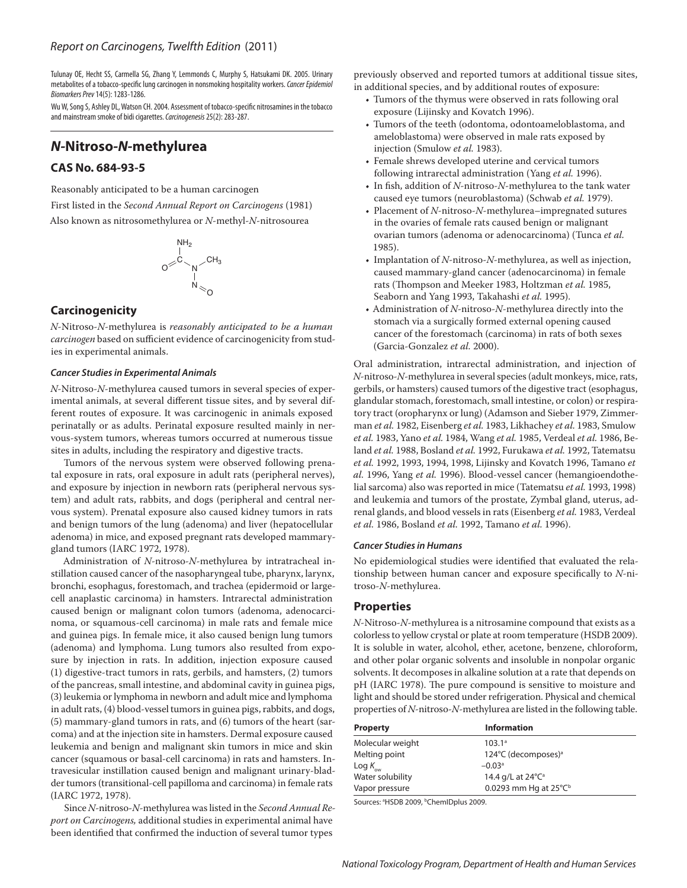Tulunay OE, Hecht SS, Carmella SG, Zhang Y, Lemmonds C, Murphy S, Hatsukami DK. 2005. Urinary metabolites of a tobacco-specific lung carcinogen in nonsmoking hospitality workers. *Cancer Epidemiol Biomarkers Prev* 14(5): 1283-1286.

Wu W, Song S, Ashley DL, Watson CH. 2004. Assessment of tobacco-specific nitrosamines in the tobacco and mainstream smoke of bidi cigarettes. *Carcinogenesis* 25(2): 283-287.

# *N-***Nitroso***-N-***methylurea**

### **CAS No. 684-93-5**

Reasonably anticipated to be a human carcinogen

First listed in the *Second Annual Report on Carcinogens* (1981)

Also known as nitrosomethylurea or *N*-methyl-*N*-nitrosourea



### **Carcinogenicity**

*N*-Nitroso-*N*-methylurea is *reasonably anticipated to be a human carcinogen* based on sufficient evidence of carcinogenicity from studies in experimental animals.

#### *Cancer Studies in Experimental Animals*

*N‑*Nitroso-*N*-methylurea caused tumors in several species of experimental animals, at several different tissue sites, and by several different routes of exposure. It was carcinogenic in animals exposed perinatally or as adults. Perinatal exposure resulted mainly in nervous-system tumors, whereas tumors occurred at numerous tissue sites in adults, including the respiratory and digestive tracts.

Tumors of the nervous system were observed following prenatal exposure in rats, oral exposure in adult rats (peripheral nerves), and exposure by injection in newborn rats (peripheral nervous system) and adult rats, rabbits, and dogs (peripheral and central nervous system). Prenatal exposure also caused kidney tumors in rats and benign tumors of the lung (adenoma) and liver (hepatocellular adenoma) in mice, and exposed pregnant rats developed mammarygland tumors (IARC 1972, 1978).

Administration of *N‑*nitroso-*N*-methylurea by intratracheal instillation caused cancer of the nasopharyngeal tube, pharynx, larynx, bronchi, esophagus, forestomach, and trachea (epidermoid or largecell anaplastic carcinoma) in hamsters. Intrarectal administration caused benign or malignant colon tumors (adenoma, adenocarcinoma, or squamous-cell carcinoma) in male rats and female mice and guinea pigs. In female mice, it also caused benign lung tumors (adenoma) and lymphoma. Lung tumors also resulted from exposure by injection in rats. In addition, injection exposure caused (1) digestive-tract tumors in rats, gerbils, and hamsters, (2) tumors of the pancreas, small intestine, and abdominal cavity in guinea pigs, (3) leukemia or lymphoma in newborn and adult mice and lymphoma in adult rats, (4) blood-vessel tumors in guinea pigs, rabbits, and dogs, (5) mammary-gland tumors in rats, and (6) tumors of the heart (sarcoma) and at the injection site in hamsters. Dermal exposure caused leukemia and benign and malignant skin tumors in mice and skin cancer (squamous or basal-cell carcinoma) in rats and hamsters. Intravesicular instillation caused benign and malignant urinary-bladder tumors (transitional-cell papilloma and carcinoma) in female rats (IARC 1972, 1978).

Since *N‑*nitroso-*N*-methylurea was listed in the *Second Annual Re‑ port on Carcinogens,* additional studies in experimental animal have been identified that confirmed the induction of several tumor types

previously observed and reported tumors at additional tissue sites, in additional species, and by additional routes of exposure:

- Tumors of the thymus were observed in rats following oral exposure (Lijinsky and Kovatch 1996).
- Tumors of the teeth (odontoma, odontoameloblastoma, and ameloblastoma) were observed in male rats exposed by injection (Smulow *et al.* 1983).
- Female shrews developed uterine and cervical tumors following intrarectal administration (Yang *et al.* 1996).
- In fish, addition of *N‑*nitroso-*N*-methylurea to the tank water caused eye tumors (neuroblastoma) (Schwab *et al.* 1979).
- Placement of *N‑*nitroso-*N*-methylurea–impregnated sutures in the ovaries of female rats caused benign or malignant ovarian tumors (adenoma or adenocarcinoma) (Tunca *et al.* 1985).
- Implantation of *N‑*nitroso-*N*-methylurea, as well as injection, caused mammary-gland cancer (adenocarcinoma) in female rats (Thompson and Meeker 1983, Holtzman *et al.* 1985, Seaborn and Yang 1993, Takahashi *et al.* 1995).
- Administration of *N‑*nitroso-*N*-methylurea directly into the stomach via a surgically formed external opening caused cancer of the forestomach (carcinoma) in rats of both sexes (Garcia-Gonzalez *et al.* 2000).

Oral administration, intrarectal administration, and injection of *N‑*nitroso-*N*-methylurea in several species (adult monkeys, mice, rats, gerbils, or hamsters) caused tumors of the digestive tract (esophagus, glandular stomach, forestomach, small intestine, or colon) or respiratory tract (oropharynx or lung) (Adamson and Sieber 1979, Zimmerman *et al.* 1982, Eisenberg *et al.* 1983, Likhachey *et al.* 1983, Smulow *et al.* 1983, Yano *et al.* 1984, Wang *et al.* 1985, Verdeal *et al.* 1986, Beland *et al.* 1988, Bosland *et al.* 1992, Furukawa *et al.* 1992, Tatematsu *et al.* 1992, 1993, 1994, 1998, Lijinsky and Kovatch 1996, Tamano *et al.* 1996, Yang *et al.* 1996). Blood-vessel cancer (hemangioendothelial sarcoma) also was reported in mice (Tatematsu *et al.* 1993, 1998) and leukemia and tumors of the prostate, Zymbal gland, uterus, adrenal glands, and blood vessels in rats (Eisenberg *et al.* 1983, Verdeal *et al.* 1986, Bosland *et al.* 1992, Tamano *et al.* 1996).

#### *Cancer Studies in Humans*

No epidemiological studies were identified that evaluated the relationship between human cancer and exposure specifically to *N‑*nitroso-*N*-methylurea.

#### **Properties**

*N*-Nitroso-*N*-methylurea is a nitrosamine compound that exists as a colorless to yellow crystal or plate at room temperature (HSDB 2009). It is soluble in water, alcohol, ether, acetone, benzene, chloroform, and other polar organic solvents and insoluble in nonpolar organic solvents. It decomposes in alkaline solution at a rate that depends on pH (IARC 1978). The pure compound is sensitive to moisture and light and should be stored under refrigeration. Physical and chemical properties of *N‑*nitroso-*N*-methylurea are listed in the following table.

| <b>Property</b>      | <b>Information</b>                    |
|----------------------|---------------------------------------|
| Molecular weight     | 103.1a                                |
| Melting point        | 124°C (decomposes) <sup>a</sup>       |
| Log $K_{_{\rm{ow}}}$ | $-0.03$ <sup>a</sup>                  |
| Water solubility     | 14.4 g/L at $24^{\circ}C^{\circ}$     |
| Vapor pressure       | 0.0293 mm Hq at $25^{\circ}C^{\circ}$ |

Sources: <sup>a</sup>HSDB 2009, <sup>b</sup>ChemIDplus 2009.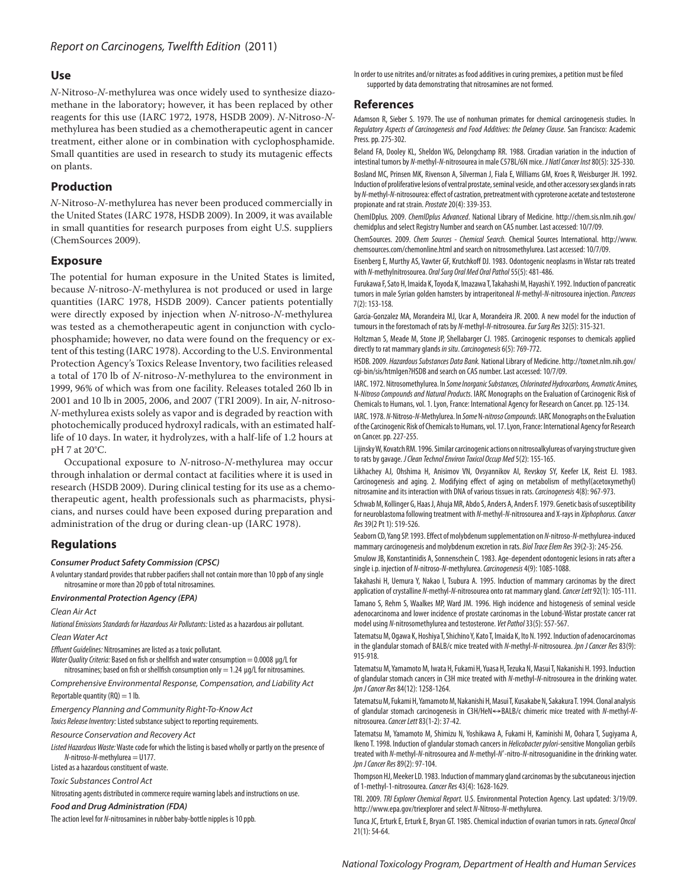### **Use**

*N*-Nitroso-*N*-methylurea was once widely used to synthesize diazomethane in the laboratory; however, it has been replaced by other reagents for this use (IARC 1972, 1978, HSDB 2009). *N*-Nitroso-*N*methylurea has been studied as a chemotherapeutic agent in cancer treatment, either alone or in combination with cyclophosphamide. Small quantities are used in research to study its mutagenic effects on plants.

#### **Production**

*N*-Nitroso-*N*-methylurea has never been produced commercially in the United States (IARC 1978, HSDB 2009). In 2009, it was available in small quantities for research purposes from eight U.S. suppliers (ChemSources 2009).

#### **Exposure**

The potential for human exposure in the United States is limited, because *N‑*nitroso-*N*-methylurea is not produced or used in large quantities (IARC 1978, HSDB 2009). Cancer patients potentially were directly exposed by injection when *N‑*nitroso-*N*-methylurea was tested as a chemotherapeutic agent in conjunction with cyclophosphamide; however, no data were found on the frequency or extent of this testing (IARC 1978). According to the U.S. Environmental Protection Agency's Toxics Release Inventory, two facilities released a total of 170 lb of *N‑*nitroso-*N*-methylurea to the environment in 1999, 96% of which was from one facility. Releases totaled 260 lb in 2001 and 10 lb in 2005, 2006, and 2007 (TRI 2009). In air, *N‑*nitroso-*N*-methylurea exists solely as vapor and is degraded by reaction with photochemically produced hydroxyl radicals, with an estimated halflife of 10 days. In water, it hydrolyzes, with a half-life of 1.2 hours at pH 7 at 20°C.

Occupational exposure to *N‑*nitroso-*N*-methylurea may occur through inhalation or dermal contact at facilities where it is used in research (HSDB 2009). During clinical testing for its use as a chemotherapeutic agent, health professionals such as pharmacists, physicians, and nurses could have been exposed during preparation and administration of the drug or during clean-up (IARC 1978).

### **Regulations**

#### *Consumer Product Safety Commission (CPSC)*

A voluntary standard provides that rubber pacifiers shall not contain more than 10 ppb of any single nitrosamine or more than 20 ppb of total nitrosamines.

#### *Environmental Protection Agency (EPA)*

#### *Clean Air Act*

*National Emissions Standards for Hazardous Air Pollutants:* Listed as a hazardous air pollutant.

#### *Clean Water Act*

*Effluent Guidelines:* Nitrosamines are listed as a toxic pollutant.

*Water Quality Criteria:* Based on fish or shellfish and water consumption = 0.0008 μg/L for nitrosamines; based on fish or shellfish consumption only =  $1.24 \mu g/L$  for nitrosamines.

*Comprehensive Environmental Response, Compensation, and Liability Act* Reportable quantity  $(RQ) = 1$  lb.

*Emergency Planning and Community Right-To-Know Act*

*Toxics Release Inventory:* Listed substance subject to reporting requirements.

*Resource Conservation and Recovery Act*

*Listed Hazardous Waste:* Waste code for which the listing is based wholly or partly on the presence of *N-*nitroso-*N*-methylurea = U177.

Listed as a hazardous constituent of waste.

*Toxic Substances Control Act*

Nitrosating agents distributed in commerce require warning labels and instructions on use.

#### *Food and Drug Administration (FDA)*

The action level for *N-*nitrosamines in rubber baby-bottle nipples is 10 ppb.

In order to use nitrites and/or nitrates as food additives in curing premixes, a petition must be filed supported by data demonstrating that nitrosamines are not formed.

#### **References**

Adamson R, Sieber S. 1979. The use of nonhuman primates for chemical carcinogenesis studies. In *Regulatory Aspects of Carcinogenesis and Food Additives: the Delaney Clause*. San Francisco: Academic Press.pp. 275-302.

Beland FA, Dooley KL, Sheldon WG, Delongchamp RR. 1988. Circadian variation in the induction of intestinal tumors by *N*-methyl-*N*-nitrosourea in male C57BL/6N mice. *J Natl Cancer Inst* 80(5): 325-330.

Bosland MC, Prinsen MK, Rivenson A, Silverman J, Fiala E, Williams GM, Kroes R, Weisburger JH. 1992. Induction of proliferative lesions of ventral prostate, seminal vesicle, and other accessory sex glands in rats by *N*-methyl-*N*-nitrosourea: effect of castration, pretreatment with cyproterone acetate and testosterone propionate and rat strain. *Prostate* 20(4): 339-353.

ChemIDplus. 2009. *ChemIDplus Advanced*. National Library of Medicine. http://chem.sis.nlm.nih.gov/ chemidplus and select Registry Number and search on CAS number. Last accessed: 10/7/09.

ChemSources. 2009. *Chem Sources - Chemical Search.* Chemical Sources International. http://www. chemsources.com/chemonline.html and search on nitrosomethylurea. Last accessed: 10/7/09.

Eisenberg E, Murthy AS, Vawter GF, Krutchkoff DJ. 1983. Odontogenic neoplasms in Wistar rats treated with *N*-methylnitrosourea. *Oral Surg Oral Med Oral Pathol* 55(5): 481-486.

Furukawa F, Sato H, Imaida K, Toyoda K, Imazawa T, Takahashi M, Hayashi Y. 1992. Induction of pancreatic tumors in male Syrian golden hamsters by intraperitoneal *N*-methyl-*N*-nitrosourea injection. *Pancreas* 7(2): 153-158.

Garcia-Gonzalez MA, Morandeira MJ, Ucar A, Morandeira JR. 2000. A new model for the induction of tumours in the forestomach of rats by *N*-methyl-*N*-nitrosourea. *Eur Surg Res* 32(5): 315-321.

Holtzman S, Meade M, Stone JP, Shellabarger CJ. 1985. Carcinogenic responses to chemicals applied directly to rat mammary glands *in situ*. *Carcinogenesis* 6(5): 769-772.

HSDB. 2009. *Hazardous Substances Data Bank.* National Library of Medicine. http://toxnet.nlm.nih.gov/ cgi-bin/sis/htmlgen?HSDB and search on CAS number. Last accessed: 10/7/09.

IARC. 1972. Nitrosomethylurea. In *Some Inorganic Substances, Chlorinated Hydrocarbons, Aromatic Amines,*  N*-Nitroso Compounds and Natural Products*. IARC Monographs on the Evaluation of Carcinogenic Risk of Chemicals to Humans, vol. 1. Lyon, France: International Agency for Research on Cancer. pp. 125-134.

IARC. 1978. *N*-Nitroso-*N*-Methylurea. In *Some* N*-nitroso Compounds*. IARC Monographs on the Evaluation of the Carcinogenic Risk of Chemicals to Humans, vol. 17. Lyon, France: International Agency for Research on Cancer.pp. 227-255.

Lijinsky W, Kovatch RM. 1996. Similar carcinogenic actions on nitrosoalkylureas of varying structure given to rats by gavage. *J Clean Technol Environ Toxicol Occup Med* 5(2): 155-165.

Likhachey AJ, Ohshima H, Anisimov VN, Ovsyannikov AI, Revskoy SY, Keefer LK, Reist EJ. 1983. Carcinogenesis and aging. 2. Modifying effect of aging on metabolism of methyl(acetoxymethyl) nitrosamine and its interaction with DNA of various tissues in rats. *Carcinogenesis* 4(8): 967-973.

Schwab M, Kollinger G, Haas J, Ahuja MR, Abdo S, Anders A, Anders F. 1979. Genetic basis of susceptibility for neuroblastoma following treatment with *N*-methyl-*N*-nitrosourea and X-rays in *Xiphophorus.Cancer Res* 39(2 Pt 1): 519-526.

Seaborn CD, Yang SP. 1993. Effect of molybdenum supplementation on *N*-nitroso-*N*-methylurea-induced mammary carcinogenesis and molybdenum excretion in rats. *Biol Trace Elem Res* 39(2-3): 245-256.

Smulow JB, Konstantinidis A, Sonnenschein C. 1983. Age-dependent odontogenic lesions in rats after a single i.p. injection of *N*-nitroso-*N*-methylurea. *Carcinogenesis* 4(9): 1085-1088.

Takahashi H, Uemura Y, Nakao I, Tsubura A. 1995. Induction of mammary carcinomas by the direct application of crystalline *N*-methyl-*N*-nitrosourea onto rat mammary gland. *Cancer Lett* 92(1): 105-111. Tamano S, Rehm S, Waalkes MP, Ward JM. 1996. High incidence and histogenesis of seminal vesicle adenocarcinoma and lower incidence of prostate carcinomas in the Lobund-Wistar prostate cancer rat model using *N*-nitrosomethylurea and testosterone. *Vet Pathol* 33(5): 557-567.

Tatematsu M, Ogawa K, Hoshiya T, Shichino Y, Kato T, Imaida K, Ito N. 1992. Induction of adenocarcinomas in the glandular stomach of BALB/c mice treated with *N*-methyl-*N*-nitrosourea. *Jpn J Cancer Res* 83(9): 915-918.

Tatematsu M, Yamamoto M, Iwata H, Fukami H, Yuasa H, Tezuka N, Masui T, Nakanishi H. 1993. Induction of glandular stomach cancers in C3H mice treated with *N*-methyl-*N*-nitrosourea in the drinking water. *Jpn J Cancer Res* 84(12): 1258-1264.

Tatematsu M, Fukami H, Yamamoto M, Nakanishi H, Masui T, Kusakabe N, Sakakura T. 1994. Clonal analysis of glandular stomach carcinogenesis in C3H/HeN↔BALB/c chimeric mice treated with *N*-methyl-*N*nitrosourea. *Cancer Lett* 83(1-2): 37-42.

Tatematsu M, Yamamoto M, Shimizu N, Yoshikawa A, Fukami H, Kaminishi M, Oohara T, Sugiyama A, Ikeno T. 1998. Induction of glandular stomach cancers in *Helicobacter pylori*-sensitive Mongolian gerbils treated with *N*-methyl-*N*-nitrosourea and *N*-methyl-*N*′-nitro-*N*-nitrosoguanidine in the drinking water. *Jpn J Cancer Res* 89(2): 97-104.

Thompson HJ, Meeker LD. 1983. Induction of mammary gland carcinomas by the subcutaneous injection of 1-methyl-1-nitrosourea. *Cancer Res* 43(4): 1628-1629.

TRI. 2009. *TRI Explorer Chemical Report.* U.S. Environmental Protection Agency. Last updated: 3/19/09. http://www.epa.gov/triexplorer and select *N*-Nitroso-*N*-methylurea.

Tunca JC, Erturk E, Erturk E, Bryan GT. 1985. Chemical induction of ovarian tumors in rats. *Gynecol Oncol* 21(1): 54-64.

*National Toxicology Program, Department of Health and Human Services*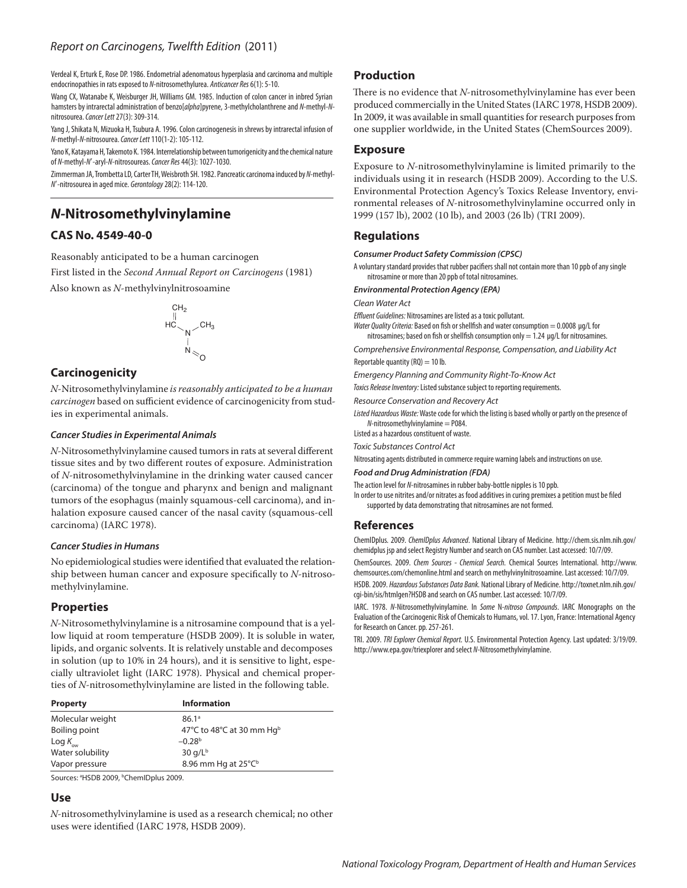Verdeal K, Erturk E, Rose DP. 1986. Endometrial adenomatous hyperplasia and carcinoma and multiple endocrinopathies in rats exposed to *N*-nitrosomethylurea. *Anticancer Res* 6(1): 5-10.

Wang CX, Watanabe K, Weisburger JH, Williams GM. 1985. Induction of colon cancer in inbred Syrian hamsters by intrarectal administration of benzo[*alpha*]pyrene, 3-methylcholanthrene and *N*-methyl-*N*nitrosourea. *Cancer Lett* 27(3): 309-314.

Yang J, Shikata N, Mizuoka H, Tsubura A. 1996. Colon carcinogenesis in shrews by intrarectal infusion of *N*-methyl-*N*-nitrosourea. *Cancer Lett* 110(1-2): 105-112.

Yano K, Katayama H, Takemoto K. 1984. Interrelationship between tumorigenicity and the chemical nature of *N*-methyl-*N*′-aryl-*N*-nitrosoureas. *Cancer Res* 44(3): 1027-1030.

Zimmerman JA, Trombetta LD, Carter TH, Weisbroth SH. 1982. Pancreatic carcinoma induced by *N*-methyl-*N*′-nitrosourea in aged mice. *Gerontology* 28(2): 114-120.

# *N-***Nitrosomethylvinylamine**

### **CAS No. 4549-40-0**

Reasonably anticipated to be a human carcinogen

First listed in the *Second Annual Report on Carcinogens* (1981)

Also known as *N*-methylvinylnitrosoamine



# **Carcinogenicity**

*N*-Nitrosomethylvinylamine *is reasonably anticipated to be a human carcinogen* based on sufficient evidence of carcinogenicity from studies in experimental animals.

#### *Cancer Studies in Experimental Animals*

*N‑*Nitrosomethylvinylamine caused tumors in rats at several different tissue sites and by two different routes of exposure. Administration of *N‑*nitrosomethylvinylamine in the drinking water caused cancer (carcinoma) of the tongue and pharynx and benign and malignant tumors of the esophagus (mainly squamous-cell carcinoma), and inhalation exposure caused cancer of the nasal cavity (squamous-cell carcinoma) (IARC 1978).

#### *Cancer Studies in Humans*

No epidemiological studies were identified that evaluated the relationship between human cancer and exposure specifically to *N‑*nitrosomethylvinylamine.

### **Properties**

*N‑*Nitrosomethylvinylamine is a nitrosamine compound that is a yellow liquid at room temperature (HSDB 2009). It is soluble in water, lipids, and organic solvents. It is relatively unstable and decomposes in solution (up to 10% in 24 hours), and it is sensitive to light, especially ultraviolet light (IARC 1978). Physical and chemical properties of *N‑*nitrosomethylvinylamine are listed in the following table.

| <b>Property</b>      | <b>Information</b>                    |
|----------------------|---------------------------------------|
| Molecular weight     | 86.1 <sup>a</sup>                     |
| Boiling point        | 47°C to 48°C at 30 mm Hq <sup>b</sup> |
| Log $K_{_{\rm{ow}}}$ | $-0.28b$                              |
| Water solubility     | 30q/L <sup>b</sup>                    |
| Vapor pressure       | 8.96 mm Hq at 25°C <sup>b</sup>       |

Sources: <sup>a</sup>HSDB 2009, <sup>b</sup>ChemIDplus 2009.

### **Use**

*N‑*nitrosomethylvinylamine is used as a research chemical; no other uses were identified (IARC 1978, HSDB 2009).

### **Production**

There is no evidence that *N‑*nitrosomethylvinylamine has ever been produced commercially in the United States (IARC 1978, HSDB 2009). In 2009, it was available in small quantities for research purposes from one supplier worldwide, in the United States (ChemSources 2009).

#### **Exposure**

Exposure to *N‑*nitrosomethylvinylamine is limited primarily to the individuals using it in research (HSDB 2009). According to the U.S. Environmental Protection Agency's Toxics Release Inventory, environmental releases of *N‑*nitrosomethylvinylamine occurred only in 1999 (157 lb), 2002 (10 lb), and 2003 (26 lb) (TRI 2009).

### **Regulations**

#### *Consumer Product Safety Commission (CPSC)*

A voluntary standard provides that rubber pacifiers shall not contain more than 10 ppb of any single nitrosamine or more than 20 ppb of total nitrosamines.

*Environmental Protection Agency (EPA)*

#### *Clean Water Act*

*Effluent Guidelines:* Nitrosamines are listed as a toxic pollutant.

*Water Quality Criteria:* Based on fish or shellfish and water consumption = 0.0008 μg/L for nitrosamines; based on fish or shellfish consumption only =  $1.24 \mu g/L$  for nitrosamines.

*Comprehensive Environmental Response, Compensation, and Liability Act* Reportable quantity  $(RQ) = 10$  lb.

*Emergency Planning and Community Right-To-Know Act*

*Toxics Release Inventory:* Listed substance subject to reporting requirements.

*Resource Conservation and Recovery Act*

*Listed Hazardous Waste:* Waste code for which the listing is based wholly or partly on the presence of *N-*nitrosomethylvinylamine = P084.

Listed as a hazardous constituent of waste.

*Toxic Substances Control Act*

Nitrosating agents distributed in commerce require warning labels and instructions on use.

*Food and Drug Administration (FDA)*

The action level for *N-*nitrosamines in rubber baby-bottle nipples is 10 ppb.

In order to use nitrites and/or nitrates as food additives in curing premixes a petition must be filed supported by data demonstrating that nitrosamines are not formed.

### **References**

ChemIDplus. 2009. *ChemIDplus Advanced*. National Library of Medicine. http://chem.sis.nlm.nih.gov/ chemidplus jsp and select Registry Number and search on CAS number. Last accessed: 10/7/09.

ChemSources. 2009. *Chem Sources - Chemical Search.* Chemical Sources International. http://www. chemsources.com/chemonline.html and search on methylvinylnitrosoamine. Last accessed: 10/7/09.

HSDB. 2009. *Hazardous Substances Data Bank.* National Library of Medicine. http://toxnet.nlm.nih.gov/ cgi-bin/sis/htmlgen?HSDB and search on CAS number. Last accessed: 10/7/09.

IARC. 1978. *N*-Nitrosomethylvinylamine. In *Some* N*-nitroso Compounds*. IARC Monographs on the Evaluation of the Carcinogenic Risk of Chemicals to Humans, vol. 17. Lyon, France: International Agency for Research on Cancer. pp. 257-261.

TRI. 2009. *TRI Explorer Chemical Report.* U.S. Environmental Protection Agency. Last updated: 3/19/09. http://www.epa.gov/triexplorer and select *N*-Nitrosomethylvinylamine.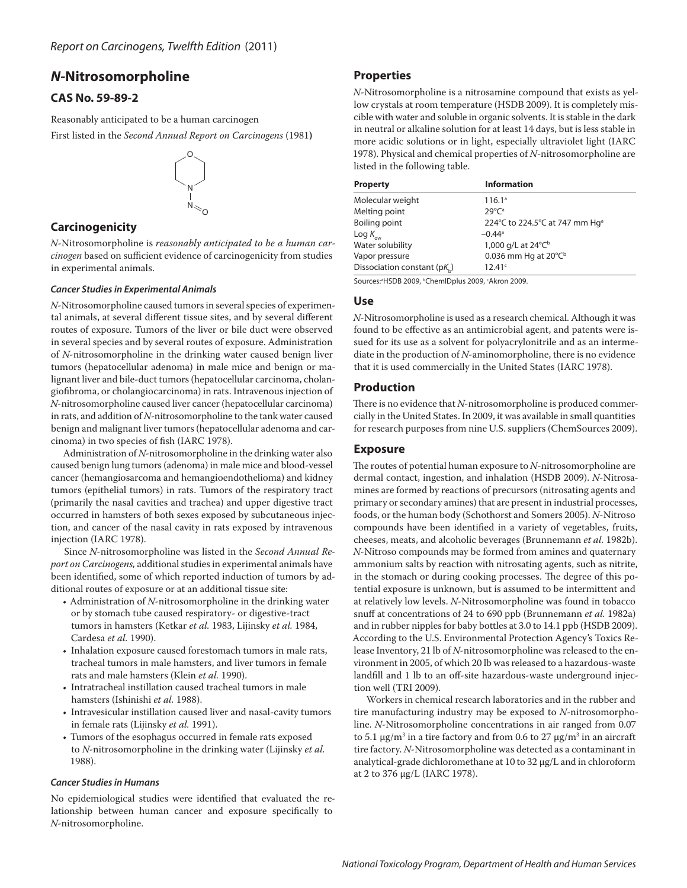# *N-***Nitrosomorpholine**

# **CAS No. 59-89-2**

Reasonably anticipated to be a human carcinogen First listed in the *Second Annual Report on Carcinogens* (1981**)**



# **Carcinogenicity**

*N*-Nitrosomorpholine is *reasonably anticipated to be a human car‑ cinogen* based on sufficient evidence of carcinogenicity from studies in experimental animals.

#### *Cancer Studies in Experimental Animals*

*N‑*Nitrosomorpholine caused tumors in several species of experimental animals, at several different tissue sites, and by several different routes of exposure. Tumors of the liver or bile duct were observed in several species and by several routes of exposure. Administration of *N‑*nitrosomorpholine in the drinking water caused benign liver tumors (hepatocellular adenoma) in male mice and benign or malignant liver and bile-duct tumors (hepatocellular carcinoma, cholangiofibroma, or cholangiocarcinoma) in rats. Intravenous injection of *N‑*nitrosomorpholine caused liver cancer (hepatocellular carcinoma) in rats, and addition of *N‑*nitrosomorpholine to the tank water caused benign and malignant liver tumors (hepatocellular adenoma and carcinoma) in two species of fish (IARC 1978).

Administration of *N‑*nitrosomorpholine in the drinking water also caused benign lung tumors (adenoma) in male mice and blood-vessel cancer (hemangiosarcoma and hemangioendothelioma) and kidney tumors (epithelial tumors) in rats. Tumors of the respiratory tract (primarily the nasal cavities and trachea) and upper digestive tract occurred in hamsters of both sexes exposed by subcutaneous injection, and cancer of the nasal cavity in rats exposed by intravenous injection (IARC 1978).

Since *N‑*nitrosomorpholine was listed in the *Second Annual Re‑ port on Carcinogens,* additional studies in experimental animals have been identified, some of which reported induction of tumors by additional routes of exposure or at an additional tissue site:

- Administration of *N‑*nitrosomorpholine in the drinking water or by stomach tube caused respiratory- or digestive-tract tumors in hamsters (Ketkar *et al.* 1983, Lijinsky *et al.* 1984, Cardesa *et al.* 1990).
- Inhalation exposure caused forestomach tumors in male rats, tracheal tumors in male hamsters, and liver tumors in female rats and male hamsters (Klein *et al.* 1990).
- Intratracheal instillation caused tracheal tumors in male hamsters (Ishinishi *et al.* 1988).
- Intravesicular instillation caused liver and nasal-cavity tumors in female rats (Lijinsky *et al.* 1991).
- Tumors of the esophagus occurred in female rats exposed to *N‑*nitrosomorpholine in the drinking water (Lijinsky *et al.* 1988).

### *Cancer Studies in Humans*

No epidemiological studies were identified that evaluated the relationship between human cancer and exposure specifically to *N‑*nitrosomorpholine.

### **Properties**

*N‑*Nitrosomorpholine is a nitrosamine compound that exists as yellow crystals at room temperature (HSDB 2009). It is completely miscible with water and soluble in organic solvents. It is stable in the dark in neutral or alkaline solution for at least 14 days, but is less stable in more acidic solutions or in light, especially ultraviolet light (IARC 1978). Physical and chemical properties of *N‑*nitrosomorpholine are listed in the following table.

| <b>Property</b>            | <b>Information</b>                         |
|----------------------------|--------------------------------------------|
| Molecular weight           | 116.1 <sup>a</sup>                         |
| Melting point              | $29^\circ C^a$                             |
| Boiling point              | 224°C to 224.5°C at 747 mm Hq <sup>a</sup> |
| Log $K_{_{\rm{ow}}}$       | $-0.44$ <sup>a</sup>                       |
| Water solubility           | 1,000 g/L at 24°C <sup>b</sup>             |
| Vapor pressure             | 0.036 mm Hg at $20^{\circ}C^{\circ}$       |
| Dissociation constant (pK) | 12.41c                                     |

Sources:ªHSDB 2009, <sup>b</sup>ChemIDplus 2009, <sup>c</sup>Akron 2009.

### **Use**

*N‑*Nitrosomorpholine is used as a research chemical. Although it was found to be effective as an antimicrobial agent, and patents were issued for its use as a solvent for polyacrylonitrile and as an intermediate in the production of *N‑*aminomorpholine, there is no evidence that it is used commercially in the United States (IARC 1978).

### **Production**

There is no evidence that *N‑*nitrosomorpholine is produced commercially in the United States. In 2009, it was available in small quantities for research purposes from nine U.S. suppliers (ChemSources 2009).

### **Exposure**

The routes of potential human exposure to *N‑*nitrosomorpholine are dermal contact, ingestion, and inhalation (HSDB 2009). *N‑*Nitrosamines are formed by reactions of precursors (nitrosating agents and primary or secondary amines) that are present in industrial processes, foods, or the human body (Schothorst and Somers 2005). *N‑*Nitroso compounds have been identified in a variety of vegetables, fruits, cheeses, meats, and alcoholic beverages (Brunnemann *et al.* 1982b). *N‑*Nitroso compounds may be formed from amines and quaternary ammonium salts by reaction with nitrosating agents, such as nitrite, in the stomach or during cooking processes. The degree of this potential exposure is unknown, but is assumed to be intermittent and at relatively low levels. *N‑*Nitrosomorpholine was found in tobacco snuff at concentrations of 24 to 690 ppb (Brunnemann *et al.* 1982a) and in rubber nipples for baby bottles at 3.0 to 14.1 ppb (HSDB 2009). According to the U.S. Environmental Protection Agency's Toxics Release Inventory, 21 lb of *N‑*nitrosomorpholine was released to the environment in 2005, of which 20 lb was released to a hazardous-waste landfill and 1 lb to an off-site hazardous-waste underground injection well (TRI 2009).

Workers in chemical research laboratories and in the rubber and tire manufacturing industry may be exposed to *N‑*nitrosomorpholine. *N‑*Nitrosomorpholine concentrations in air ranged from 0.07 to 5.1 μg/m<sup>3</sup> in a tire factory and from 0.6 to 27 μg/m<sup>3</sup> in an aircraft tire factory. *N‑*Nitrosomorpholine was detected as a contaminant in analytical-grade dichloromethane at 10 to 32 μg/L and in chloroform at 2 to 376 μg/L (IARC 1978).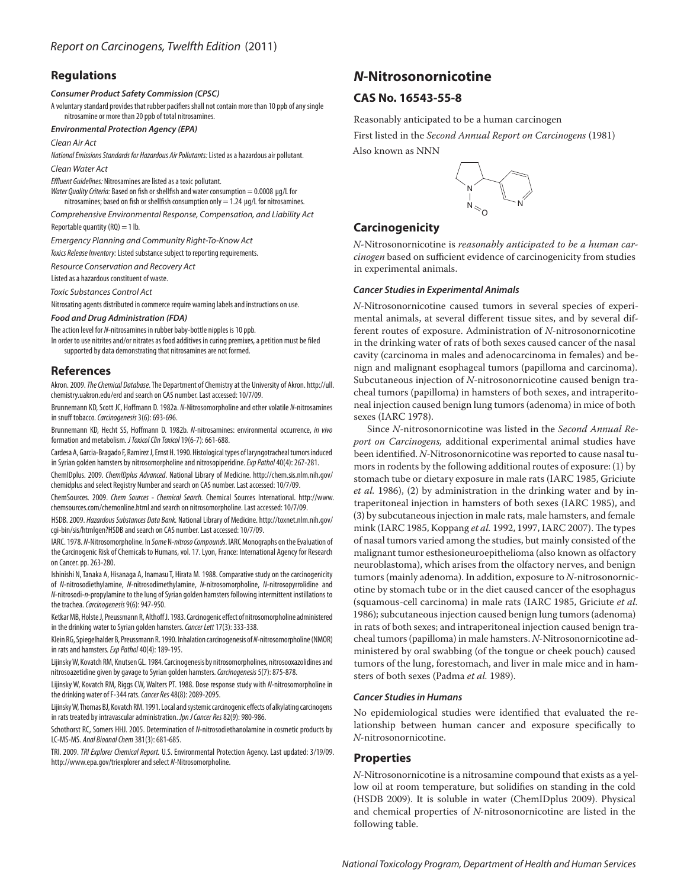### **Regulations**

#### *Consumer Product Safety Commission (CPSC)*

A voluntary standard provides that rubber pacifiers shall not contain more than 10 ppb of any single nitrosamine or more than 20 ppb of total nitrosamines.

#### *Environmental Protection Agency (EPA)*

*Clean Air Act*

*National Emissions Standards for Hazardous Air Pollutants:* Listed as a hazardous air pollutant.

*Clean Water Act*

*Effluent Guidelines:* Nitrosamines are listed as a toxic pollutant.

*Water Quality Criteria:* Based on fish or shellfish and water consumption = 0.0008 μg/L for nitrosamines; based on fish or shellfish consumption only =  $1.24 \mu q/L$  for nitrosamines.

*Comprehensive Environmental Response, Compensation, and Liability Act* Reportable quantity  $(RQ) = 1$  lb.

*Emergency Planning and Community Right-To-Know Act*

*Toxics Release Inventory:* Listed substance subject to reporting requirements.

*Resource Conservation and Recovery Act*

Listed as a hazardous constituent of waste.

*Toxic Substances Control Act*

Nitrosating agents distributed in commerce require warning labels and instructions on use.

#### *Food and Drug Administration (FDA)*

The action level for *N-*nitrosamines in rubber baby-bottle nipples is 10 ppb.

In order to use nitrites and/or nitrates as food additives in curing premixes, a petition must be filed supported by data demonstrating that nitrosamines are not formed.

#### **References**

Akron. 2009. *The Chemical Database*. The Department of Chemistry at the University of Akron. http://ull. chemistry.uakron.edu/erd and search on CAS number. Last accessed: 10/7/09.

Brunnemann KD, Scott JC, Hoffmann D. 1982a. *N*-Nitrosomorpholine and other volatile *N*-nitrosamines in snuff tobacco. *Carcinogenesis* 3(6): 693-696.

Brunnemann KD, Hecht SS, Hoffmann D. 1982b. *N*-nitrosamines: environmental occurrence, *in vivo* formation and metabolism. *J Toxicol Clin Toxicol* 19(6-7): 661-688.

Cardesa A, Garcia-Bragado F, Ramirez J, Ernst H. 1990. Histological types of laryngotracheal tumors induced in Syrian golden hamsters by nitrosomorpholine and nitrosopiperidine. *Exp Pathol* 40(4): 267-281.

ChemIDplus. 2009. *ChemIDplus Advanced*. National Library of Medicine. http://chem.sis.nlm.nih.gov/ chemidplus and select Registry Number and search on CAS number. Last accessed: 10/7/09.

ChemSources. 2009. *Chem Sources - Chemical Search.* Chemical Sources International. http://www. chemsources.com/chemonline.html and search on nitrosomorpholine. Last accessed: 10/7/09.

HSDB. 2009. *Hazardous Substances Data Bank.* National Library of Medicine. http://toxnet.nlm.nih.gov/ cgi-bin/sis/htmlgen?HSDB and search on CAS number. Last accessed: 10/7/09.

IARC. 1978. *N*-Nitrosomorpholine. In *Some* N*-nitroso Compounds*. IARC Monographs on the Evaluation of the Carcinogenic Risk of Chemicals to Humans, vol. 17. Lyon, France: International Agency for Research on Cancer.pp. 263-280.

Ishinishi N, Tanaka A, Hisanaga A, Inamasu T, Hirata M. 1988. Comparative study on the carcinogenicity of *N*-nitrosodiethylamine, *N*-nitrosodimethylamine, *N*-nitrosomorpholine, *N*-nitrosopyrrolidine and *N*-nitrosodi-*n*-propylamine to the lung of Syrian golden hamsters following intermittent instillations to the trachea. *Carcinogenesis* 9(6): 947-950.

Ketkar MB, Holste J, Preussmann R, Althoff J. 1983. Carcinogenic effect of nitrosomorpholine administered in the drinking water to Syrian golden hamsters. *Cancer Lett* 17(3): 333-338.

Klein RG, Spiegelhalder B, Preussmann R. 1990. Inhalation carcinogenesis of *N*-nitrosomorpholine (NMOR) in rats and hamsters. *Exp Pathol* 40(4): 189-195.

Lijinsky W, Kovatch RM, Knutsen GL. 1984. Carcinogenesis by nitrosomorpholines, nitrosooxazolidines and nitrosoazetidine given by gavage to Syrian golden hamsters. *Carcinogenesis* 5(7): 875-878.

Lijinsky W, Kovatch RM, Riggs CW, Walters PT. 1988. Dose response study with *N*-nitrosomorpholine in the drinking water of F-344 rats. *Cancer Res* 48(8): 2089-2095.

Lijinsky W, Thomas BJ, Kovatch RM. 1991. Local and systemic carcinogenic effects of alkylating carcinogens in rats treated by intravascular administration. *Jpn J Cancer Res* 82(9): 980-986.

Schothorst RC, Somers HHJ. 2005. Determination of *N*-nitrosodiethanolamine in cosmetic products by LC-MS-MS. *Anal Bioanal Chem* 381(3): 681-685.

TRI. 2009. *TRI Explorer Chemical Report.* U.S. Environmental Protection Agency. Last updated: 3/19/09. http://www.epa.gov/triexplorer and select *N*-Nitrosomorpholine.

# *N-***Nitrosonornicotine**

## **CAS No. 16543-55-8**

Reasonably anticipated to be a human carcinogen

First listed in the *Second Annual Report on Carcinogens* (1981)

Also known as NNN



# **Carcinogenicity**

*N*-Nitrosonornicotine is *reasonably anticipated to be a human car‑ cinogen* based on sufficient evidence of carcinogenicity from studies in experimental animals.

#### *Cancer Studies in Experimental Animals*

*N‑*Nitrosonornicotine caused tumors in several species of experimental animals, at several different tissue sites, and by several different routes of exposure. Administration of *N‑*nitrosonornicotine in the drinking water of rats of both sexes caused cancer of the nasal cavity (carcinoma in males and adenocarcinoma in females) and benign and malignant esophageal tumors (papilloma and carcinoma). Subcutaneous injection of *N‑*nitrosonornicotine caused benign tracheal tumors (papilloma) in hamsters of both sexes, and intraperitoneal injection caused benign lung tumors (adenoma) in mice of both sexes (IARC 1978).

Since *N‑*nitrosonornicotine was listed in the *Second Annual Re‑ port on Carcinogens,* additional experimental animal studies have been identified. *N‑*Nitrosonornicotine was reported to cause nasal tumors in rodents by the following additional routes of exposure: (1) by stomach tube or dietary exposure in male rats (IARC 1985, Griciute *et al.* 1986), (2) by administration in the drinking water and by intraperitoneal injection in hamsters of both sexes (IARC 1985), and (3) by subcutaneous injection in male rats, male hamsters, and female mink (IARC 1985, Koppang *et al.* 1992, 1997, IARC 2007). The types of nasal tumors varied among the studies, but mainly consisted of the malignant tumor esthesioneuroepithelioma (also known as olfactory neuroblastoma), which arises from the olfactory nerves, and benign tumors (mainly adenoma). In addition, exposure to *N‑*nitrosonornicotine by stomach tube or in the diet caused cancer of the esophagus (squamous-cell carcinoma) in male rats (IARC 1985, Griciute *et al.* 1986); subcutaneous injection caused benign lung tumors (adenoma) in rats of both sexes; and intraperitoneal injection caused benign tracheal tumors (papilloma) in male hamsters. *N‑*Nitrosonornicotine administered by oral swabbing (of the tongue or cheek pouch) caused tumors of the lung, forestomach, and liver in male mice and in hamsters of both sexes (Padma *et al.* 1989).

### *Cancer Studies in Humans*

No epidemiological studies were identified that evaluated the relationship between human cancer and exposure specifically to *N‑*nitrosonornicotine.

### **Properties**

*N‑*Nitrosonornicotine is a nitrosamine compound that exists as a yellow oil at room temperature, but solidifies on standing in the cold (HSDB 2009). It is soluble in water (ChemIDplus 2009). Physical and chemical properties of *N‑*nitrosonornicotine are listed in the following table.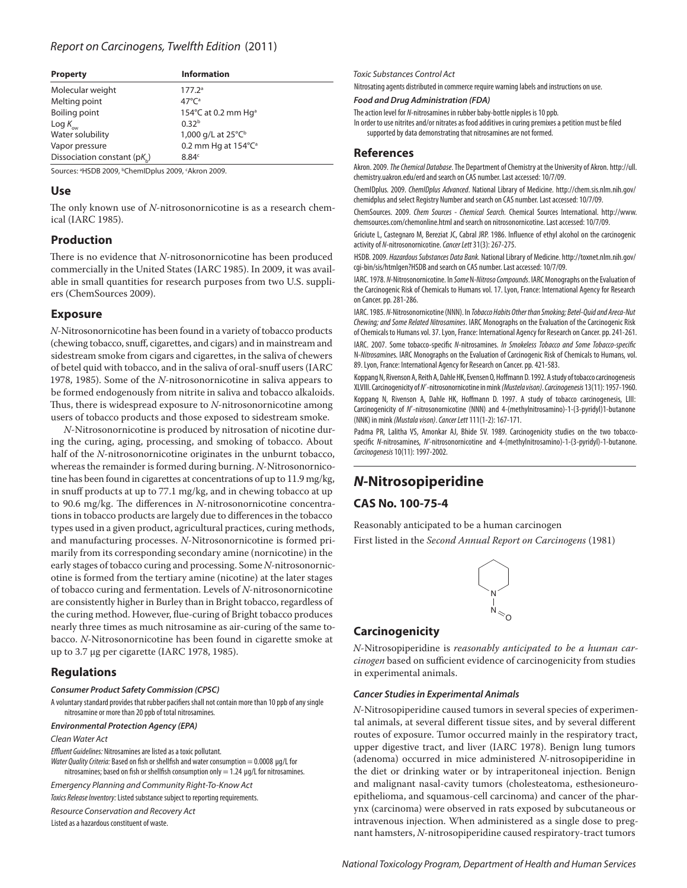| <b>Property</b>                  | <b>Information</b>                        |
|----------------------------------|-------------------------------------------|
| Molecular weight                 | 177.2 <sup>a</sup>                        |
| Melting point                    | $47^{\circ}C^{\circ}$                     |
| <b>Boiling point</b>             | 154 $\degree$ C at 0.2 mm Hq <sup>a</sup> |
| Log $K_{\text{ow}}$              | 0.32 <sup>b</sup>                         |
| Water solubility                 | 1,000 g/L at 25°C <sup>b</sup>            |
| Vapor pressure                   | 0.2 mm Hq at $154^{\circ}C^{\circ}$       |
| Dissociation constant ( $pK_h$ ) | 8.84 <sup>c</sup>                         |

Sources: <sup>a</sup>HSDB 2009, <sup>b</sup>ChemIDplus 2009, <sup>c</sup>Akron 2009.

#### **Use**

The only known use of *N*-nitrosonornicotine is as a research chemical (IARC 1985).

### **Production**

There is no evidence that *N‑*nitrosonornicotine has been produced commercially in the United States (IARC 1985). In 2009, it was available in small quantities for research purposes from two U.S. suppliers (ChemSources 2009).

### **Exposure**

*N‑*Nitrosonornicotine has been found in a variety of tobacco products (chewing tobacco, snuff, cigarettes, and cigars) and in mainstream and sidestream smoke from cigars and cigarettes, in the saliva of chewers of betel quid with tobacco, and in the saliva of oral-snuff users (IARC 1978, 1985). Some of the *N‑*nitrosonornicotine in saliva appears to be formed endogenously from nitrite in saliva and tobacco alkaloids. Thus, there is widespread exposure to *N‑*nitrosonornicotine among users of tobacco products and those exposed to sidestream smoke.

*N‑*Nitrosonornicotine is produced by nitrosation of nicotine during the curing, aging, processing, and smoking of tobacco. About half of the *N‑*nitrosonornicotine originates in the unburnt tobacco, whereas the remainder is formed during burning. *N‑*Nitrosonornicotine has been found in cigarettes at concentrations of up to 11.9 mg/kg, in snuff products at up to 77.1 mg/kg, and in chewing tobacco at up to 90.6 mg/kg. The differences in *N‑*nitrosonornicotine concentrations in tobacco products are largely due to differences in the tobacco types used in a given product, agricultural practices, curing methods, and manufacturing processes. *N‑*Nitrosonornicotine is formed primarily from its corresponding secondary amine (nornicotine) in the early stages of tobacco curing and processing. Some *N‑*nitrosonornicotine is formed from the tertiary amine (nicotine) at the later stages of tobacco curing and fermentation. Levels of *N‑*nitrosonornicotine are consistently higher in Burley than in Bright tobacco, regardless of the curing method. However, flue-curing of Bright tobacco produces nearly three times as much nitrosamine as air-curing of the same tobacco. *N‑*Nitrosonornicotine has been found in cigarette smoke at up to 3.7 μg per cigarette (IARC 1978, 1985).

### **Regulations**

#### *Consumer Product Safety Commission (CPSC)*

A voluntary standard provides that rubber pacifiers shall not contain more than 10 ppb of any single nitrosamine or more than 20 ppb of total nitrosamines.

#### *Environmental Protection Agency (EPA)*

#### *Clean Water Act*

*Effluent Guidelines:* Nitrosamines are listed as a toxic pollutant.

*Water Quality Criteria:* Based on fish or shellfish and water consumption = 0.0008 μg/L for nitrosamines; based on fish or shellfish consumption only =  $1.24 \mu g/L$  for nitrosamines.

*Emergency Planning and Community Right-To-Know Act*

*Toxics Release Inventory:* Listed substance subject to reporting requirements.

*Resource Conservation and Recovery Act* Listed as a hazardous constituent of waste.

*Toxic Substances Control Act*

Nitrosating agents distributed in commerce require warning labels and instructions on use.

#### *Food and Drug Administration (FDA)*

The action level for *N-*nitrosamines in rubber baby-bottle nipples is 10 ppb.

In order to use nitrites and/or nitrates as food additives in curing premixes a petition must be filed supported by data demonstrating that nitrosamines are not formed.

#### **References**

Akron. 2009. *The Chemical Database*. The Department of Chemistry at the University of Akron. http://ull. chemistry.uakron.edu/erd and search on CAS number. Last accessed: 10/7/09.

ChemIDplus. 2009. *ChemIDplus Advanced*. National Library of Medicine. http://chem.sis.nlm.nih.gov/ chemidplus and select Registry Number and search on CAS number. Last accessed: 10/7/09.

ChemSources. 2009. *Chem Sources - Chemical Search.* Chemical Sources International. http://www. chemsources.com/chemonline.html and search on nitrosonornicotine. Last accessed: 10/7/09.

Griciute L, Castegnaro M, Bereziat JC, Cabral JRP. 1986. Influence of ethyl alcohol on the carcinogenic activity of *N*-nitrosonornicotine. *Cancer Lett* 31(3): 267-275.

HSDB. 2009. *Hazardous Substances Data Bank.* National Library of Medicine. http://toxnet.nlm.nih.gov/ cgi-bin/sis/htmlgen?HSDB and search on CAS number. Last accessed: 10/7/09.

IARC. 1978. *N*-Nitrosonornicotine. In *Some* N*-Nitroso Compounds*. IARC Monographs on the Evaluation of the Carcinogenic Risk of Chemicals to Humans vol. 17. Lyon, France: International Agency for Research on Cancer. pp. 281-286.

IARC. 1985. *N*-Nitrosonornicotine (NNN). In *Tobacco Habits Other than Smoking; Betel-Quid and Areca-Nut Chewing; and Some Related Nitrosamines*. IARC Monographs on the Evaluation of the Carcinogenic Risk of Chemicals to Humans vol. 37. Lyon, France: International Agency for Research on Cancer. pp. 241-261. IARC. 2007. Some tobacco-specific *N*-nitrosamines. *In Smokeless Tobacco and Some Tobacco-specific*  N*-Nitrosamine*s. IARC Monographs on the Evaluation of Carcinogenic Risk of Chemicals to Humans, vol. 89. Lyon, France: International Agency for Research on Cancer. pp. 421-583.

Koppang N, Rivenson A, Reith A, Dahle HK, Evensen O, Hoffmann D. 1992. A study of tobacco carcinogenesis XLVIII. Carcinogenicity of *N*′-nitrosonornicotine in mink *(Mustela vison)*. *Carcinogenesis* 13(11): 1957-1960.

Koppang N, Rivenson A, Dahle HK, Hoffmann D. 1997. A study of tobacco carcinogenesis, LIII: Carcinogenicity of *N*′-nitrosonornicotine (NNN) and 4-(methylnitrosamino)-1-(3-pyridyl)1-butanone (NNK) in mink *(Mustala vison)*. *Cancer Lett* 111(1-2): 167-171.

Padma PR, Lalitha VS, Amonkar AJ, Bhide SV. 1989. Carcinogenicity studies on the two tobaccospecific *N*-nitrosamines, *N'*-nitrosonornicotine and 4-(methylnitrosamino)-1-(3-pyridyl)-1-butanone. *Carcinogenesis* 10(11): 1997-2002.

# *N-***Nitrosopiperidine**

### **CAS No. 100-75-4**

Reasonably anticipated to be a human carcinogen

First listed in the *Second Annual Report on Carcinogens* (1981)



### **Carcinogenicity**

*N*-Nitrosopiperidine is *reasonably anticipated to be a human car‑ cinogen* based on sufficient evidence of carcinogenicity from studies in experimental animals.

#### *Cancer Studies in Experimental Animals*

*N‑*Nitrosopiperidine caused tumors in several species of experimental animals, at several different tissue sites, and by several different routes of exposure. Tumor occurred mainly in the respiratory tract, upper digestive tract, and liver (IARC 1978). Benign lung tumors (adenoma) occurred in mice administered *N‑*nitrosopiperidine in the diet or drinking water or by intraperitoneal injection. Benign and malignant nasal-cavity tumors (cholesteatoma, esthesioneuroepithelioma, and squamous-cell carcinoma) and cancer of the pharynx (carcinoma) were observed in rats exposed by subcutaneous or intravenous injection. When administered as a single dose to pregnant hamsters, *N‑*nitrosopiperidine caused respiratory-tract tumors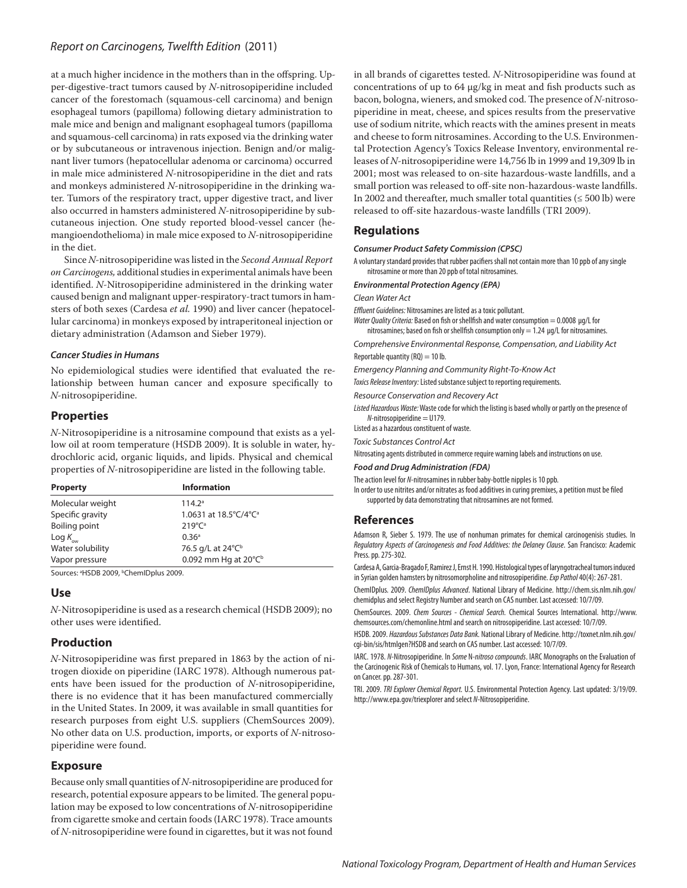at a much higher incidence in the mothers than in the offspring. Upper-digestive-tract tumors caused by *N‑*nitrosopiperidine included cancer of the forestomach (squamous-cell carcinoma) and benign esophageal tumors (papilloma) following dietary administration to male mice and benign and malignant esophageal tumors (papilloma and squamous-cell carcinoma) in rats exposed via the drinking water or by subcutaneous or intravenous injection. Benign and/or malignant liver tumors (hepatocellular adenoma or carcinoma) occurred in male mice administered *N‑*nitrosopiperidine in the diet and rats and monkeys administered *N‑*nitrosopiperidine in the drinking water. Tumors of the respiratory tract, upper digestive tract, and liver also occurred in hamsters administered *N‑*nitrosopiperidine by subcutaneous injection. One study reported blood-vessel cancer (hemangioendothelioma) in male mice exposed to *N‑*nitrosopiperidine in the diet.

Since *N‑*nitrosopiperidine was listed in the *Second Annual Report on Carcinogens,* additional studies in experimental animals have been identified. *N‑*Nitrosopiperidine administered in the drinking water caused benign and malignant upper-respiratory-tract tumors in hamsters of both sexes (Cardesa *et al.* 1990) and liver cancer (hepatocellular carcinoma) in monkeys exposed by intraperitoneal injection or dietary administration (Adamson and Sieber 1979).

#### *Cancer Studies in Humans*

No epidemiological studies were identified that evaluated the relationship between human cancer and exposure specifically to *N‑*nitrosopiperidine.

### **Properties**

*N*-Nitrosopiperidine is a nitrosamine compound that exists as a yellow oil at room temperature (HSDB 2009). It is soluble in water, hydrochloric acid, organic liquids, and lipids. Physical and chemical properties of *N‑*nitrosopiperidine are listed in the following table.

| <b>Property</b>                                                                                                 | <b>Information</b>                   |  |
|-----------------------------------------------------------------------------------------------------------------|--------------------------------------|--|
| Molecular weight                                                                                                | 114.2 <sup>a</sup>                   |  |
| Specific gravity                                                                                                | 1.0631 at 18.5°C/4°C <sup>a</sup>    |  |
| Boiling point                                                                                                   | $219^{\circ}$ Ca                     |  |
| Log $K_{_{\rm{ow}}}$                                                                                            | 0.36 <sup>a</sup>                    |  |
| Water solubility                                                                                                | 76.5 g/L at 24°C <sup>b</sup>        |  |
| Vapor pressure                                                                                                  | 0.092 mm Hg at $20^{\circ}C^{\circ}$ |  |
| the contract of the contract of the contract of the contract of the contract of the contract of the contract of |                                      |  |

Sources: <sup>a</sup>HSDB 2009, <sup>b</sup>ChemIDplus 2009.

### **Use**

*N*-Nitrosopiperidine is used as a research chemical (HSDB 2009); no other uses were identified.

### **Production**

*N*-Nitrosopiperidine was first prepared in 1863 by the action of nitrogen dioxide on piperidine (IARC 1978). Although numerous patents have been issued for the production of *N‑*nitrosopiperidine, there is no evidence that it has been manufactured commercially in the United States. In 2009, it was available in small quantities for research purposes from eight U.S. suppliers (ChemSources 2009). No other data on U.S. production, imports, or exports of *N‑*nitrosopiperidine were found.

### **Exposure**

Because only small quantities of *N‑*nitrosopiperidine are produced for research, potential exposure appears to be limited. The general population may be exposed to low concentrations of *N‑*nitrosopiperidine from cigarette smoke and certain foods (IARC 1978). Trace amounts of *N‑*nitrosopiperidine were found in cigarettes, but it was not found

in all brands of cigarettes tested. *N‑*Nitrosopiperidine was found at concentrations of up to 64 μg/kg in meat and fish products such as bacon, bologna, wieners, and smoked cod. The presence of *N‑*nitrosopiperidine in meat, cheese, and spices results from the preservative use of sodium nitrite, which reacts with the amines present in meats and cheese to form nitrosamines. According to the U.S. Environmental Protection Agency's Toxics Release Inventory, environmental releases of *N‑*nitrosopiperidine were 14,756 lb in 1999 and 19,309 lb in 2001; most was released to on-site hazardous-waste landfills, and a small portion was released to off-site non-hazardous-waste landfills. In 2002 and thereafter, much smaller total quantities ( $\leq 500$  lb) were released to off-site hazardous-waste landfills (TRI 2009).

### **Regulations**

#### *Consumer Product Safety Commission (CPSC)*

A voluntary standard provides that rubber pacifiers shall not contain more than 10 ppb of any single nitrosamine or more than 20 ppb of total nitrosamines.

*Environmental Protection Agency (EPA)*

*Clean Water Act*

*Effluent Guidelines:* Nitrosamines are listed as a toxic pollutant.

*Water Quality Criteria:* Based on fish or shellfish and water consumption = 0.0008 μg/L for nitrosamines; based on fish or shellfish consumption only = 1.24 μg/L for nitrosamines.

*Comprehensive Environmental Response, Compensation, and Liability Act* Reportable quantity  $(RQ) = 10$  lb.

*Emergency Planning and Community Right-To-Know Act*

*Toxics Release Inventory:* Listed substance subject to reporting requirements.

*Resource Conservation and Recovery Act*

*Listed Hazardous Waste:* Waste code for which the listing is based wholly or partly on the presence of *N*-nitrosopiperidine = U179.

Listed as a hazardous constituent of waste.

*Toxic Substances Control Act*

Nitrosating agents distributed in commerce require warning labels and instructions on use.

*Food and Drug Administration (FDA)*

The action level for *N-*nitrosamines in rubber baby-bottle nipples is 10 ppb.

In order to use nitrites and/or nitrates as food additives in curing premixes, a petition must be filed supported by data demonstrating that nitrosamines are not formed.

### **References**

Adamson R, Sieber S. 1979. The use of nonhuman primates for chemical carcinogenisis studies. In *Regulatory Aspects of Carcinogenesis and Food Additives: the Delaney Clause*. San Francisco: Academic Press.pp. 275-302.

Cardesa A, Garcia-Bragado F, Ramirez J, Ernst H. 1990. Histological types of laryngotracheal tumors induced in Syrian golden hamsters by nitrosomorpholine and nitrosopiperidine. *Exp Pathol* 40(4): 267-281.

ChemIDplus. 2009. *ChemIDplus Advanced*. National Library of Medicine. http://chem.sis.nlm.nih.gov/ chemidplus and select Registry Number and search on CAS number. Last accessed: 10/7/09.

ChemSources. 2009. *Chem Sources - Chemical Search.* Chemical Sources International. http://www. chemsources.com/chemonline.html and search on nitrosopiperidine. Last accessed: 10/7/09.

HSDB. 2009. *Hazardous Substances Data Bank.* National Library of Medicine. http://toxnet.nlm.nih.gov/ cgi-bin/sis/htmlgen?HSDB and search on CAS number. Last accessed: 10/7/09.

IARC. 1978. *N*-Nitrosopiperidine. In *Some* N*-nitroso compounds*. IARC Monographs on the Evaluation of the Carcinogenic Risk of Chemicals to Humans, vol. 17. Lyon, France: International Agency for Research on Cancer.pp. 287-301.

TRI. 2009. *TRI Explorer Chemical Report.* U.S. Environmental Protection Agency. Last updated: 3/19/09. http://www.epa.gov/triexplorer and select *N*-Nitrosopiperidine.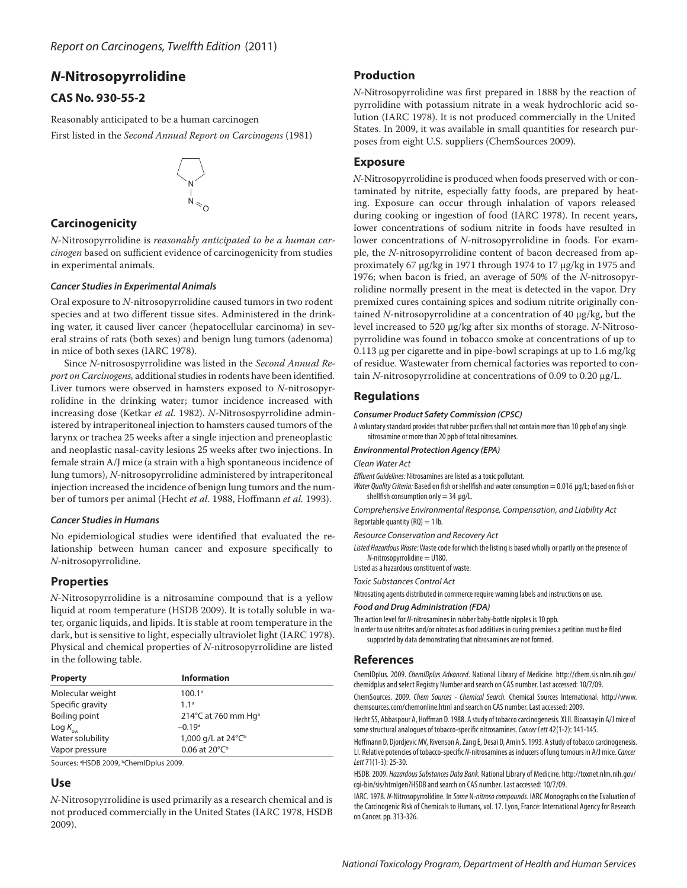# *N-***Nitrosopyrrolidine**

# **CAS No. 930-55-2**

Reasonably anticipated to be a human carcinogen First listed in the *Second Annual Report on Carcinogens* (1981)



# **Carcinogenicity**

*N*-Nitrosopyrrolidine is *reasonably anticipated to be a human car‑ cinogen* based on sufficient evidence of carcinogenicity from studies in experimental animals.

#### *Cancer Studies in Experimental Animals*

Oral exposure to *N‑*nitrosopyrrolidine caused tumors in two rodent species and at two different tissue sites. Administered in the drinking water, it caused liver cancer (hepatocellular carcinoma) in several strains of rats (both sexes) and benign lung tumors (adenoma) in mice of both sexes (IARC 1978).

Since *N‑*nitrosospyrrolidine was listed in the *Second Annual Re‑ port on Carcinogens,* additional studies in rodents have been identified. Liver tumors were observed in hamsters exposed to *N‑*nitrosopyrrolidine in the drinking water; tumor incidence increased with increasing dose (Ketkar *et al.* 1982). *N‑*Nitrosospyrrolidine administered by intraperitoneal injection to hamsters caused tumors of the larynx or trachea 25 weeks after a single injection and preneoplastic and neoplastic nasal-cavity lesions 25 weeks after two injections. In female strain A/J mice (a strain with a high spontaneous incidence of lung tumors), *N‑*nitrosopyrrolidine administered by intraperitoneal injection increased the incidence of benign lung tumors and the number of tumors per animal (Hecht *et al.* 1988, Hoffmann *et al.* 1993).

#### *Cancer Studies in Humans*

No epidemiological studies were identified that evaluated the relationship between human cancer and exposure specifically to *N‑*nitrosopyrrolidine.

### **Properties**

*N*-Nitrosopyrrolidine is a nitrosamine compound that is a yellow liquid at room temperature (HSDB 2009). It is totally soluble in water, organic liquids, and lipids. It is stable at room temperature in the dark, but is sensitive to light, especially ultraviolet light (IARC 1978). Physical and chemical properties of *N‑*nitrosopyrrolidine are listed in the following table.

| <b>Property</b>      | <b>Information</b>                        |  |
|----------------------|-------------------------------------------|--|
| Molecular weight     | $100.1^a$                                 |  |
| Specific gravity     | 1.1 <sup>a</sup>                          |  |
| <b>Boiling point</b> | 214 $\degree$ C at 760 mm Hq <sup>a</sup> |  |
| Log $K_{_{\rm{ow}}}$ | $-0.19$ <sup>a</sup>                      |  |
| Water solubility     | 1,000 g/L at 24°C <sup>b</sup>            |  |
| Vapor pressure       | 0.06 at 20°C <sup>b</sup>                 |  |

Sources: <sup>a</sup>HSDB 2009, <sup>b</sup>ChemIDplus 2009.

### **Use**

*N‑*Nitrosopyrrolidine is used primarily as a research chemical and is not produced commercially in the United States (IARC 1978, HSDB 2009).

### **Production**

*N‑*Nitrosopyrrolidine was first prepared in 1888 by the reaction of pyrrolidine with potassium nitrate in a weak hydrochloric acid solution (IARC 1978). It is not produced commercially in the United States. In 2009, it was available in small quantities for research purposes from eight U.S. suppliers (ChemSources 2009).

### **Exposure**

*N‑*Nitrosopyrrolidine is produced when foods preserved with or contaminated by nitrite, especially fatty foods, are prepared by heating. Exposure can occur through inhalation of vapors released during cooking or ingestion of food (IARC 1978). In recent years, lower concentrations of sodium nitrite in foods have resulted in lower concentrations of *N‑*nitrosopyrrolidine in foods. For example, the *N‑*nitrosopyrrolidine content of bacon decreased from approximately 67 μg/kg in 1971 through 1974 to 17 μg/kg in 1975 and 1976; when bacon is fried, an average of 50% of the *N‑*nitrosopyrrolidine normally present in the meat is detected in the vapor. Dry premixed cures containing spices and sodium nitrite originally contained *N‑*nitrosopyrrolidine at a concentration of 40 μg/kg, but the level increased to 520 μg/kg after six months of storage. *N‑*Nitrosopyrrolidine was found in tobacco smoke at concentrations of up to 0.113 μg per cigarette and in pipe-bowl scrapings at up to 1.6 mg/kg of residue. Wastewater from chemical factories was reported to contain *N‑*nitrosopyrrolidine at concentrations of 0.09 to 0.20 μg/L.

### **Regulations**

*Consumer Product Safety Commission (CPSC)*

A voluntary standard provides that rubber pacifiers shall not contain more than 10 ppb of any single nitrosamine or more than 20 ppb of total nitrosamines.

*Environmental Protection Agency (EPA)*

*Clean Water Act*

*Effluent Guidelines:* Nitrosamines are listed as a toxic pollutant.

*Water Quality Criteria:* Based on fish or shellfish and water consumption = 0.016 μg/L; based on fish or shellfish consumption only = 34 μg/L.

*Comprehensive Environmental Response, Compensation, and Liability Act* Reportable quantity  $(RQ) = 1$  lb.

*Resource Conservation and Recovery Act*

*Listed Hazardous Waste:* Waste code for which the listing is based wholly or partly on the presence of *N*-nitrosopyrrolidine = U180.

Listed as a hazardous constituent of waste.

*Toxic Substances Control Act*

Nitrosating agents distributed in commerce require warning labels and instructions on use.

*Food and Drug Administration (FDA)*

The action level for *N-*nitrosamines in rubber baby-bottle nipples is 10 ppb.

In order to use nitrites and/or nitrates as food additives in curing premixes a petition must be filed supported by data demonstrating that nitrosamines are not formed.

### **References**

ChemIDplus. 2009. *ChemIDplus Advanced*. National Library of Medicine. http://chem.sis.nlm.nih.gov/ chemidplus and select Registry Number and search on CAS number. Last accessed: 10/7/09.

ChemSources. 2009. *Chem Sources - Chemical Search.* Chemical Sources International. http://www. chemsources.com/chemonline.html and search on CAS number. Last accessed: 2009.

Hecht SS, Abbaspour A, Hoffman D. 1988. A study of tobacco carcinogenesis. XLII. Bioassay in A/J mice of some structural analogues of tobacco-specific nitrosamines. *Cancer Lett* 42(1-2): 141-145.

Hoffmann D, Djordjevic MV, Rivenson A, Zang E, Desai D, Amin S. 1993. A study of tobacco carcinogenesis. LI. Relative potencies of tobacco-specific *N*-nitrosamines as inducers of lung tumours in A/J mice. *Cancer Lett* 71(1-3): 25-30.

HSDB. 2009. *Hazardous Substances Data Bank.* National Library of Medicine. http://toxnet.nlm.nih.gov/ cgi-bin/sis/htmlgen?HSDB and search on CAS number. Last accessed: 10/7/09.

IARC. 1978. *N*-Nitrosopyrrolidine. In *Some* N*-nitroso compounds*. IARC Monographs on the Evaluation of the Carcinogenic Risk of Chemicals to Humans, vol. 17. Lyon, France: International Agency for Research on Cancer.pp. 313-326.